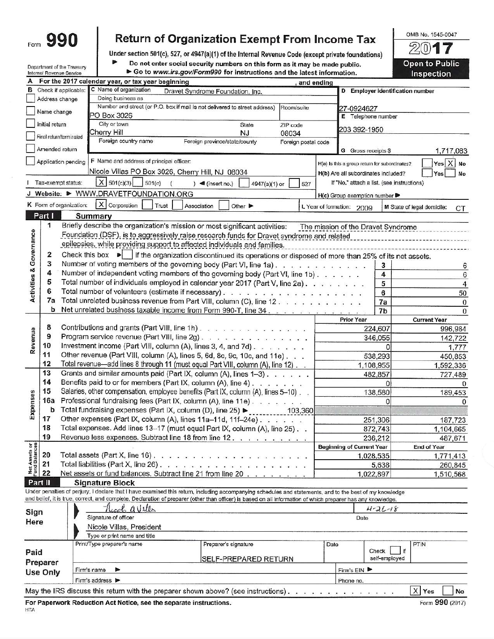|     | u<br>I<br>ı |
|-----|-------------|
| nm. |             |

## Return of Organization Exempt From Income Tax

Under section 501(c), 527, or 4947(a)(1) of the Internal Revenue Code (except private foundations)

Department of the Treasury Internal Revenue Service

HTA

Þ

Do not enter social security numbers on this form as it may be made public. Go to www.irs.gov/Form990 for instructions and the latest information.

 $20$ 7 **Open to Public** Inspection

OMB No. 1545-0047

|                                |                |                         | For the 2017 calendar year, or tax year beginning                                                                                                                            |                                  |                               |                                                                                                                                                                                                                                                                                                                                                                                                                                                           |                         | and ending |                                               |                     |                                  |
|--------------------------------|----------------|-------------------------|------------------------------------------------------------------------------------------------------------------------------------------------------------------------------|----------------------------------|-------------------------------|-----------------------------------------------------------------------------------------------------------------------------------------------------------------------------------------------------------------------------------------------------------------------------------------------------------------------------------------------------------------------------------------------------------------------------------------------------------|-------------------------|------------|-----------------------------------------------|---------------------|----------------------------------|
| в                              |                | Check if applicable:    | C Name of organization                                                                                                                                                       | Dravet Syndrome Foundation, Inc. |                               |                                                                                                                                                                                                                                                                                                                                                                                                                                                           |                         |            | D Employer identification number              |                     |                                  |
|                                |                | Address change          | Doing business as                                                                                                                                                            |                                  |                               |                                                                                                                                                                                                                                                                                                                                                                                                                                                           |                         |            |                                               |                     |                                  |
|                                | Name change    |                         | Number and street (or P.O. box if mail is not delivered to street address)                                                                                                   |                                  |                               |                                                                                                                                                                                                                                                                                                                                                                                                                                                           | Room/suite              |            | 27-0924627                                    |                     |                                  |
|                                |                |                         | PO Box 3026                                                                                                                                                                  |                                  |                               |                                                                                                                                                                                                                                                                                                                                                                                                                                                           |                         |            | E Telephone number                            |                     |                                  |
|                                | Initial return |                         | City or town                                                                                                                                                                 |                                  |                               | <b>State</b>                                                                                                                                                                                                                                                                                                                                                                                                                                              | ZIP code                |            | 203 392-1950                                  |                     |                                  |
|                                |                | Final return/terminated | Cherry Hill<br>Foreign country name                                                                                                                                          |                                  |                               | <b>NJ</b>                                                                                                                                                                                                                                                                                                                                                                                                                                                 | 08034                   |            |                                               |                     |                                  |
|                                | Amended return |                         |                                                                                                                                                                              |                                  | Foreign province/state/county |                                                                                                                                                                                                                                                                                                                                                                                                                                                           | Foreign postal code     |            | G Gross receipts \$                           |                     | 1,717,083                        |
|                                |                | Application pending     | F Name and address of principal officer:                                                                                                                                     |                                  |                               |                                                                                                                                                                                                                                                                                                                                                                                                                                                           |                         |            |                                               |                     | $Yes \mid X \mid No$             |
|                                |                |                         | Nicole Villas PO Box 3026, Cherry Hill, NJ 08034                                                                                                                             |                                  |                               |                                                                                                                                                                                                                                                                                                                                                                                                                                                           |                         |            | H(a) Is this a group return for subordinates? |                     |                                  |
|                                |                |                         |                                                                                                                                                                              |                                  |                               |                                                                                                                                                                                                                                                                                                                                                                                                                                                           |                         |            | H(b) Are all subordinates included?           |                     | Yes<br>No                        |
|                                |                | Tax-exempt status:      | $X$ 501(c)(3)<br>501(c)<br>J Website: > WWW.DRAVETFOUNDATION.ORG                                                                                                             |                                  | $\log$ (insert no.)           | 4947(a)(1) or                                                                                                                                                                                                                                                                                                                                                                                                                                             | 527                     |            | If "No," attach a list. (see instructions)    |                     |                                  |
|                                |                |                         |                                                                                                                                                                              |                                  |                               |                                                                                                                                                                                                                                                                                                                                                                                                                                                           |                         |            | H(c) Group exemption number                   |                     |                                  |
|                                |                | K Form of organization: | $X$ Corporation<br>Trust                                                                                                                                                     | Association                      |                               | Other $\blacktriangleright$                                                                                                                                                                                                                                                                                                                                                                                                                               |                         |            | L Year of formation: 2009                     |                     | M State of legal domicile:<br>СT |
|                                | Part I         |                         | <b>Summary</b>                                                                                                                                                               |                                  |                               |                                                                                                                                                                                                                                                                                                                                                                                                                                                           |                         |            |                                               |                     |                                  |
|                                | 1              |                         | Briefly describe the organization's mission or most significant activities:                                                                                                  |                                  |                               |                                                                                                                                                                                                                                                                                                                                                                                                                                                           |                         |            | The mission of the Dravet Syndrome            |                     |                                  |
|                                |                |                         | Foundation (DSF), is to aggressively raise research funds for Dravet syndrome and related                                                                                    |                                  |                               |                                                                                                                                                                                                                                                                                                                                                                                                                                                           |                         |            |                                               |                     |                                  |
| Governance                     |                |                         | epilepsies, while providing support to affected individuals and families.                                                                                                    |                                  |                               |                                                                                                                                                                                                                                                                                                                                                                                                                                                           |                         |            |                                               |                     |                                  |
|                                | 2              |                         | Check this box $\blacktriangleright$ if the organization discontinued its operations or disposed of more than 25% of its net assets.                                         |                                  |                               |                                                                                                                                                                                                                                                                                                                                                                                                                                                           |                         |            |                                               |                     |                                  |
|                                | 3              |                         | Number of voting members of the governing body (Part VI, line 1a).                                                                                                           |                                  |                               |                                                                                                                                                                                                                                                                                                                                                                                                                                                           |                         |            |                                               | 3                   | 6                                |
|                                | 4              |                         | Number of independent voting members of the governing body (Part VI, line 1b)                                                                                                |                                  |                               |                                                                                                                                                                                                                                                                                                                                                                                                                                                           |                         |            |                                               | 4                   | 6                                |
|                                | 5              |                         | Total number of individuals employed in calendar year 2017 (Part V, line 2a).                                                                                                |                                  |                               |                                                                                                                                                                                                                                                                                                                                                                                                                                                           |                         |            |                                               | 5                   | 4                                |
| <b>Activities &amp;</b>        | 6              |                         |                                                                                                                                                                              |                                  |                               |                                                                                                                                                                                                                                                                                                                                                                                                                                                           |                         |            |                                               | 6                   | 50                               |
|                                | 7a             |                         | Total unrelated business revenue from Part VIII, column (C), line 12                                                                                                         |                                  |                               |                                                                                                                                                                                                                                                                                                                                                                                                                                                           |                         |            |                                               | 7a                  | $\bf{0}$                         |
|                                | b              |                         | Net unrelated business taxable income from Form 990-T, line 34.                                                                                                              |                                  |                               |                                                                                                                                                                                                                                                                                                                                                                                                                                                           |                         |            |                                               | 7b                  | $\mathbf{0}$                     |
|                                | 8              |                         | Contributions and grants (Part VIII, line 1h).                                                                                                                               |                                  |                               |                                                                                                                                                                                                                                                                                                                                                                                                                                                           |                         |            | <b>Prior Year</b>                             |                     | <b>Current Year</b>              |
| Revenue                        | 9              |                         | Program service revenue (Part VIII, line 2g)                                                                                                                                 |                                  |                               |                                                                                                                                                                                                                                                                                                                                                                                                                                                           |                         |            |                                               | 224,607             | 996,984                          |
|                                | 10             |                         | Investment income (Part VIII, column (A), lines 3, 4, and 7d).                                                                                                               |                                  |                               |                                                                                                                                                                                                                                                                                                                                                                                                                                                           |                         |            |                                               | 346,055<br>$\Omega$ | 142,722                          |
|                                | 11             |                         | Other revenue (Part VIII, column (A), lines 5, 6d, 8c, 9c, 10c, and 11e).                                                                                                    |                                  |                               |                                                                                                                                                                                                                                                                                                                                                                                                                                                           |                         |            |                                               | 538,293             | 1,777                            |
|                                | 12             |                         | Total revenue-add lines 8 through 11 (must equal Part VIII, column (A), line 12)                                                                                             |                                  |                               |                                                                                                                                                                                                                                                                                                                                                                                                                                                           |                         |            | 1,108,955                                     |                     | 450,853<br>1,592,336             |
|                                | 13             |                         | Grants and similar amounts paid (Part IX, column (A), lines 1-3)                                                                                                             |                                  |                               |                                                                                                                                                                                                                                                                                                                                                                                                                                                           |                         |            |                                               | 482,857             | 727,489                          |
|                                | 14             |                         | Benefits paid to or for members (Part IX, column (A), line 4)                                                                                                                |                                  |                               |                                                                                                                                                                                                                                                                                                                                                                                                                                                           |                         |            |                                               | $\Omega$            | $\Omega$                         |
|                                | 15             |                         | Salaries, other compensation, employee benefits (Part IX, column (A), lines 5-10)                                                                                            |                                  |                               |                                                                                                                                                                                                                                                                                                                                                                                                                                                           |                         |            |                                               | 138,580             | 189,453                          |
|                                | 16a            |                         | Professional fundraising fees (Part IX, column (A), line 11e)                                                                                                                |                                  |                               |                                                                                                                                                                                                                                                                                                                                                                                                                                                           |                         |            |                                               | $\Omega$            | 0                                |
| Expenses                       | b              |                         | Total fundraising expenses (Part IX, column (D), line 25) ►                                                                                                                  |                                  |                               |                                                                                                                                                                                                                                                                                                                                                                                                                                                           | $\frac{1}{2}$ = 103,360 |            |                                               |                     |                                  |
|                                | 17             |                         | Other expenses (Part IX, column (A), lines 11a-11d, 11f-24e)                                                                                                                 |                                  |                               |                                                                                                                                                                                                                                                                                                                                                                                                                                                           |                         |            |                                               | 251,306             | 187,723                          |
|                                | 18             |                         | Total expenses. Add lines 13-17 (must equal Part IX, column (A), line 25). .                                                                                                 |                                  |                               |                                                                                                                                                                                                                                                                                                                                                                                                                                                           |                         |            |                                               | 872,743             | 1,104,665                        |
|                                | 19             |                         | Revenue less expenses. Subtract line 18 from line 12.                                                                                                                        |                                  |                               |                                                                                                                                                                                                                                                                                                                                                                                                                                                           |                         |            |                                               | 236,212             | 487,671                          |
|                                |                |                         |                                                                                                                                                                              |                                  |                               |                                                                                                                                                                                                                                                                                                                                                                                                                                                           |                         |            | <b>Beginning of Current Year</b>              |                     | <b>End of Year</b>               |
| Net Assets or<br>Fund Balances | 20             |                         | Total assets (Part X, line 16).                                                                                                                                              |                                  |                               |                                                                                                                                                                                                                                                                                                                                                                                                                                                           |                         |            | 1,028,535                                     |                     | 1,771,413                        |
|                                | 21             |                         | Total liabilities (Part X, line 26).                                                                                                                                         |                                  |                               | $\mathbf{z}^{\prime} = \mathbf{z}^{\prime} + \mathbf{z}^{\prime} + \mathbf{z}^{\prime} + \mathbf{z}^{\prime} + \mathbf{z}^{\prime} + \mathbf{z}^{\prime} + \mathbf{z}^{\prime} + \mathbf{z}^{\prime} + \mathbf{z}^{\prime} + \mathbf{z}^{\prime} + \mathbf{z}^{\prime} + \mathbf{z}^{\prime} + \mathbf{z}^{\prime} + \mathbf{z}^{\prime} + \mathbf{z}^{\prime} + \mathbf{z}^{\prime} + \mathbf{z}^{\prime} + \mathbf{z}^{\prime} + \mathbf{z}^{\prime} +$ |                         |            |                                               | 5,638               | 260,845                          |
|                                | 22             |                         | Net assets or fund balances. Subtract line 21 from line 20                                                                                                                   |                                  |                               |                                                                                                                                                                                                                                                                                                                                                                                                                                                           |                         |            | 1,022,897                                     |                     | 1,510,568                        |
|                                | Part II        |                         | <b>Signature Block</b>                                                                                                                                                       |                                  |                               |                                                                                                                                                                                                                                                                                                                                                                                                                                                           |                         |            |                                               |                     |                                  |
|                                |                |                         | Under penalties of perjury, I declare that I have examined this return, including accompanying schedules and statements, and to the best of my knowledge                     |                                  |                               |                                                                                                                                                                                                                                                                                                                                                                                                                                                           |                         |            |                                               |                     |                                  |
|                                |                |                         | and belief, it is true, correct, and complete. Declaration of preparer (other than officer) is based on all information of which preparer has any knowledge.<br>rock a Villa |                                  |                               |                                                                                                                                                                                                                                                                                                                                                                                                                                                           |                         |            |                                               |                     |                                  |
| Sign                           |                |                         | Signature of officer                                                                                                                                                         |                                  |                               |                                                                                                                                                                                                                                                                                                                                                                                                                                                           |                         |            | Date                                          | $4 - 26 - 18$       |                                  |
| Here                           |                |                         | Nicole Villas, President                                                                                                                                                     |                                  |                               |                                                                                                                                                                                                                                                                                                                                                                                                                                                           |                         |            |                                               |                     |                                  |
|                                |                |                         | Type or print name and title                                                                                                                                                 |                                  |                               |                                                                                                                                                                                                                                                                                                                                                                                                                                                           |                         |            |                                               |                     |                                  |
|                                |                |                         | Print/Type preparer's name                                                                                                                                                   |                                  | <b>PTIN</b>                   |                                                                                                                                                                                                                                                                                                                                                                                                                                                           |                         |            |                                               |                     |                                  |
| Paid                           |                |                         |                                                                                                                                                                              |                                  | Preparer's signature          |                                                                                                                                                                                                                                                                                                                                                                                                                                                           |                         | Date       |                                               | Check               |                                  |
|                                | Preparer       |                         |                                                                                                                                                                              |                                  |                               | SELF-PREPARED RETURN                                                                                                                                                                                                                                                                                                                                                                                                                                      |                         |            |                                               | self-employed       |                                  |
|                                | Use Only       |                         | Firm's name<br>⋗                                                                                                                                                             |                                  |                               | Firm's EIN ▶                                                                                                                                                                                                                                                                                                                                                                                                                                              |                         |            |                                               |                     |                                  |
|                                |                |                         | Firm's address $\blacktriangleright$                                                                                                                                         |                                  |                               |                                                                                                                                                                                                                                                                                                                                                                                                                                                           |                         |            | Phone no.                                     |                     |                                  |
|                                |                |                         | May the IRS discuss this return with the preparer shown above? (see instructions)                                                                                            |                                  |                               |                                                                                                                                                                                                                                                                                                                                                                                                                                                           |                         |            | The costs of the costs of the costs           |                     | X Yes<br>No                      |
|                                |                |                         | For Paperwork Reduction Act Notice, see the separate instructions.                                                                                                           |                                  |                               |                                                                                                                                                                                                                                                                                                                                                                                                                                                           |                         |            |                                               |                     | Form 990 (2017)                  |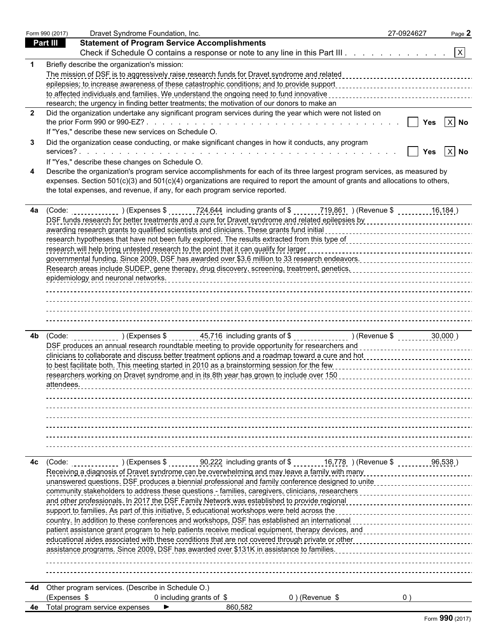|    | Form 990 (2017) | Dravet Syndrome Foundation, Inc.                                                                                                                                                                                                | 27-0924627 | Page 2                |
|----|-----------------|---------------------------------------------------------------------------------------------------------------------------------------------------------------------------------------------------------------------------------|------------|-----------------------|
|    | Part III        | <b>Statement of Program Service Accomplishments</b>                                                                                                                                                                             |            |                       |
|    |                 | Check if Schedule O contains a response or note to any line in this Part III. X                                                                                                                                                 |            |                       |
|    |                 | Briefly describe the organization's mission:                                                                                                                                                                                    |            |                       |
|    |                 |                                                                                                                                                                                                                                 |            |                       |
|    |                 |                                                                                                                                                                                                                                 |            |                       |
|    |                 | to affected individuals and families. We understand the ongoing need to fund innovative                                                                                                                                         |            |                       |
|    |                 | research; the urgency in finding better treatments; the motivation of our donors to make an                                                                                                                                     |            |                       |
| -2 |                 | Did the organization undertake any significant program services during the year which were not listed on                                                                                                                        |            |                       |
|    |                 |                                                                                                                                                                                                                                 |            | Yes $ X $ No          |
|    |                 | If "Yes," describe these new services on Schedule O.                                                                                                                                                                            |            |                       |
|    |                 | Did the organization cease conducting, or make significant changes in how it conducts, any program                                                                                                                              |            |                       |
|    |                 |                                                                                                                                                                                                                                 |            | Yes $\overline{X}$ No |
|    |                 | If "Yes," describe these changes on Schedule O.                                                                                                                                                                                 |            |                       |
|    |                 | Describe the organization's program service accomplishments for each of its three largest program services, as measured by                                                                                                      |            |                       |
|    |                 | expenses. Section 501(c)(3) and 501(c)(4) organizations are required to report the amount of grants and allocations to others,                                                                                                  |            |                       |
|    |                 | the total expenses, and revenue, if any, for each program service reported.                                                                                                                                                     |            |                       |
|    |                 |                                                                                                                                                                                                                                 |            |                       |
| 4a |                 | (Code: $($ (Expenses \$ 724,644 including grants of \$ 719,861 ) (Revenue \$ 16,184 )                                                                                                                                           |            |                       |
|    |                 | DSF funds research for better treatments and a cure for Dravet syndrome and related epilepsies by contract concentration of the contract of the DSF funds research for better than 1.                                           |            |                       |
|    |                 | research hypotheses that have not been fully explored. The results extracted from this type of concentration of the second contract that the results of the second hypotheses that have no results and the results of the resu  |            |                       |
|    |                 | research will help bring untested research to the point that it can qualify for larger                                                                                                                                          |            |                       |
|    |                 | governmental funding. Since 2009, DSF has awarded over \$3.6 million to 33 research endeavors. [11] production concerns the context of the same many districts and available many districts and a many districts and a many dis |            |                       |
|    |                 |                                                                                                                                                                                                                                 |            |                       |
|    |                 |                                                                                                                                                                                                                                 |            |                       |
|    |                 |                                                                                                                                                                                                                                 |            |                       |
|    |                 |                                                                                                                                                                                                                                 |            |                       |
|    |                 |                                                                                                                                                                                                                                 |            |                       |
|    |                 |                                                                                                                                                                                                                                 |            |                       |
|    |                 |                                                                                                                                                                                                                                 |            |                       |
| 4b |                 |                                                                                                                                                                                                                                 |            |                       |
|    |                 | DSF produces an annual research roundtable meeting to provide opportunity for researchers and concentrational contracts and produces and according to the produces and according to the product of the product of the product   |            |                       |
|    |                 | clinicians to collaborate and discuss better treatment options and a roadmap toward a cure and hot                                                                                                                              |            |                       |
|    |                 | to best facilitate both. This meeting started in 2010 as a brainstorming session for the few                                                                                                                                    |            |                       |
|    |                 | researchers working on Dravet syndrome and in its 8th year has grown to include over 150                                                                                                                                        |            |                       |
|    |                 |                                                                                                                                                                                                                                 |            |                       |
|    |                 |                                                                                                                                                                                                                                 |            |                       |
|    |                 |                                                                                                                                                                                                                                 |            |                       |
|    |                 |                                                                                                                                                                                                                                 |            |                       |
|    |                 |                                                                                                                                                                                                                                 |            |                       |
|    |                 |                                                                                                                                                                                                                                 |            |                       |
|    |                 |                                                                                                                                                                                                                                 |            |                       |
|    |                 |                                                                                                                                                                                                                                 |            |                       |
| 4с | (Code:          | ) (Expenses \$ 90,222 including grants of \$ 16,778 $\,$ ) (Revenue \$                                                                                                                                                          | 96,538     |                       |
|    |                 | Receiving a diagnosis of Dravet syndrome can be overwhelming and may leave a family with many                                                                                                                                   |            |                       |
|    |                 | unanswered questions. DSF produces a biennial professional and family conference designed to unite                                                                                                                              |            |                       |
|    |                 | community stakeholders to address these questions - families, caregivers, clinicians, researchers                                                                                                                               |            |                       |
|    |                 | and other professionals. In 2017 the DSF Family Network was established to provide regional                                                                                                                                     |            |                       |
|    |                 | support to families. As part of this initiative, 5 educational workshops were held across the                                                                                                                                   |            |                       |
|    |                 | country. In addition to these conferences and workshops, DSF has established an international                                                                                                                                   |            |                       |
|    |                 | patient assistance grant program to help patients receive medical equipment, therapy devices, and                                                                                                                               |            |                       |
|    |                 | educational aides associated with these conditions that are not covered through private or other                                                                                                                                |            |                       |
|    |                 | assistance programs. Since 2009, DSF has awarded over \$131K in assistance to families.                                                                                                                                         |            |                       |
|    |                 |                                                                                                                                                                                                                                 |            |                       |
|    |                 |                                                                                                                                                                                                                                 |            |                       |
| 4d |                 | Other program services. (Describe in Schedule O.)                                                                                                                                                                               |            |                       |
|    | (Expenses \$    | 0 including grants of $$$<br>$0$ ) (Revenue \$                                                                                                                                                                                  | 0)         |                       |
|    |                 | 4e Total program service expenses<br>860,582                                                                                                                                                                                    |            |                       |
|    |                 |                                                                                                                                                                                                                                 |            |                       |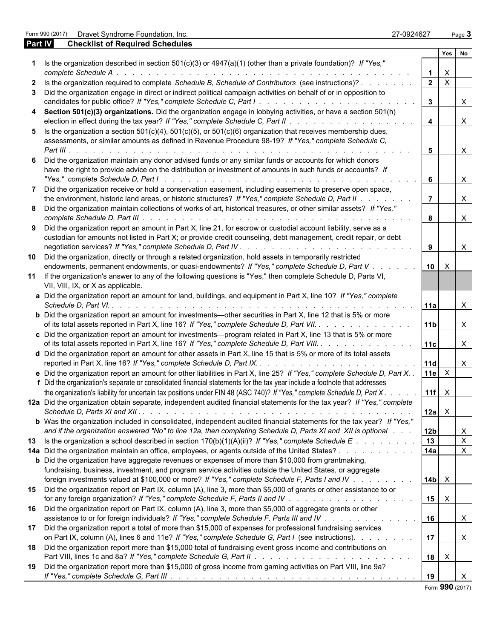|                | Form 990 (2017) Dravet Syndrome Foundation, Inc.                                                                                                                                                                                | 27-0924627 |                         |                           | Page 3       |
|----------------|---------------------------------------------------------------------------------------------------------------------------------------------------------------------------------------------------------------------------------|------------|-------------------------|---------------------------|--------------|
| <b>Part IV</b> | <b>Checklist of Required Schedules</b>                                                                                                                                                                                          |            |                         |                           |              |
|                |                                                                                                                                                                                                                                 |            |                         | Yes                       | No           |
|                | 1 Is the organization described in section $501(c)(3)$ or $4947(a)(1)$ (other than a private foundation)? If "Yes,"                                                                                                             |            |                         |                           |              |
|                | complete Schedule A.                                                                                                                                                                                                            |            | $\mathbf 1$             | $\boldsymbol{\mathsf{X}}$ |              |
|                | 2 Is the organization required to complete Schedule B, Schedule of Contributors (see instructions)?                                                                                                                             |            | $\overline{2}$          | $\mathsf{X}$              |              |
|                | 3 Did the organization engage in direct or indirect political campaign activities on behalf of or in opposition to                                                                                                              |            |                         |                           |              |
|                |                                                                                                                                                                                                                                 |            | $3^{\circ}$             |                           | $\mathsf{X}$ |
|                | 4 Section 501(c)(3) organizations. Did the organization engage in lobbying activities, or have a section 501(h)                                                                                                                 |            |                         |                           |              |
|                |                                                                                                                                                                                                                                 |            | $\overline{\mathbf{4}}$ |                           | $\mathsf{X}$ |
|                | 5 Is the organization a section $501(c)(4)$ , $501(c)(5)$ , or $501(c)(6)$ organization that receives membership dues,<br>assessments, or similar amounts as defined in Revenue Procedure 98-19? If "Yes," complete Schedule C, |            |                         |                           |              |
|                |                                                                                                                                                                                                                                 |            | 5                       |                           | $\mathsf{X}$ |
|                | Did the organization maintain any donor advised funds or any similar funds or accounts for which donors                                                                                                                         |            |                         |                           |              |
|                | have the right to provide advice on the distribution or investment of amounts in such funds or accounts? If                                                                                                                     |            |                         |                           |              |
|                |                                                                                                                                                                                                                                 |            | 6                       |                           | $\mathsf{X}$ |
|                | Did the organization receive or hold a conservation easement, including easements to preserve open space,                                                                                                                       |            |                         |                           |              |
|                | the environment, historic land areas, or historic structures? If "Yes," complete Schedule D, Part II.                                                                                                                           |            |                         |                           | $\mathsf{X}$ |
|                | 8 Did the organization maintain collections of works of art, historical treasures, or other similar assets? If "Yes,"                                                                                                           |            |                         |                           |              |
|                |                                                                                                                                                                                                                                 |            | 8                       |                           | $\mathsf{X}$ |
|                | 9 Did the organization report an amount in Part X, line 21, for escrow or custodial account liability, serve as a                                                                                                               |            |                         |                           |              |
|                | custodian for amounts not listed in Part X; or provide credit counseling, debt management, credit repair, or debt                                                                                                               |            |                         |                           |              |
|                |                                                                                                                                                                                                                                 |            | 9                       |                           | $\mathsf{X}$ |
|                | 10 Did the organization, directly or through a related organization, hold assets in temporarily restricted                                                                                                                      |            |                         |                           |              |
|                | endowments, permanent endowments, or quasi-endowments? If "Yes," complete Schedule D, Part V.                                                                                                                                   |            | 10 <sup>1</sup>         | $\times$                  |              |
|                | 11 If the organization's answer to any of the following questions is "Yes," then complete Schedule D, Parts VI,                                                                                                                 |            |                         |                           |              |
|                | VII, VIII, IX, or X as applicable.                                                                                                                                                                                              |            |                         |                           |              |
|                | a Did the organization report an amount for land, buildings, and equipment in Part X, line 10? If "Yes," complete                                                                                                               |            |                         |                           |              |
|                | Schedule D, Part VI. .                                                                                                                                                                                                          |            | l 11a                   |                           | $\mathsf{X}$ |
|                | <b>b</b> Did the organization report an amount for investments—other securities in Part X, line 12 that is 5% or more                                                                                                           |            |                         |                           |              |
|                |                                                                                                                                                                                                                                 |            | 11 <sub>b</sub>         |                           |              |
|                | of its total assets reported in Part X, line 16? If "Yes," complete Schedule D, Part VII.                                                                                                                                       |            |                         |                           | $\mathsf{X}$ |
|                | c Did the organization report an amount for investments—program related in Part X, line 13 that is 5% or more                                                                                                                   |            |                         |                           |              |
|                | of its total assets reported in Part X, line 16? If "Yes," complete Schedule D, Part VIII.                                                                                                                                      |            | 11c                     |                           | $\mathsf{X}$ |
|                | d Did the organization report an amount for other assets in Part X, line 15 that is 5% or more of its total assets                                                                                                              |            |                         |                           |              |
|                |                                                                                                                                                                                                                                 |            | <b>11d</b>              |                           | $\mathsf{X}$ |
|                | e Did the organization report an amount for other liabilities in Part X, line 25? If "Yes," complete Schedule D, Part X                                                                                                         |            | 11e                     | $\mathsf{X}$              |              |
|                | f Did the organization's separate or consolidated financial statements for the tax year include a footnote that addresses                                                                                                       |            |                         |                           |              |
|                | the organization's liability for uncertain tax positions under FIN 48 (ASC 740)? If "Yes," complete Schedule D, Part X.                                                                                                         |            | $11f \times$            |                           |              |
|                | 12a Did the organization obtain separate, independent audited financial statements for the tax year? If "Yes," complete                                                                                                         |            |                         |                           |              |
|                |                                                                                                                                                                                                                                 |            | 12a                     | $\mathsf{X}$              |              |
|                | <b>b</b> Was the organization included in consolidated, independent audited financial statements for the tax year? If "Yes,"                                                                                                    |            |                         |                           |              |
|                | and if the organization answered "No" to line 12a, then completing Schedule D, Parts XI and XII is optional.                                                                                                                    |            | 12 <sub>b</sub>         |                           | X            |
|                | 13 Is the organization a school described in section 170(b)(1)(A)(ii)? If "Yes," complete Schedule E                                                                                                                            |            | 13                      |                           | $\mathsf{X}$ |
|                | 14a Did the organization maintain an office, employees, or agents outside of the United States?                                                                                                                                 |            | 14a                     |                           | $\mathsf{X}$ |
|                | <b>b</b> Did the organization have aggregate revenues or expenses of more than \$10,000 from grantmaking,                                                                                                                       |            |                         |                           |              |
|                | fundraising, business, investment, and program service activities outside the United States, or aggregate                                                                                                                       |            |                         |                           |              |
|                | foreign investments valued at \$100,000 or more? If "Yes," complete Schedule F, Parts I and IV                                                                                                                                  |            | 14 <sub>b</sub>         | $\mathsf{X}$              |              |
|                | 15 Did the organization report on Part IX, column (A), line 3, more than \$5,000 of grants or other assistance to or                                                                                                            |            |                         |                           |              |
|                | for any foreign organization? If "Yes," complete Schedule F, Parts II and IV                                                                                                                                                    |            | 15                      | $\boldsymbol{\mathsf{X}}$ |              |
|                | 16 Did the organization report on Part IX, column (A), line 3, more than \$5,000 of aggregate grants or other                                                                                                                   |            |                         |                           |              |
|                | assistance to or for foreign individuals? If "Yes," complete Schedule F, Parts III and IV                                                                                                                                       |            | 16                      |                           |              |
|                |                                                                                                                                                                                                                                 |            |                         |                           | X            |
|                | 17 Did the organization report a total of more than \$15,000 of expenses for professional fundraising services                                                                                                                  |            |                         |                           |              |
|                | on Part IX, column (A), lines 6 and 11e? If "Yes," complete Schedule G, Part I (see instructions).                                                                                                                              |            | 17                      |                           | $\mathsf{X}$ |
|                | 18 Did the organization report more than \$15,000 total of fundraising event gross income and contributions on                                                                                                                  |            |                         |                           |              |
|                |                                                                                                                                                                                                                                 |            | 18                      | $\boldsymbol{\mathsf{X}}$ |              |
|                | 19 Did the organization report more than \$15,000 of gross income from gaming activities on Part VIII, line 9a?                                                                                                                 |            |                         |                           |              |
|                |                                                                                                                                                                                                                                 |            | 19                      |                           |              |

| Form 990 (2017) | Dravet Syndrome Foundati |  |
|-----------------|--------------------------|--|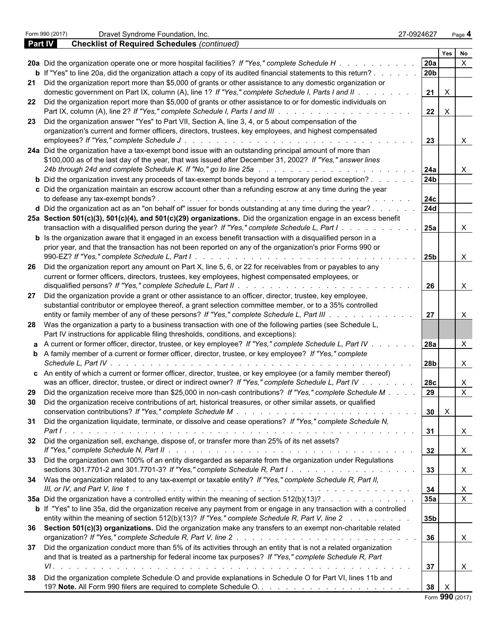|                | Form 990 (2017)      | Dravet Syndrome Foundation, Inc.                                                                                            | 27-0924627      |                           | Page 4         |  |
|----------------|----------------------|-----------------------------------------------------------------------------------------------------------------------------|-----------------|---------------------------|----------------|--|
| <b>Part IV</b> |                      | <b>Checklist of Required Schedules (continued)</b>                                                                          |                 |                           |                |  |
|                |                      |                                                                                                                             |                 | <b>Yes</b>                | No             |  |
|                |                      | 20a Did the organization operate one or more hospital facilities? If "Yes," complete Schedule H.                            | 20a             |                           |                |  |
|                |                      | <b>b</b> If "Yes" to line 20a, did the organization attach a copy of its audited financial statements to this return?.      | 20 <sub>b</sub> |                           |                |  |
|                |                      | 21 Did the organization report more than \$5,000 of grants or other assistance to any domestic organization or              |                 |                           |                |  |
|                |                      | domestic government on Part IX, column (A), line 1? If "Yes," complete Schedule I, Parts I and II.                          | 21              | $\times$                  |                |  |
|                |                      | 22 Did the organization report more than \$5,000 of grants or other assistance to or for domestic individuals on            |                 |                           |                |  |
|                |                      |                                                                                                                             | 22              | $\times$                  |                |  |
|                |                      | 23 Did the organization answer "Yes" to Part VII, Section A, line 3, 4, or 5 about compensation of the                      |                 |                           |                |  |
|                |                      | organization's current and former officers, directors, trustees, key employees, and highest compensated                     |                 |                           |                |  |
|                |                      | employees? If "Yes," complete Schedule J                                                                                    | 23              |                           | X              |  |
|                |                      | 24a Did the organization have a tax-exempt bond issue with an outstanding principal amount of more than                     |                 |                           |                |  |
|                |                      | \$100,000 as of the last day of the year, that was issued after December 31, 2002? If "Yes," answer lines                   |                 |                           |                |  |
|                |                      | 24b through 24d and complete Schedule K. If "No," go to line 25a                                                            | 24a             |                           | X              |  |
|                |                      | b Did the organization invest any proceeds of tax-exempt bonds beyond a temporary period exception?.                        | 24 <sub>b</sub> |                           |                |  |
|                |                      | c Did the organization maintain an escrow account other than a refunding escrow at any time during the year                 |                 |                           |                |  |
|                |                      |                                                                                                                             |                 |                           |                |  |
|                |                      |                                                                                                                             | 24c             |                           |                |  |
|                |                      | d Did the organization act as an "on behalf of" issuer for bonds outstanding at any time during the year?.                  | 24d             |                           |                |  |
|                |                      | 25a Section 501(c)(3), 501(c)(4), and 501(c)(29) organizations. Did the organization engage in an excess benefit            |                 |                           |                |  |
|                |                      | transaction with a disqualified person during the year? If "Yes," complete Schedule L, Part I.                              | 25a             |                           | X              |  |
|                |                      | <b>b</b> Is the organization aware that it engaged in an excess benefit transaction with a disqualified person in a         |                 |                           |                |  |
|                |                      | prior year, and that the transaction has not been reported on any of the organization's prior Forms 990 or                  |                 |                           |                |  |
|                |                      |                                                                                                                             | 25 <sub>b</sub> |                           | X              |  |
|                |                      | 26 Did the organization report any amount on Part X, line 5, 6, or 22 for receivables from or payables to any               |                 |                           |                |  |
|                |                      | current or former officers, directors, trustees, key employees, highest compensated employees, or                           |                 |                           |                |  |
|                |                      | disqualified persons? If "Yes," complete Schedule L, Part II                                                                | 26              |                           | X              |  |
|                |                      | 27 Did the organization provide a grant or other assistance to an officer, director, trustee, key employee,                 |                 |                           |                |  |
|                |                      | substantial contributor or employee thereof, a grant selection committee member, or to a 35% controlled                     |                 |                           |                |  |
|                |                      | entity or family member of any of these persons? If "Yes," complete Schedule L, Part III.                                   | 27              |                           | X              |  |
|                |                      | 28 Was the organization a party to a business transaction with one of the following parties (see Schedule L,                |                 |                           |                |  |
|                |                      | Part IV instructions for applicable filing thresholds, conditions, and exceptions):                                         |                 |                           |                |  |
|                |                      | a A current or former officer, director, trustee, or key employee? If "Yes," complete Schedule L, Part IV .                 | <b>28a</b>      |                           | $\times$       |  |
|                |                      | <b>b</b> A family member of a current or former officer, director, trustee, or key employee? If "Yes," complete             |                 |                           |                |  |
|                | Schedule L. Part IV. |                                                                                                                             | 28b             |                           | X              |  |
|                |                      | c An entity of which a current or former officer, director, trustee, or key employee (or a family member thereof)           |                 |                           |                |  |
|                |                      | was an officer, director, trustee, or direct or indirect owner? If "Yes," complete Schedule L, Part IV.                     | 28 <sub>c</sub> |                           | X              |  |
|                |                      | Did the organization receive more than \$25,000 in non-cash contributions? If "Yes," complete Schedule M                    |                 |                           |                |  |
|                |                      |                                                                                                                             | l 29 I          |                           | X.             |  |
|                |                      | 30 Did the organization receive contributions of art, historical treasures, or other similar assets, or qualified           |                 | $30 \times$               |                |  |
|                |                      |                                                                                                                             |                 |                           |                |  |
|                |                      | 31 Did the organization liquidate, terminate, or dissolve and cease operations? If "Yes," complete Schedule N,              |                 |                           |                |  |
|                |                      |                                                                                                                             | 31              |                           | $\mathsf{X}$   |  |
|                |                      | 32 Did the organization sell, exchange, dispose of, or transfer more than 25% of its net assets?                            |                 |                           |                |  |
|                |                      |                                                                                                                             | 32              |                           | $\mathsf{X}$   |  |
|                |                      | 33 Did the organization own 100% of an entity disregarded as separate from the organization under Regulations               |                 |                           |                |  |
|                |                      |                                                                                                                             | 33              |                           | $\mathsf{X}$   |  |
|                |                      | 34 Was the organization related to any tax-exempt or taxable entity? If "Yes," complete Schedule R, Part II,                |                 |                           |                |  |
|                |                      |                                                                                                                             | 34              |                           | X              |  |
|                |                      | 35a Did the organization have a controlled entity within the meaning of section 512(b)(13)?                                 | 35a             |                           | $\overline{X}$ |  |
|                |                      | <b>b</b> If "Yes" to line 35a, did the organization receive any payment from or engage in any transaction with a controlled |                 |                           |                |  |
|                |                      | entity within the meaning of section 512(b)(13)? If "Yes," complete Schedule R, Part V, line 2                              | 35 <sub>b</sub> |                           |                |  |
|                |                      | 36 Section 501(c)(3) organizations. Did the organization make any transfers to an exempt non-charitable related             |                 |                           |                |  |
|                |                      |                                                                                                                             | 36              |                           | $\mathsf{X}$   |  |
|                |                      | 37 Did the organization conduct more than 5% of its activities through an entity that is not a related organization         |                 |                           |                |  |
|                |                      | and that is treated as a partnership for federal income tax purposes? If "Yes," complete Schedule R, Part                   |                 |                           |                |  |
|                |                      |                                                                                                                             | 37              |                           |                |  |
|                |                      |                                                                                                                             |                 |                           | X              |  |
|                |                      | 38 Did the organization complete Schedule O and provide explanations in Schedule O for Part VI, lines 11b and               |                 |                           |                |  |
|                |                      |                                                                                                                             | 38 <sup>1</sup> | $\boldsymbol{\mathsf{X}}$ |                |  |
|                |                      |                                                                                                                             |                 | Form 990 (2017)           |                |  |

|  |  | Form 990 (2017) |
|--|--|-----------------|
|--|--|-----------------|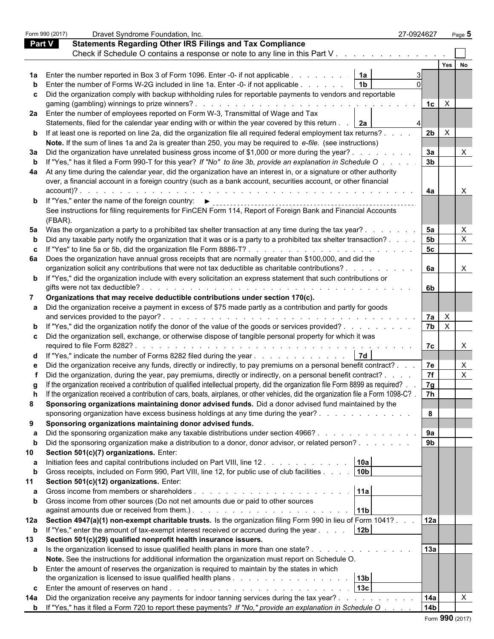|               | Form 990 (2017) | Dravet Syndrome Foundation, Inc.                                                                                                                                                                                               | 27-0924627      |                | Page 5       |
|---------------|-----------------|--------------------------------------------------------------------------------------------------------------------------------------------------------------------------------------------------------------------------------|-----------------|----------------|--------------|
| <b>Part V</b> |                 | <b>Statements Regarding Other IRS Filings and Tax Compliance</b>                                                                                                                                                               |                 |                |              |
|               |                 | Check if Schedule O contains a response or note to any line in this Part V                                                                                                                                                     |                 |                |              |
|               |                 |                                                                                                                                                                                                                                |                 |                | Yes          |
|               |                 | <b>1a</b> Enter the number reported in Box 3 of Form 1096. Enter -0- if not applicable                                                                                                                                         | 1a              |                |              |
|               |                 |                                                                                                                                                                                                                                |                 |                |              |
|               |                 | Enter the number of Forms W-2G included in line 1a. Enter -0- if not applicable                                                                                                                                                |                 |                |              |
|               |                 | c Did the organization comply with backup withholding rules for reportable payments to vendors and reportable                                                                                                                  |                 |                |              |
|               |                 |                                                                                                                                                                                                                                |                 | $1c \mid X$    |              |
|               |                 | 2a Enter the number of employees reported on Form W-3, Transmittal of Wage and Tax                                                                                                                                             |                 |                |              |
|               |                 | Statements, filed for the calendar year ending with or within the year covered by this return $\ldots$   2a                                                                                                                    |                 |                |              |
|               |                 | <b>b</b> If at least one is reported on line 2a, did the organization file all required federal employment tax returns?.                                                                                                       |                 | $2b \mid X$    |              |
|               |                 | Note. If the sum of lines 1a and 2a is greater than 250, you may be required to e-file. (see instructions)                                                                                                                     |                 |                |              |
|               |                 | 3a Did the organization have unrelated business gross income of \$1,000 or more during the year?.                                                                                                                              |                 | 3a             | X            |
| b             |                 | If "Yes," has it filed a Form 990-T for this year? If "No" to line 3b, provide an explanation in Schedule O                                                                                                                    |                 | 3 <sub>b</sub> |              |
|               |                 | 4a At any time during the calendar year, did the organization have an interest in, or a signature or other authority                                                                                                           |                 |                |              |
|               |                 | over, a financial account in a foreign country (such as a bank account, securities account, or other financial                                                                                                                 |                 |                |              |
|               | account)? .     |                                                                                                                                                                                                                                |                 | 4a             | X            |
|               |                 | <b>b</b> If "Yes," enter the name of the foreign country: $\blacktriangleright$                                                                                                                                                |                 |                |              |
|               |                 | See instructions for filing requirements for FinCEN Form 114, Report of Foreign Bank and Financial Accounts                                                                                                                    |                 |                |              |
|               | (FBAR).         |                                                                                                                                                                                                                                |                 |                |              |
|               |                 | 5a Was the organization a party to a prohibited tax shelter transaction at any time during the tax year?.                                                                                                                      |                 | 5a             |              |
| b             |                 | Did any taxable party notify the organization that it was or is a party to a prohibited tax shelter transaction?                                                                                                               |                 | 5 <sub>b</sub> | $\mathsf{X}$ |
|               |                 |                                                                                                                                                                                                                                |                 | 5c             |              |
|               |                 | 6a Does the organization have annual gross receipts that are normally greater than \$100,000, and did the                                                                                                                      |                 |                |              |
|               |                 | organization solicit any contributions that were not tax deductible as charitable contributions?                                                                                                                               |                 | 6a             | X.           |
|               |                 | <b>b</b> If "Yes," did the organization include with every solicitation an express statement that such contributions or                                                                                                        |                 |                |              |
|               |                 |                                                                                                                                                                                                                                |                 | 6b             |              |
| 7             |                 | Organizations that may receive deductible contributions under section 170(c).                                                                                                                                                  |                 |                |              |
|               |                 | a Did the organization receive a payment in excess of \$75 made partly as a contribution and partly for goods                                                                                                                  |                 |                |              |
|               |                 |                                                                                                                                                                                                                                |                 | $7a \mid X$    |              |
|               |                 |                                                                                                                                                                                                                                |                 | $7b$ $\times$  |              |
|               |                 | <b>b</b> If "Yes," did the organization notify the donor of the value of the goods or services provided?                                                                                                                       |                 |                |              |
|               |                 | c Did the organization sell, exchange, or otherwise dispose of tangible personal property for which it was                                                                                                                     |                 |                |              |
|               |                 |                                                                                                                                                                                                                                |                 | 7c             | $\times$     |
|               |                 | d If "Yes," indicate the number of Forms 8282 filed during the year 7d                                                                                                                                                         |                 |                |              |
|               |                 | e Did the organization receive any funds, directly or indirectly, to pay premiums on a personal benefit contract?                                                                                                              |                 | 7e             | X            |
|               |                 | Did the organization, during the year, pay premiums, directly or indirectly, on a personal benefit contract?.                                                                                                                  |                 | 7f             | $\sf X$      |
|               |                 | g If the organization received a contribution of qualified intellectual property, did the organization file Form 8899 as required?                                                                                             |                 | 7g             |              |
|               |                 | If the organization received a contribution of cars, boats, airplanes, or other vehicles, did the organization file a Form 1098-C?                                                                                             |                 | 7h             |              |
| 8             |                 | Sponsoring organizations maintaining donor advised funds. Did a donor advised fund maintained by the                                                                                                                           |                 |                |              |
|               |                 | sponsoring organization have excess business holdings at any time during the year?                                                                                                                                             |                 | 8              |              |
| 9             |                 | Sponsoring organizations maintaining donor advised funds.                                                                                                                                                                      |                 |                |              |
|               |                 | Did the sponsoring organization make any taxable distributions under section 4966?                                                                                                                                             |                 | 9а             |              |
| b             |                 | Did the sponsoring organization make a distribution to a donor, donor advisor, or related person?                                                                                                                              |                 | 9 <sub>b</sub> |              |
| 10            |                 | Section 501(c)(7) organizations. Enter:                                                                                                                                                                                        |                 |                |              |
|               |                 | Initiation fees and capital contributions included on Part VIII, line 12. A contact the state of the line of the line of the line of the line of the line of the line of the line of the line of the line of the line of the l | 10a             |                |              |
|               |                 |                                                                                                                                                                                                                                | 10 <sub>b</sub> |                |              |
| b             |                 | Gross receipts, included on Form 990, Part VIII, line 12, for public use of club facilities                                                                                                                                    |                 |                |              |
| 11            |                 | Section 501(c)(12) organizations. Enter:                                                                                                                                                                                       |                 |                |              |
|               |                 |                                                                                                                                                                                                                                | 11a             |                |              |
|               |                 | <b>b</b> Gross income from other sources (Do not net amounts due or paid to other sources                                                                                                                                      |                 |                |              |
|               |                 |                                                                                                                                                                                                                                | 11b             |                |              |
|               |                 | 12a Section 4947(a)(1) non-exempt charitable trusts. Is the organization filing Form 990 in lieu of Form 1041?                                                                                                                 |                 | 12a            |              |
| $\mathbf b$   |                 | If "Yes," enter the amount of tax-exempt interest received or accrued during the year                                                                                                                                          | 12 <sub>b</sub> |                |              |
| 13            |                 | Section 501(c)(29) qualified nonprofit health insurance issuers.                                                                                                                                                               |                 |                |              |
|               |                 | a Is the organization licensed to issue qualified health plans in more than one state?                                                                                                                                         |                 | 13a            |              |
|               |                 | Note. See the instructions for additional information the organization must report on Schedule O.                                                                                                                              |                 |                |              |
|               |                 | <b>b</b> Enter the amount of reserves the organization is required to maintain by the states in which                                                                                                                          |                 |                |              |
|               |                 |                                                                                                                                                                                                                                | 13b             |                |              |
|               |                 |                                                                                                                                                                                                                                | 13c             |                |              |
| 14а           |                 | Did the organization receive any payments for indoor tanning services during the tax year?                                                                                                                                     |                 | 14a            | $\mathsf{X}$ |
|               |                 | <b>b</b> If "Yes," has it filed a Form 720 to report these payments? If "No," provide an explanation in Schedule O                                                                                                             |                 | 14b            |              |
|               |                 |                                                                                                                                                                                                                                |                 |                |              |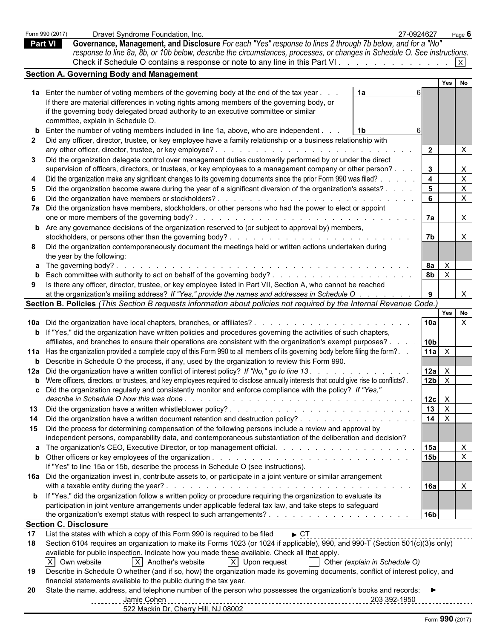|                | Form 990 (2017) | Dravet Syndrome Foundation, Inc.                                                                                                              | 27-0924627              |                | Page $6$                  |
|----------------|-----------------|-----------------------------------------------------------------------------------------------------------------------------------------------|-------------------------|----------------|---------------------------|
| <b>Part VI</b> |                 | Governance, Management, and Disclosure For each "Yes" response to lines 2 through 7b below, and for a "No"                                    |                         |                |                           |
|                |                 | response to line 8a, 8b, or 10b below, describe the circumstances, processes, or changes in Schedule O. See instructions.                     |                         |                |                           |
|                |                 | Check if Schedule O contains a response or note to any line in this Part VI                                                                   |                         |                | $\vert x \vert$           |
|                |                 | <b>Section A. Governing Body and Management</b>                                                                                               |                         |                |                           |
|                |                 |                                                                                                                                               |                         | <b>Yes</b>     | <b>No</b>                 |
|                |                 | 1a Enter the number of voting members of the governing body at the end of the tax year<br>1a                                                  |                         |                |                           |
|                |                 | If there are material differences in voting rights among members of the governing body, or                                                    |                         |                |                           |
|                |                 | if the governing body delegated broad authority to an executive committee or similar                                                          |                         |                |                           |
|                |                 | committee, explain in Schedule O.                                                                                                             |                         |                |                           |
|                |                 |                                                                                                                                               |                         |                |                           |
|                |                 | <b>b</b> Enter the number of voting members included in line 1a, above, who are independent.<br>- 1 b                                         |                         |                |                           |
|                |                 | 2 Did any officer, director, trustee, or key employee have a family relationship or a business relationship with                              |                         |                |                           |
|                |                 |                                                                                                                                               | $\overline{2}$          |                | X                         |
|                |                 | 3 Did the organization delegate control over management duties customarily performed by or under the direct                                   |                         |                |                           |
|                |                 | supervision of officers, directors, or trustees, or key employees to a management company or other person?.                                   | $3\phantom{.0}$         |                | X                         |
|                |                 | Did the organization make any significant changes to its governing documents since the prior Form 990 was filed?.                             | $\overline{\mathbf{4}}$ |                | $\mathsf{X}$              |
| 5              |                 | Did the organization become aware during the year of a significant diversion of the organization's assets?                                    | $5\phantom{1}$          |                | $\mathsf X$               |
| 6              |                 |                                                                                                                                               |                         |                | $\mathsf{X}$              |
|                |                 | 7a Did the organization have members, stockholders, or other persons who had the power to elect or appoint                                    |                         |                |                           |
|                |                 |                                                                                                                                               | 7a                      |                | $\times$                  |
|                |                 | <b>b</b> Are any governance decisions of the organization reserved to (or subject to approval by) members,                                    |                         |                |                           |
|                |                 |                                                                                                                                               | 7b                      |                | $\boldsymbol{\mathsf{X}}$ |
|                |                 | 8 Did the organization contemporaneously document the meetings held or written actions undertaken during                                      |                         |                |                           |
|                |                 | the year by the following:                                                                                                                    |                         |                |                           |
|                |                 | <b>a</b> The governing body?                                                                                                                  |                         | $8a \times$    |                           |
|                |                 |                                                                                                                                               |                         | $8b \times$    |                           |
|                |                 | 9 Is there any officer, director, trustee, or key employee listed in Part VII, Section A, who cannot be reached                               |                         |                |                           |
|                |                 | at the organization's mailing address? If "Yes," provide the names and addresses in Schedule O                                                |                         |                | $\times$                  |
|                |                 | Section B. Policies (This Section B requests information about policies not required by the Internal Revenue Code.)                           |                         |                |                           |
|                |                 |                                                                                                                                               |                         | Yes            | No                        |
|                |                 |                                                                                                                                               | 10a                     |                | $\mathsf{X}$              |
|                |                 | 10a Did the organization have local chapters, branches, or affiliates?.                                                                       |                         |                |                           |
|                |                 | <b>b</b> If "Yes," did the organization have written policies and procedures governing the activities of such chapters,                       |                         |                |                           |
|                |                 | affiliates, and branches to ensure their operations are consistent with the organization's exempt purposes?.                                  | 10 <sub>b</sub>         |                |                           |
|                |                 | 11a Has the organization provided a complete copy of this Form 990 to all members of its governing body before filing the form?.              |                         | $11a$ X        |                           |
|                |                 | <b>b</b> Describe in Schedule O the process, if any, used by the organization to review this Form 990.                                        |                         |                |                           |
|                |                 | 12a Did the organization have a written conflict of interest policy? If "No," go to line 13.                                                  |                         | $12a$ $\times$ |                           |
|                |                 | <b>b</b> Were officers, directors, or trustees, and key employees required to disclose annually interests that could give rise to conflicts?. |                         | $12b \times$   |                           |
|                |                 | c Did the organization regularly and consistently monitor and enforce compliance with the policy? If "Yes,"                                   |                         |                |                           |
|                |                 |                                                                                                                                               |                         | $ 12c  \times$ |                           |
|                |                 |                                                                                                                                               |                         | $13 \times$    |                           |
|                |                 | Did the organization have a written document retention and destruction policy?                                                                |                         | $14$ $\times$  |                           |
|                |                 | 15 Did the process for determining compensation of the following persons include a review and approval by                                     |                         |                |                           |
|                |                 | independent persons, comparability data, and contemporaneous substantiation of the deliberation and decision?                                 |                         |                |                           |
|                |                 |                                                                                                                                               | 15a                     |                | X                         |
|                |                 |                                                                                                                                               | 15b                     |                | $\mathsf{x}$              |
|                |                 | If "Yes" to line 15a or 15b, describe the process in Schedule O (see instructions).                                                           |                         |                |                           |
|                |                 |                                                                                                                                               |                         |                |                           |
|                |                 | 16a Did the organization invest in, contribute assets to, or participate in a joint venture or similar arrangement                            |                         |                |                           |
|                |                 | with a taxable entity during the year?.                                                                                                       | 16a                     |                | X                         |
|                |                 | <b>b</b> If "Yes," did the organization follow a written policy or procedure requiring the organization to evaluate its                       |                         |                |                           |
|                |                 | participation in joint venture arrangements under applicable federal tax law, and take steps to safeguard                                     |                         |                |                           |
|                |                 |                                                                                                                                               | 16b                     |                |                           |
|                |                 | <b>Section C. Disclosure</b>                                                                                                                  |                         |                |                           |
| 17             |                 | List the states with which a copy of this Form 990 is required to be filed<br>$\triangleright$ CT                                             |                         |                |                           |
| 18             |                 | Section 6104 requires an organization to make its Forms 1023 (or 1024 if applicable), 990, and 990-T (Section 501(c)(3)s only)                |                         |                |                           |
|                |                 | available for public inspection. Indicate how you made these available. Check all that apply.                                                 |                         |                |                           |
|                |                 | $X$ Own website<br>$ X $ Another's website<br>$ X $ Upon request<br>$\vert$ Other (explain in Schedule O)                                     |                         |                |                           |
|                |                 | 19 Describe in Schedule O whether (and if so, how) the organization made its governing documents, conflict of interest policy, and            |                         |                |                           |
|                |                 | financial statements available to the public during the tax year.                                                                             |                         |                |                           |
| <b>20</b>      |                 | State the name, address, and telephone number of the person who possesses the organization's books and records: $\blacktriangleright$         |                         |                |                           |
|                |                 | Jamie Cohen                                                                                                                                   |                         |                |                           |
|                |                 | 522 Mackin Dr, Cherry Hill, NJ 08002                                                                                                          |                         |                |                           |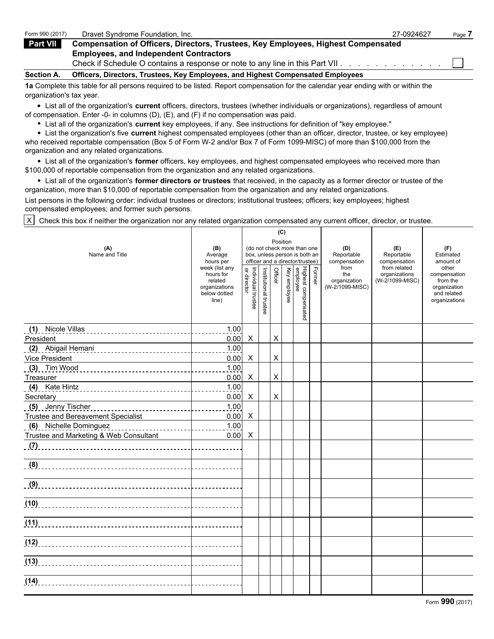| Form 990 (2017)   | Dravet Syndrome Foundation, Inc.                                                                                               | 27-0924627 | Page i |
|-------------------|--------------------------------------------------------------------------------------------------------------------------------|------------|--------|
| Part VII          | <b>Compensation of Officers, Directors, Trustees, Key Employees, Highest Compensated</b>                                       |            |        |
|                   | <b>Employees, and Independent Contractors</b><br>Check if Schedule O contains a response or note to any line in this Part VII. |            |        |
| <b>Section A.</b> | Officers, Directors, Trustees, Key Employees, and Highest Compensated Employees                                                |            |        |

**1a** Complete this table for all persons required to be listed. Report compensation for the calendar year ending with or within the organization's tax year.

List all of the organization's **current** officers, directors, trustees (whether individuals or organizations), regardless of amount of compensation. Enter -0- in columns (D), (E), and (F) if no compensation was paid.

List all of the organization's **current** key employees, if any. See instructions for definition of "key employee."

List the organization's five **current** highest compensated employees (other than an officer, director, trustee, or key employee) who received reportable compensation (Box 5 of Form W-2 and/or Box 7 of Form 1099-MISC) of more than \$100,000 from the organization and any related organizations.

List all of the organization's **former** officers, key employees, and highest compensated employees who received more than \$100,000 of reportable compensation from the organization and any related organizations.

List all of the organization's **former directors or trustees** that received, in the capacity as a former director or trustee of the organization, more than \$10,000 of reportable compensation from the organization and any related organizations.

List persons in the following order: individual trustees or directors; institutional trustees; officers; key employees; highest compensated employees; and former such persons.

 $|X|$  Check this box if neither the organization nor any related organization compensated any current officer, director, or trustee.

|                                                                                                                     |                                                                                  |                                   |                       |                | (C)          |                                                                                                 |        |                                                |                                                  |                                                                                   |
|---------------------------------------------------------------------------------------------------------------------|----------------------------------------------------------------------------------|-----------------------------------|-----------------------|----------------|--------------|-------------------------------------------------------------------------------------------------|--------|------------------------------------------------|--------------------------------------------------|-----------------------------------------------------------------------------------|
| (A)<br>Name and Title                                                                                               | (B)<br>Average<br>hours per                                                      |                                   |                       |                | Position     | (do not check more than one<br>box, unless person is both an<br>officer and a director/trustee) |        | (D)<br>Reportable<br>compensation              | (E)<br>Reportable<br>compensation                | (F)<br>Estimated<br>amount of                                                     |
|                                                                                                                     | week (list any<br>hours for<br>related<br>organizations<br>below dotted<br>line) | Individual trustee<br>or director | Institutional trustee | Officer        | Key employee | Highest compensated<br>employee                                                                 | Former | from<br>the<br>organization<br>(W-2/1099-MISC) | from related<br>organizations<br>(W-2/1099-MISC) | other<br>compensation<br>from the<br>organization<br>and related<br>organizations |
|                                                                                                                     | 1.00                                                                             |                                   |                       |                |              |                                                                                                 |        |                                                |                                                  |                                                                                   |
| President                                                                                                           | 0.00                                                                             | $\times$                          |                       | $\pmb{\times}$ |              |                                                                                                 |        |                                                |                                                  |                                                                                   |
| (2) Abigail Hemani (2) Abigail Hemani (2) Abigail Hemani (2) Abigail Hemani (2) Abia (2) Abia (2) Abia (2) Abia (2) | 1.00                                                                             |                                   |                       |                |              |                                                                                                 |        |                                                |                                                  |                                                                                   |
| Vice President                                                                                                      | 0.00                                                                             | $\boldsymbol{\mathsf{X}}$         |                       | X              |              |                                                                                                 |        |                                                |                                                  |                                                                                   |
| <u>(3) Tim Wood</u> _________________________________                                                               | 1.00                                                                             |                                   |                       |                |              |                                                                                                 |        |                                                |                                                  |                                                                                   |
| Treasurer                                                                                                           | 0.00                                                                             | X                                 |                       | X              |              |                                                                                                 |        |                                                |                                                  |                                                                                   |
|                                                                                                                     | 1.00<br><b>Contract Contract State</b>                                           |                                   |                       |                |              |                                                                                                 |        |                                                |                                                  |                                                                                   |
| Secretary                                                                                                           | 0.00                                                                             | X                                 |                       | X              |              |                                                                                                 |        |                                                |                                                  |                                                                                   |
|                                                                                                                     |                                                                                  |                                   |                       |                |              |                                                                                                 |        |                                                |                                                  |                                                                                   |
| Trustee and Bereavement Specialist                                                                                  | 0.00                                                                             | $\boldsymbol{\mathsf{X}}$         |                       |                |              |                                                                                                 |        |                                                |                                                  |                                                                                   |
| (6) Nichelle Dominguez                                                                                              |                                                                                  |                                   |                       |                |              |                                                                                                 |        |                                                |                                                  |                                                                                   |
| Trustee and Marketing & Web Consultant                                                                              | 0.00                                                                             | X                                 |                       |                |              |                                                                                                 |        |                                                |                                                  |                                                                                   |
|                                                                                                                     |                                                                                  |                                   |                       |                |              |                                                                                                 |        |                                                |                                                  |                                                                                   |
|                                                                                                                     |                                                                                  |                                   |                       |                |              |                                                                                                 |        |                                                |                                                  |                                                                                   |
|                                                                                                                     |                                                                                  |                                   |                       |                |              |                                                                                                 |        |                                                |                                                  |                                                                                   |
| (10)                                                                                                                | <u>.</u>                                                                         |                                   |                       |                |              |                                                                                                 |        |                                                |                                                  |                                                                                   |
| (11)                                                                                                                |                                                                                  |                                   |                       |                |              |                                                                                                 |        |                                                |                                                  |                                                                                   |
|                                                                                                                     |                                                                                  |                                   |                       |                |              |                                                                                                 |        |                                                |                                                  |                                                                                   |
|                                                                                                                     |                                                                                  |                                   |                       |                |              |                                                                                                 |        |                                                |                                                  |                                                                                   |
|                                                                                                                     |                                                                                  |                                   |                       |                |              |                                                                                                 |        |                                                |                                                  |                                                                                   |
|                                                                                                                     |                                                                                  |                                   |                       |                |              |                                                                                                 |        |                                                |                                                  | Form 990 (2017)                                                                   |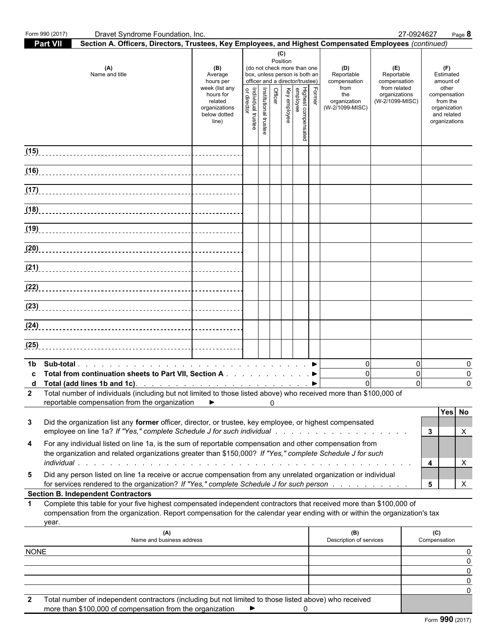|             | Form 990 (2017) | Dravet Syndrome Foundation, Inc.                                                                                                                                                                                                                                                      |                                                                                                                 |                                   |                       |                            |              |                                                                                                                                           |        |                                                                                     |                                                                                       | 27-0924627              | Page 8                                                                                                             |
|-------------|-----------------|---------------------------------------------------------------------------------------------------------------------------------------------------------------------------------------------------------------------------------------------------------------------------------------|-----------------------------------------------------------------------------------------------------------------|-----------------------------------|-----------------------|----------------------------|--------------|-------------------------------------------------------------------------------------------------------------------------------------------|--------|-------------------------------------------------------------------------------------|---------------------------------------------------------------------------------------|-------------------------|--------------------------------------------------------------------------------------------------------------------|
|             | <b>Part VII</b> | Section A. Officers, Directors, Trustees, Key Employees, and Highest Compensated Employees (continued)                                                                                                                                                                                |                                                                                                                 |                                   |                       |                            |              |                                                                                                                                           |        |                                                                                     |                                                                                       |                         |                                                                                                                    |
|             |                 | (A)<br>Name and title                                                                                                                                                                                                                                                                 | (B)<br>Average<br>hours per<br>week (list any<br>hours for<br>related<br>organizations<br>below dotted<br>line) | Individual trustee<br>or director | Institutional trustee | (C)<br>Position<br>Officer | Key employee | (do not check more than one<br>box, unless person is both an<br>officer and a director/trustee)<br>Highest compensated<br> <br>  employee | Former | (D)<br>Reportable<br>compensation<br>from<br>the<br>organization<br>(W-2/1099-MISC) | (E)<br>Reportable<br>compensation<br>from related<br>organizations<br>(W-2/1099-MISC) |                         | (F)<br>Estimated<br>amount of<br>other<br>compensation<br>from the<br>organization<br>and related<br>organizations |
|             |                 | (15)                                                                                                                                                                                                                                                                                  |                                                                                                                 |                                   |                       |                            |              |                                                                                                                                           |        |                                                                                     |                                                                                       |                         |                                                                                                                    |
|             |                 |                                                                                                                                                                                                                                                                                       |                                                                                                                 |                                   |                       |                            |              |                                                                                                                                           |        |                                                                                     |                                                                                       |                         |                                                                                                                    |
|             |                 |                                                                                                                                                                                                                                                                                       |                                                                                                                 |                                   |                       |                            |              |                                                                                                                                           |        |                                                                                     |                                                                                       |                         |                                                                                                                    |
|             |                 |                                                                                                                                                                                                                                                                                       |                                                                                                                 |                                   |                       |                            |              |                                                                                                                                           |        |                                                                                     |                                                                                       |                         |                                                                                                                    |
|             |                 |                                                                                                                                                                                                                                                                                       |                                                                                                                 |                                   |                       |                            |              |                                                                                                                                           |        |                                                                                     |                                                                                       |                         |                                                                                                                    |
|             |                 |                                                                                                                                                                                                                                                                                       |                                                                                                                 |                                   |                       |                            |              |                                                                                                                                           |        |                                                                                     |                                                                                       |                         |                                                                                                                    |
|             |                 |                                                                                                                                                                                                                                                                                       |                                                                                                                 |                                   |                       |                            |              |                                                                                                                                           |        |                                                                                     |                                                                                       |                         |                                                                                                                    |
|             |                 |                                                                                                                                                                                                                                                                                       |                                                                                                                 |                                   |                       |                            |              |                                                                                                                                           |        |                                                                                     |                                                                                       |                         |                                                                                                                    |
|             |                 |                                                                                                                                                                                                                                                                                       |                                                                                                                 |                                   |                       |                            |              |                                                                                                                                           |        |                                                                                     |                                                                                       |                         |                                                                                                                    |
|             |                 |                                                                                                                                                                                                                                                                                       |                                                                                                                 |                                   |                       |                            |              |                                                                                                                                           |        |                                                                                     |                                                                                       |                         |                                                                                                                    |
|             |                 |                                                                                                                                                                                                                                                                                       |                                                                                                                 |                                   |                       |                            |              |                                                                                                                                           |        |                                                                                     |                                                                                       |                         |                                                                                                                    |
| (25)        |                 |                                                                                                                                                                                                                                                                                       |                                                                                                                 |                                   |                       |                            |              |                                                                                                                                           |        |                                                                                     |                                                                                       |                         |                                                                                                                    |
| 1b<br>C     |                 |                                                                                                                                                                                                                                                                                       |                                                                                                                 |                                   |                       |                            |              |                                                                                                                                           |        | $\mathbf 0$<br>$\overline{0}$                                                       |                                                                                       | $\Omega$<br>$\mathbf 0$ | $\Omega$<br>0                                                                                                      |
|             |                 | <b>d</b> Total (add lines 1b and 1c). $\ldots$ $\ldots$ $\ldots$ $\ldots$ $\ldots$ $\ldots$ $\ldots$ $\ldots$<br>2 Total number of individuals (including but not limited to those listed above) who received more than \$100,000 of<br>reportable compensation from the organization | $\blacktriangleright$                                                                                           |                                   |                       | 0                          |              |                                                                                                                                           |        |                                                                                     |                                                                                       | $\Omega$                | $\Omega$                                                                                                           |
| 3           |                 | Did the organization list any former officer, director, or trustee, key employee, or highest compensated<br>employee on line 1a? If "Yes," complete Schedule J for such individual readers and readers and readers and read                                                           |                                                                                                                 |                                   |                       |                            |              |                                                                                                                                           |        |                                                                                     |                                                                                       | $\mathbf{3}$            | Yes No<br>X                                                                                                        |
| 4           |                 | For any individual listed on line 1a, is the sum of reportable compensation and other compensation from<br>the organization and related organizations greater than \$150,000? If "Yes," complete Schedule J for such                                                                  |                                                                                                                 |                                   |                       |                            |              |                                                                                                                                           |        |                                                                                     |                                                                                       | 4                       | X                                                                                                                  |
| 5           |                 | Did any person listed on line 1a receive or accrue compensation from any unrelated organization or individual<br>for services rendered to the organization? If "Yes," complete Schedule J for such person                                                                             |                                                                                                                 |                                   |                       |                            |              |                                                                                                                                           |        |                                                                                     |                                                                                       | $5\overline{)}$         | $\mathsf{X}$                                                                                                       |
|             |                 | <b>Section B. Independent Contractors</b>                                                                                                                                                                                                                                             |                                                                                                                 |                                   |                       |                            |              |                                                                                                                                           |        |                                                                                     |                                                                                       |                         |                                                                                                                    |
| 1.          | year.           | Complete this table for your five highest compensated independent contractors that received more than \$100,000 of<br>compensation from the organization. Report compensation for the calendar year ending with or within the organization's tax                                      |                                                                                                                 |                                   |                       |                            |              |                                                                                                                                           |        |                                                                                     |                                                                                       |                         |                                                                                                                    |
|             |                 | (A)<br>Name and business address                                                                                                                                                                                                                                                      |                                                                                                                 |                                   |                       |                            |              |                                                                                                                                           |        | (B)<br>Description of services                                                      |                                                                                       | (C)<br>Compensation     |                                                                                                                    |
| <b>NONE</b> |                 |                                                                                                                                                                                                                                                                                       |                                                                                                                 |                                   |                       |                            |              |                                                                                                                                           |        |                                                                                     |                                                                                       |                         | 0<br>0                                                                                                             |
|             |                 |                                                                                                                                                                                                                                                                                       |                                                                                                                 |                                   |                       |                            |              |                                                                                                                                           |        |                                                                                     |                                                                                       |                         | $\Omega$<br>0                                                                                                      |
| 2           |                 | Total number of independent contractors (including but not limited to those listed above) who received                                                                                                                                                                                |                                                                                                                 |                                   |                       |                            |              |                                                                                                                                           |        |                                                                                     |                                                                                       |                         |                                                                                                                    |
|             |                 | more than \$100,000 of compensation from the organization                                                                                                                                                                                                                             |                                                                                                                 | ►                                 |                       |                            |              | 0                                                                                                                                         |        |                                                                                     |                                                                                       |                         | Form 990 (2017)                                                                                                    |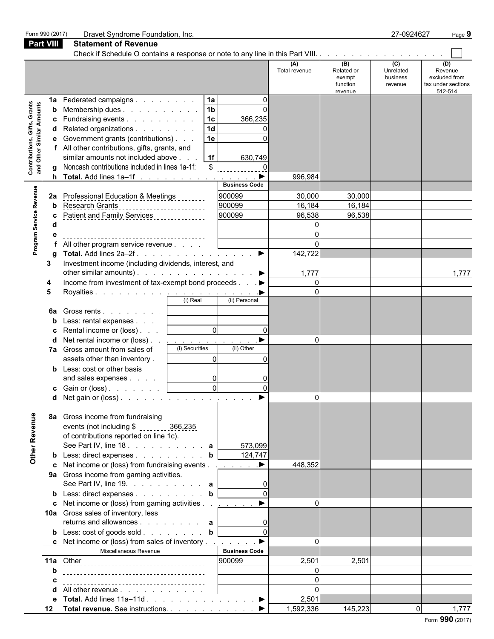|                                                           | Form 990 (2017)    | Dravet Syndrome Foundation, Inc.                                                                                                                                                                                                                                                                                                   |                                                                                                       |                                             |                                                    | 27-0924627                              | Page 9                                                           |
|-----------------------------------------------------------|--------------------|------------------------------------------------------------------------------------------------------------------------------------------------------------------------------------------------------------------------------------------------------------------------------------------------------------------------------------|-------------------------------------------------------------------------------------------------------|---------------------------------------------|----------------------------------------------------|-----------------------------------------|------------------------------------------------------------------|
| <b>Part VIII</b>                                          |                    | <b>Statement of Revenue</b>                                                                                                                                                                                                                                                                                                        |                                                                                                       |                                             |                                                    |                                         |                                                                  |
|                                                           |                    |                                                                                                                                                                                                                                                                                                                                    |                                                                                                       |                                             |                                                    |                                         |                                                                  |
|                                                           |                    |                                                                                                                                                                                                                                                                                                                                    |                                                                                                       | (A)<br>Total revenue                        | (B)<br>Related or<br>exempt<br>function<br>revenue | (C)<br>Unrelated<br>business<br>revenue | (D)<br>Revenue<br>excluded from<br>tax under sections<br>512-514 |
| Contributions, Gifts, Grants<br>and Other Similar Amounts | $\mathbf{a}$       | 1a Federated campaigns<br><b>b</b> Membership dues<br><b>c</b> Fundraising events<br>d Related organizations<br>e Government grants (contributions)<br>f All other contributions, gifts, grants, and<br>similar amounts not included above<br>Noncash contributions included in lines 1a-1f:<br><b>h</b> Total. Add lines $1a-1f$  | 1a<br>$\Omega$<br>1 <sub>b</sub><br>1c<br>366,235<br>1 <sub>d</sub><br>1e<br>1f<br>630,749<br>\$<br>▸ | 996,984                                     |                                                    |                                         |                                                                  |
|                                                           |                    |                                                                                                                                                                                                                                                                                                                                    | <b>Business Code</b>                                                                                  |                                             |                                                    |                                         |                                                                  |
| Program Service Revenue                                   | b<br>C<br>d        | 2a Professional Education & Meetings<br><b>Research Grants</b><br>--------------------<br>All other program service revenue                                                                                                                                                                                                        | 900099<br>900099<br>900099                                                                            | 30,000<br>16,184<br>96,538<br>C<br>$\Omega$ | 30,000<br>16,184<br>96,538                         |                                         |                                                                  |
|                                                           | a                  |                                                                                                                                                                                                                                                                                                                                    |                                                                                                       | 142,722                                     |                                                    |                                         |                                                                  |
|                                                           | 3<br>4<br>5        | Investment income (including dividends, interest, and<br>other similar amounts). $\ldots$ $\ldots$ $\ldots$ $\ldots$ $\ldots$ $\ldots$<br>Income from investment of tax-exempt bond proceeds ▶<br>(i) Real                                                                                                                         | (ii) Personal                                                                                         | 1,777<br>0<br>$\Omega$                      |                                                    |                                         | 1,777                                                            |
|                                                           | 6а<br>b<br>C.<br>d | Gross rents  <br>Less: rental expenses<br>Rental income or (loss)<br>Net rental income or (loss)<br>and the company of the company of<br>(i) Securities<br>7a Gross amount from sales of<br>assets other than inventory.<br><b>b</b> Less: cost or other basis<br>and sales expenses<br><b>c</b> Gain or (loss) <u>  _ _ _ _ _</u> | $\overline{0}$<br>(ii) Other<br>$\Omega$<br>0l<br>$\overline{0}$                                      | $\Omega$                                    |                                                    |                                         |                                                                  |
| Other Revenue                                             | 8а                 | d Net gain or (loss).<br>Gross income from fundraising<br>events (not including \$ _______ 366,235<br>of contributions reported on line 1c).<br><b>b</b> Less: direct expenses <b>b</b>                                                                                                                                            | 573,099<br>124,747                                                                                    |                                             |                                                    |                                         |                                                                  |
|                                                           |                    | c Net income or (loss) from fundraising events ▶<br>9a Gross income from gaming activities.<br>See Part IV, line 19. $\ldots$ $\ldots$ $\ldots$ a<br><b>b</b> Less: direct expenses <b>b</b><br>c Net income or (loss) from gaming activities $\ldots$ $\ldots$<br>10a Gross sales of inventory, less                              |                                                                                                       | 448,352<br>$\Omega$                         |                                                    |                                         |                                                                  |
|                                                           |                    | returns and allowances $\mathbf{a}$<br><b>b</b> Less: $\cosh$ of goods sold <b>b</b><br>c Net income or (loss) from sales of inventory ▶<br>Miscellaneous Revenue                                                                                                                                                                  | <b>Business Code</b><br>900099                                                                        | $\mathbf{0}$<br>2,501                       | 2,501                                              |                                         |                                                                  |
|                                                           | b<br>c<br>d<br>е   | All other revenue<br>Total. Add lines $11a-11d$ . $\blacktriangleright$                                                                                                                                                                                                                                                            |                                                                                                       | 0<br>2,501                                  |                                                    |                                         |                                                                  |
|                                                           | 12                 | Total revenue. See instructions. ▶                                                                                                                                                                                                                                                                                                 |                                                                                                       | 1,592,336                                   | 145,223                                            |                                         | 1,777                                                            |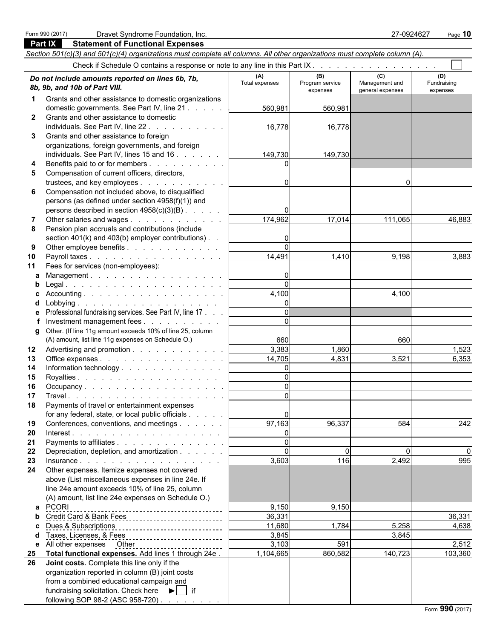**Part IX Statement of Functional Expenses**

fundraising solicitation. Check here  $\blacktriangleright$  | if

following SOP 98-2 (ASC 958-720)

## *Section 501(c)(3) and 501(c)(4) organizations must complete all columns. All other organizations must complete column (A).* Check if Schedule O contains a response or note to any line in this Part IX. **(A) (B) (C) (D)** Total expenses Program service Management and Fundraising **Do not include amounts reported on lines 6b, 7b,**<br>Bb, 9b, and 10b of Part VIII. **All program service** Program service Management and Fundraising **8b, 9b, and 10b o** 8b, 9b, and 10b of Part VIII. **1** Grants and other assistance to domestic organizations domestic governments. See Part IV, line 21 . . . . . . . . . . . . . . . . . . . . . . . . . . . . . . . . . . . . . . . . . . . . . . . . . . . 560,981 560,981 **2** Grants and other assistance to domestic individuals. See Part IV, line 22 . . . . . . . . . . . . . . . 16,778 16,778 **3** Grants and other assistance to foreign organizations, foreign governments, and foreign individuals. See Part IV, lines 15 and 16 . . . . . . . . . . . . . 149,730 149,730 **4** Benefits paid to or for members . . . . . . . . . . . . . . 0 **5** Compensation of current officers, directors, trustees, and key employees . . . . . . . . . . . . . . . . . . . . . . . . . . . . . . . . . . . . . . . . . . . . . . . . . . . . . . . 0 0 **6** Compensation not included above, to disqualified persons (as defined under section 4958(f)(1)) and persons described in section  $4958(c)(3)(B)$ . . . . . . . . . . . . 0 **7** Other salaries and wages . . . . . . . . . . . . . . . . 174,962 17,014 111,065 46,883 **8** Pension plan accruals and contributions (include section  $401(k)$  and  $403(b)$  employer contributions)  $\therefore$  . **9** Other employee benefits . . . . . . . . . . . . . . . . . . . . . . . . . . . . . . . . . . . . . . . . . . . . . . . . . . . . . . . . 0 **10** Payroll taxes . . . . . . . . . . . . . . . . . . . . . . . . . . . . . . . . . . . . . . . . . . . . . . . . . . . . . . . . . . 14,491 1,410 9,198 3,883 **11** Fees for services (non-employees): **a** Management . . . . . . . . . . . . . . . . . . 0 **b** Legal . . . . . . . . . . . . . . . . . . . . . . . . . . . . . . . . . . . . . . . . . . . . . . . . . . . . . . . . . . . . 0 **c** Accounting . . . . . . . . . . . . . . . . . . . . . . . . . . . . . . . . . . . . . . . . . . . . . . . . . . . . . . . . . . 4,100 4,100 **d** Lobbying . . . . . . . . . . . . . . . . . . . . . . . . . . . . . . . . . . . . . . . . . . . . . . . . . . . . . . . . . . . 0 **e** Professional fundraising services. See Part IV, line 17 . . . . | **f** Investment management fees . . . . . . . . . .  $\vert$ **g** Other. (If line 11g amount exceeds 10% of line 25, column  $(A)$  amount, list line 11g expenses on Schedule O.)  $660$  660 **12** Advertising and promotion . . . . . . . . . . . . . . . . . . . . . . . . . . . . . . . . . . . . . . . . . . . . . . . . . . . . . . . 3,383 1,860 1,523 **13** Office expenses . . . . . . . . . . . . . . . . . . . . . . . . . . . . . . . . . . . . . . . . . . . . . . . . . . . . . . . . . 14,705 4,831 3,521 6,353 **14 Information technology** . . . . . . . . . . . . . . <u>| \_ \_ \_ \_ \_ 0</u> **15** Royalties . . . . . . . . . . . . . . . . . . . . . . . . . . . . . . . . . . . . . . . . . . . . . . . . . . . . . . . . . . . 0 **16** Occupancy . . . . . . . . . . . . . . . . . . . . . . . . . . . . . . . . . . . . . . . . . . . . . . . . . . . . . . . . . . . 0 **17** Travel . . . . . . . . . . . . . . . . . . . . . . . . . . . . . . . . . . . . . . . . . . . . . . . . . . . . . . . . . . . 0 **18** Payments of travel or entertainment expenses for any federal, state, or local public officials  $\ldots$  . . . . . . . . 0<br>Conferences, conventions, and meetings . . . . . . . . . . . 97.163 **19** Conferences, conventions, and meetings . . . . . . . . | 97,163 96,337 584 584 **20** Interest . . . . . . . . . . . . . . . . . . . . . . . . . . . . . . . . . . . . . . . . . . . . . . . . . . . . . . . . . . . 0 **21** Payments to affiliates . . . . . . . . . . . . . . . . . . 0 **22** Depreciation, depletion, and amortization . . . . . . . . . . . . . . . . . . . . . . . . . . . . . . . . . . . . . . . . . . . . . . . . . . . 0 0 0 0 **23** Insurance . . . . . . . . . . . . . . . . . . . . . . . . . . . . . . . . . . . . . . . . . . . . . . . . . . . . . . . . . . . 3,603 116 2,492 995 **24** Other expenses. Itemize expenses not covered above (List miscellaneous expenses in line 24e. If line 24e amount exceeds 10% of line 25, column (A) amount, list line 24e expenses on Schedule O.) **a** PCORI 9,150 9,150 9,150 9,150 9,150 9,150 9,150 9,150 9,150 9,150 9,150 9,150 9,150 9,150 9,150 9,150 9,150 9,150 9,150 9,150 9,150  $\frac{1}{100}$ **b** Credit Card & Bank Fees 200 200 200 200 200 36,331 36,331 **c** Dues & Subscriptions 2008 11,680 1,784 5,258 4,638 **d** Taxes, Licenses, & Fees 3, 2008 3, 2008 3,845 3,845 3,845 3,845 3,845 **e** All other expenses Other 3,103 591 3,103 591 **25 Total functional expenses.** Add lines 1 through 24e .  $\begin{vmatrix} 1 & 104,665 \end{vmatrix}$  860,582 140,723 103,360 **26 Joint costs.** Complete this line only if the organization reported in column (B) joint costs from a combined educational campaign and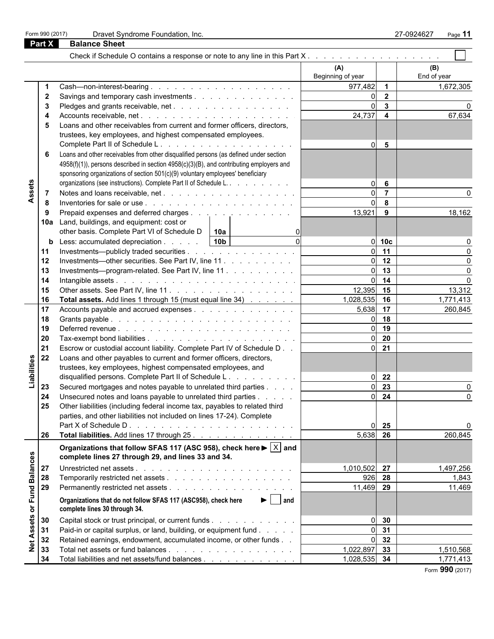|            |              |                                                                                                                                | (A)<br>Beginning of year |                         | (B)<br>End of year |
|------------|--------------|--------------------------------------------------------------------------------------------------------------------------------|--------------------------|-------------------------|--------------------|
|            |              |                                                                                                                                | 977,482                  | $\mathbf 1$             | 1,672,305          |
|            | $\mathbf{2}$ | Savings and temporary cash investments                                                                                         | $\Omega$                 | $\overline{2}$          |                    |
|            | 3            |                                                                                                                                | $\overline{0}$           | $\mathbf{3}$            |                    |
|            |              |                                                                                                                                | 24,737                   | $\overline{\mathbf{4}}$ | 67,634             |
|            |              | Loans and other receivables from current and former officers, directors,                                                       |                          |                         |                    |
|            |              | trustees, key employees, and highest compensated employees.                                                                    |                          |                         |                    |
|            |              |                                                                                                                                | $\Omega$                 | 5                       |                    |
|            |              | Loans and other receivables from other disqualified persons (as defined under section                                          |                          |                         |                    |
|            |              |                                                                                                                                |                          |                         |                    |
|            |              | 4958(f)(1)), persons described in section 4958(c)(3)(B), and contributing employers and                                        |                          |                         |                    |
|            |              | sponsoring organizations of section 501(c)(9) voluntary employees' beneficiary                                                 |                          |                         |                    |
| ssets      |              | organizations (see instructions). Complete Part II of Schedule L.                                                              | $\overline{0}$           | 6                       |                    |
|            | 7            |                                                                                                                                | $\overline{0}$           | $\overline{7}$          |                    |
| ⋖          | 8            |                                                                                                                                | $\overline{0}$           | 8                       |                    |
|            | 9            | Prepaid expenses and deferred charges                                                                                          | 13,921                   | 9                       | 18,162             |
|            |              | 10a Land, buildings, and equipment: cost or                                                                                    |                          |                         |                    |
|            |              | other basis. Complete Part VI of Schedule D<br>10a                                                                             |                          |                         |                    |
|            | b            | $\Omega$<br>Less: accumulated depreciation 10b                                                                                 | $\overline{0}$           | 10 <sub>c</sub>         |                    |
|            | 11           | Investments—publicly traded securities                                                                                         | $\overline{0}$           | 11                      |                    |
|            | 12           | Investments—other securities. See Part IV, line 11                                                                             | $\overline{0}$           | 12                      |                    |
|            | 13           | Investments---program-related. See Part IV, line 11                                                                            | $\overline{0}$           | 13                      |                    |
|            | 14           |                                                                                                                                | $\overline{0}$           | 14                      |                    |
|            | 15           |                                                                                                                                | $12,395$ 15              |                         | 13,312             |
|            | 16           | <b>Total assets.</b> Add lines 1 through 15 (must equal line 34)                                                               | 1,028,535                | 16                      | 1,771,413          |
|            | 17           | Accounts payable and accrued expenses                                                                                          | 5,638                    | 17                      | 260,845            |
|            | 18           |                                                                                                                                | $\Omega$                 | 18                      |                    |
|            | 19           |                                                                                                                                | $\overline{0}$           | 19                      |                    |
|            | 20           |                                                                                                                                | $\overline{0}$           | 20                      |                    |
|            | 21           | Escrow or custodial account liability. Complete Part IV of Schedule D                                                          | $\overline{0}$           | 21                      |                    |
|            | 22           | Loans and other payables to current and former officers, directors,                                                            |                          |                         |                    |
| iabilities |              |                                                                                                                                |                          |                         |                    |
|            |              | trustees, key employees, highest compensated employees, and                                                                    |                          |                         |                    |
|            |              | disqualified persons. Complete Part II of Schedule L.                                                                          | $\overline{0}$           | 22                      |                    |
|            | 23           | Secured mortgages and notes payable to unrelated third parties                                                                 | $\overline{0}$           | 23                      |                    |
|            | 24           | Unsecured notes and loans payable to unrelated third parties                                                                   | $\Omega$                 | 24                      | 0                  |
|            | 25           | Other liabilities (including federal income tax, payables to related third                                                     |                          |                         |                    |
|            |              | parties, and other liabilities not included on lines 17-24). Complete                                                          |                          |                         |                    |
|            |              | Part X of Schedule D.                                                                                                          | $\overline{0}$           | 25                      | 0                  |
|            | 26           | Total liabilities. Add lines 17 through 25.                                                                                    | 5,638 26                 |                         | 260,845            |
|            |              | Organizations that follow SFAS 117 (ASC 958), check here $\blacktriangleright \lceil \overline{X} \rceil$ and                  |                          |                         |                    |
|            |              | complete lines 27 through 29, and lines 33 and 34.                                                                             |                          |                         |                    |
| lances     |              |                                                                                                                                |                          |                         |                    |
|            | 27           |                                                                                                                                | 1,010,502 27             |                         | 1,497,256          |
| Bal        | 28           |                                                                                                                                | $926$ 28                 |                         | 1,843              |
|            | 29           |                                                                                                                                | 11,469 29                |                         | 11,469             |
| Fund<br>ð  |              | Organizations that do not follow SFAS 117 (ASC958), check here<br>$\blacktriangleright$   and<br>complete lines 30 through 34. |                          |                         |                    |
|            | 30           | Capital stock or trust principal, or current funds                                                                             | $\overline{0}$           | 30                      |                    |
| Assets     |              |                                                                                                                                | $\overline{0}$           | 31                      |                    |
|            | 31           | Paid-in or capital surplus, or land, building, or equipment fund                                                               |                          |                         |                    |
| ₫<br>Z     | 32           | Retained earnings, endowment, accumulated income, or other funds                                                               | $\overline{0}$           | 32                      |                    |
|            | 33           |                                                                                                                                | 1,022,897                | 33                      | 1,510,568          |
|            | 34           | Total liabilities and net assets/fund balances                                                                                 | 1,028,535 34             |                         | 1,771,413          |
|            |              |                                                                                                                                |                          |                         | Form 990 (2017)    |

**Part X Balance Sheet**

|  | Form 990 (2017) |
|--|-----------------|
|  |                 |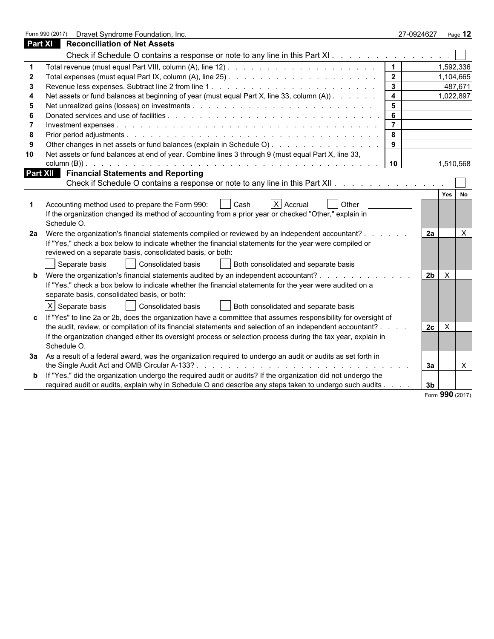|    | Form 990 (2017)<br>Dravet Syndrome Foundation, Inc.                                                              |                         | 27-0924627                     | Page 12         |
|----|------------------------------------------------------------------------------------------------------------------|-------------------------|--------------------------------|-----------------|
|    | <b>Part XI</b> Reconciliation of Net Assets                                                                      |                         |                                |                 |
|    | Check if Schedule O contains a response or note to any line in this Part XI                                      |                         |                                |                 |
|    |                                                                                                                  | $\mathbf 1$             |                                | 1,592,336       |
| 2  |                                                                                                                  | $\overline{2}$          |                                | 1,104,665       |
| 3  |                                                                                                                  | $\mathbf{3}$            |                                | 487,671         |
|    | Net assets or fund balances at beginning of year (must equal Part X, line 33, column (A)).                       | $\overline{\mathbf{4}}$ |                                | 1,022,897       |
| 5  |                                                                                                                  | 5                       |                                |                 |
|    |                                                                                                                  | 6                       |                                |                 |
| 7  |                                                                                                                  | $\overline{7}$          |                                |                 |
| 8  |                                                                                                                  | 8                       |                                |                 |
| 9  |                                                                                                                  | 9                       |                                |                 |
| 10 | Net assets or fund balances at end of year. Combine lines 3 through 9 (must equal Part X, line 33,               |                         |                                |                 |
|    |                                                                                                                  | 10                      |                                | 1,510,568       |
|    | <b>Part XII</b> Financial Statements and Reporting                                                               |                         |                                |                 |
|    | Check if Schedule O contains a response or note to any line in this Part XII                                     |                         |                                |                 |
|    |                                                                                                                  |                         |                                | Yes             |
|    | Accounting method used to prepare the Form 990:<br>  Cash<br>$X$ Accrual<br>Other                                |                         |                                |                 |
|    | If the organization changed its method of accounting from a prior year or checked "Other," explain in            |                         |                                |                 |
|    | Schedule O.                                                                                                      |                         |                                |                 |
| 2a | Were the organization's financial statements compiled or reviewed by an independent accountant? .                |                         | 2a                             | $\times$        |
|    | If "Yes," check a box below to indicate whether the financial statements for the year were compiled or           |                         |                                |                 |
|    | reviewed on a separate basis, consolidated basis, or both:                                                       |                         |                                |                 |
|    | Consolidated basis<br>Separate basis<br>Both consolidated and separate basis                                     |                         |                                |                 |
|    | <b>b</b> Were the organization's financial statements audited by an independent accountant?                      |                         | $\mathsf{X}$<br>2 <sub>b</sub> |                 |
|    | If "Yes," check a box below to indicate whether the financial statements for the year were audited on a          |                         |                                |                 |
|    | separate basis, consolidated basis, or both:                                                                     |                         |                                |                 |
|    | $\pmb{\times}$<br>Separate basis<br>Consolidated basis<br>Both consolidated and separate basis                   |                         |                                |                 |
|    |                                                                                                                  |                         |                                |                 |
|    | c If "Yes" to line 2a or 2b, does the organization have a committee that assumes responsibility for oversight of |                         |                                |                 |
|    | the audit, review, or compilation of its financial statements and selection of an independent accountant?.       |                         | 2c<br>$\mathsf{X}$             |                 |
|    | If the organization changed either its oversight process or selection process during the tax year, explain in    |                         |                                |                 |
|    | Schedule O.                                                                                                      |                         |                                |                 |
| За | As a result of a federal award, was the organization required to undergo an audit or audits as set forth in      |                         |                                |                 |
|    |                                                                                                                  |                         | За                             | X               |
|    | b If "Yes," did the organization undergo the required audit or audits? If the organization did not undergo the   |                         |                                |                 |
|    | required audit or audits, explain why in Schedule O and describe any steps taken to undergo such audits          |                         | 3b                             |                 |
|    |                                                                                                                  |                         |                                | Form 990 (2017) |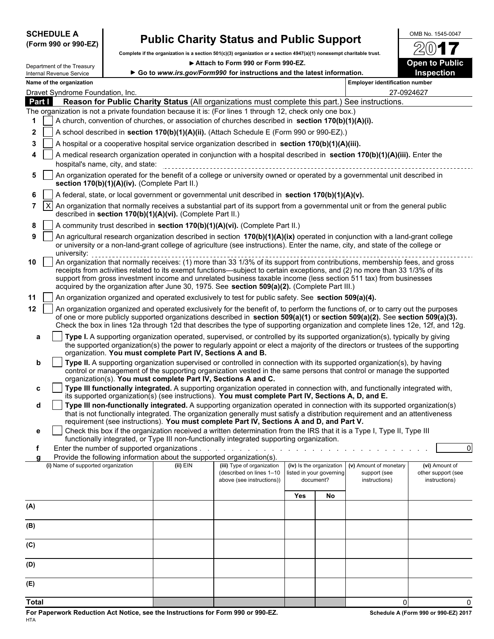|                          | <b>SCHEDULE A</b>        |                             |  |
|--------------------------|--------------------------|-----------------------------|--|
| $\overline{\phantom{0}}$ | $\overline{\phantom{a}}$ | $\sim$ $\sim$ $\sim$ $\sim$ |  |

## **SCHEDULE A** OMB No. 1545-0047 **(Form 990 or 990-EZ) Public Charity Status and Public Support**

**Complete if the organization is a section 501(c)(3) organization or a section 4947(a)(1) nonexempt charitable trust.**

| Department of the Treasury                                                                                |                                                                                                                           |                                                                        | Attach to Form 990 or Form 990-EZ.                                                                                                                                                                                                                              |                          |                                       |                                       | <b>Open to Public</b>               |  |  |  |  |
|-----------------------------------------------------------------------------------------------------------|---------------------------------------------------------------------------------------------------------------------------|------------------------------------------------------------------------|-----------------------------------------------------------------------------------------------------------------------------------------------------------------------------------------------------------------------------------------------------------------|--------------------------|---------------------------------------|---------------------------------------|-------------------------------------|--|--|--|--|
| Internal Revenue Service                                                                                  |                                                                                                                           | Go to www.irs.gov/Form990 for instructions and the latest information. |                                                                                                                                                                                                                                                                 |                          |                                       |                                       | Inspection                          |  |  |  |  |
| Name of the organization                                                                                  |                                                                                                                           |                                                                        |                                                                                                                                                                                                                                                                 |                          |                                       | <b>Employer identification number</b> |                                     |  |  |  |  |
| Dravet Syndrome Foundation, Inc.                                                                          |                                                                                                                           |                                                                        |                                                                                                                                                                                                                                                                 | 27-0924627               |                                       |                                       |                                     |  |  |  |  |
| Part I                                                                                                    |                                                                                                                           |                                                                        | Reason for Public Charity Status (All organizations must complete this part.) See instructions.                                                                                                                                                                 |                          |                                       |                                       |                                     |  |  |  |  |
| The organization is not a private foundation because it is: (For lines 1 through 12, check only one box.) |                                                                                                                           |                                                                        |                                                                                                                                                                                                                                                                 |                          |                                       |                                       |                                     |  |  |  |  |
| 1.                                                                                                        |                                                                                                                           |                                                                        | A church, convention of churches, or association of churches described in section 170(b)(1)(A)(i).                                                                                                                                                              |                          |                                       |                                       |                                     |  |  |  |  |
| $\mathbf{2}$                                                                                              | A school described in section 170(b)(1)(A)(ii). (Attach Schedule E (Form 990 or 990-EZ).)                                 |                                                                        |                                                                                                                                                                                                                                                                 |                          |                                       |                                       |                                     |  |  |  |  |
| 3                                                                                                         | A hospital or a cooperative hospital service organization described in section 170(b)(1)(A)(iii).                         |                                                                        |                                                                                                                                                                                                                                                                 |                          |                                       |                                       |                                     |  |  |  |  |
| 4                                                                                                         | A medical research organization operated in conjunction with a hospital described in section 170(b)(1)(A)(iii). Enter the |                                                                        |                                                                                                                                                                                                                                                                 |                          |                                       |                                       |                                     |  |  |  |  |
|                                                                                                           | hospital's name, city, and state:                                                                                         |                                                                        |                                                                                                                                                                                                                                                                 |                          |                                       |                                       |                                     |  |  |  |  |
| 5                                                                                                         | section 170(b)(1)(A)(iv). (Complete Part II.)                                                                             |                                                                        | An organization operated for the benefit of a college or university owned or operated by a governmental unit described in                                                                                                                                       |                          |                                       |                                       |                                     |  |  |  |  |
| 6                                                                                                         |                                                                                                                           |                                                                        | A federal, state, or local government or governmental unit described in section 170(b)(1)(A)(v).                                                                                                                                                                |                          |                                       |                                       |                                     |  |  |  |  |
| $\mathsf{X}$<br>$7^{\circ}$                                                                               |                                                                                                                           | described in section 170(b)(1)(A)(vi). (Complete Part II.)             | An organization that normally receives a substantial part of its support from a governmental unit or from the general public                                                                                                                                    |                          |                                       |                                       |                                     |  |  |  |  |
| 8                                                                                                         |                                                                                                                           |                                                                        | A community trust described in section 170(b)(1)(A)(vi). (Complete Part II.)                                                                                                                                                                                    |                          |                                       |                                       |                                     |  |  |  |  |
| 9                                                                                                         |                                                                                                                           |                                                                        | An agricultural research organization described in section 170(b)(1)(A)(ix) operated in conjunction with a land-grant college                                                                                                                                   |                          |                                       |                                       |                                     |  |  |  |  |
|                                                                                                           |                                                                                                                           |                                                                        | or university or a non-land-grant college of agriculture (see instructions). Enter the name, city, and state of the college or                                                                                                                                  |                          |                                       |                                       |                                     |  |  |  |  |
| university:<br>10                                                                                         |                                                                                                                           |                                                                        | An organization that normally receives: (1) more than 33 1/3% of its support from contributions, membership fees, and gross                                                                                                                                     |                          |                                       |                                       |                                     |  |  |  |  |
|                                                                                                           |                                                                                                                           |                                                                        | receipts from activities related to its exempt functions—subject to certain exceptions, and (2) no more than 33 1/3% of its                                                                                                                                     |                          |                                       |                                       |                                     |  |  |  |  |
|                                                                                                           |                                                                                                                           |                                                                        | support from gross investment income and unrelated business taxable income (less section 511 tax) from businesses                                                                                                                                               |                          |                                       |                                       |                                     |  |  |  |  |
|                                                                                                           |                                                                                                                           |                                                                        | acquired by the organization after June 30, 1975. See section 509(a)(2). (Complete Part III.)                                                                                                                                                                   |                          |                                       |                                       |                                     |  |  |  |  |
| 11                                                                                                        |                                                                                                                           |                                                                        | An organization organized and operated exclusively to test for public safety. See section 509(a)(4).                                                                                                                                                            |                          |                                       |                                       |                                     |  |  |  |  |
| 12                                                                                                        |                                                                                                                           |                                                                        | An organization organized and operated exclusively for the benefit of, to perform the functions of, or to carry out the purposes<br>of one or more publicly supported organizations described in section 509(a)(1) or section 509(a)(2). See section 509(a)(3). |                          |                                       |                                       |                                     |  |  |  |  |
|                                                                                                           |                                                                                                                           |                                                                        | Check the box in lines 12a through 12d that describes the type of supporting organization and complete lines 12e, 12f, and 12g.                                                                                                                                 |                          |                                       |                                       |                                     |  |  |  |  |
| a                                                                                                         |                                                                                                                           |                                                                        | Type I. A supporting organization operated, supervised, or controlled by its supported organization(s), typically by giving                                                                                                                                     |                          |                                       |                                       |                                     |  |  |  |  |
|                                                                                                           |                                                                                                                           | organization. You must complete Part IV, Sections A and B.             | the supported organization(s) the power to regularly appoint or elect a majority of the directors or trustees of the supporting                                                                                                                                 |                          |                                       |                                       |                                     |  |  |  |  |
| b                                                                                                         |                                                                                                                           |                                                                        | Type II. A supporting organization supervised or controlled in connection with its supported organization(s), by having                                                                                                                                         |                          |                                       |                                       |                                     |  |  |  |  |
|                                                                                                           |                                                                                                                           |                                                                        | control or management of the supporting organization vested in the same persons that control or manage the supported                                                                                                                                            |                          |                                       |                                       |                                     |  |  |  |  |
|                                                                                                           |                                                                                                                           |                                                                        | organization(s). You must complete Part IV, Sections A and C.                                                                                                                                                                                                   |                          |                                       |                                       |                                     |  |  |  |  |
| c                                                                                                         |                                                                                                                           |                                                                        | Type III functionally integrated. A supporting organization operated in connection with, and functionally integrated with,<br>its supported organization(s) (see instructions). You must complete Part IV, Sections A, D, and E.                                |                          |                                       |                                       |                                     |  |  |  |  |
| d                                                                                                         |                                                                                                                           |                                                                        | Type III non-functionally integrated. A supporting organization operated in connection with its supported organization(s)                                                                                                                                       |                          |                                       |                                       |                                     |  |  |  |  |
|                                                                                                           |                                                                                                                           |                                                                        | that is not functionally integrated. The organization generally must satisfy a distribution requirement and an attentiveness                                                                                                                                    |                          |                                       |                                       |                                     |  |  |  |  |
|                                                                                                           |                                                                                                                           |                                                                        | requirement (see instructions). You must complete Part IV, Sections A and D, and Part V.                                                                                                                                                                        |                          |                                       |                                       |                                     |  |  |  |  |
| е                                                                                                         |                                                                                                                           |                                                                        | Check this box if the organization received a written determination from the IRS that it is a Type I, Type II, Type III<br>functionally integrated, or Type III non-functionally integrated supporting organization.                                            |                          |                                       |                                       |                                     |  |  |  |  |
|                                                                                                           |                                                                                                                           | Enter the number of supported organizations.                           |                                                                                                                                                                                                                                                                 |                          |                                       |                                       | 0                                   |  |  |  |  |
|                                                                                                           |                                                                                                                           |                                                                        | Provide the following information about the supported organization(s).                                                                                                                                                                                          |                          |                                       |                                       |                                     |  |  |  |  |
| (i) Name of supported organization                                                                        |                                                                                                                           | $(ii)$ EIN                                                             | (iii) Type of organization                                                                                                                                                                                                                                      | (iv) Is the organization |                                       | (v) Amount of monetary                | (vi) Amount of                      |  |  |  |  |
|                                                                                                           |                                                                                                                           |                                                                        | (described on lines 1-10<br>above (see instructions))                                                                                                                                                                                                           |                          | listed in your governing<br>document? | support (see<br>instructions)         | other support (see<br>instructions) |  |  |  |  |
|                                                                                                           |                                                                                                                           |                                                                        |                                                                                                                                                                                                                                                                 |                          |                                       |                                       |                                     |  |  |  |  |
|                                                                                                           |                                                                                                                           |                                                                        |                                                                                                                                                                                                                                                                 | Yes                      | No                                    |                                       |                                     |  |  |  |  |
| (A)                                                                                                       |                                                                                                                           |                                                                        |                                                                                                                                                                                                                                                                 |                          |                                       |                                       |                                     |  |  |  |  |
|                                                                                                           |                                                                                                                           |                                                                        |                                                                                                                                                                                                                                                                 |                          |                                       |                                       |                                     |  |  |  |  |
| (B)                                                                                                       |                                                                                                                           |                                                                        |                                                                                                                                                                                                                                                                 |                          |                                       |                                       |                                     |  |  |  |  |
| (C)                                                                                                       |                                                                                                                           |                                                                        |                                                                                                                                                                                                                                                                 |                          |                                       |                                       |                                     |  |  |  |  |
|                                                                                                           |                                                                                                                           |                                                                        |                                                                                                                                                                                                                                                                 |                          |                                       |                                       |                                     |  |  |  |  |
| (D)                                                                                                       |                                                                                                                           |                                                                        |                                                                                                                                                                                                                                                                 |                          |                                       |                                       |                                     |  |  |  |  |
|                                                                                                           |                                                                                                                           |                                                                        |                                                                                                                                                                                                                                                                 |                          |                                       |                                       |                                     |  |  |  |  |
| (E)                                                                                                       |                                                                                                                           |                                                                        |                                                                                                                                                                                                                                                                 |                          |                                       |                                       |                                     |  |  |  |  |
|                                                                                                           |                                                                                                                           |                                                                        |                                                                                                                                                                                                                                                                 |                          |                                       |                                       |                                     |  |  |  |  |

**Total** 0 0

2017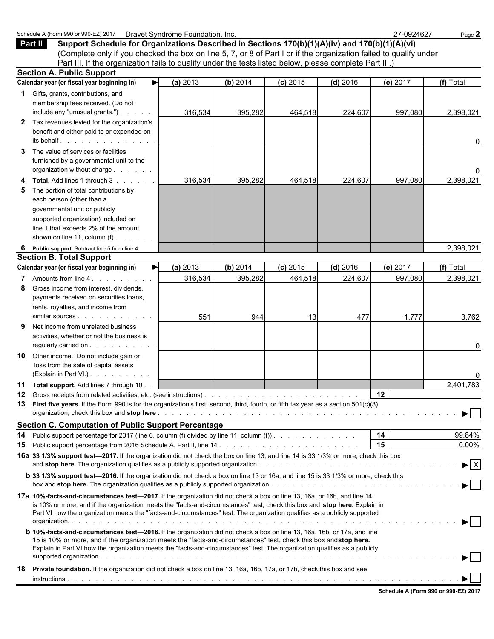|              | Support Schedule for Organizations Described in Sections 170(b)(1)(A)(iv) and 170(b)(1)(A)(vi)<br><b>Part II</b><br>(Complete only if you checked the box on line 5, 7, or 8 of Part I or if the organization failed to qualify under                                                                                                                                                                                                                                                                                                                                                                                                                                                                                                                                   |          |          |            |            |          |                                |
|--------------|-------------------------------------------------------------------------------------------------------------------------------------------------------------------------------------------------------------------------------------------------------------------------------------------------------------------------------------------------------------------------------------------------------------------------------------------------------------------------------------------------------------------------------------------------------------------------------------------------------------------------------------------------------------------------------------------------------------------------------------------------------------------------|----------|----------|------------|------------|----------|--------------------------------|
|              | Part III. If the organization fails to qualify under the tests listed below, please complete Part III.)                                                                                                                                                                                                                                                                                                                                                                                                                                                                                                                                                                                                                                                                 |          |          |            |            |          |                                |
|              | <b>Section A. Public Support</b>                                                                                                                                                                                                                                                                                                                                                                                                                                                                                                                                                                                                                                                                                                                                        |          |          |            |            |          |                                |
|              | Calendar year (or fiscal year beginning in)<br>$\blacktriangleright$                                                                                                                                                                                                                                                                                                                                                                                                                                                                                                                                                                                                                                                                                                    | (a) 2013 | (b) 2014 | $(c)$ 2015 | $(d)$ 2016 | (e) 2017 | (f) Total                      |
|              | 1 Gifts, grants, contributions, and<br>membership fees received. (Do not<br>include any "unusual grants.")                                                                                                                                                                                                                                                                                                                                                                                                                                                                                                                                                                                                                                                              | 316,534  | 395,282  | 464,518    | 224,607    | 997,080  | 2,398,021                      |
| $\mathbf{2}$ | Tax revenues levied for the organization's<br>benefit and either paid to or expended on<br>its behalf.                                                                                                                                                                                                                                                                                                                                                                                                                                                                                                                                                                                                                                                                  |          |          |            |            |          | 0                              |
| 3            | The value of services or facilities<br>furnished by a governmental unit to the<br>organization without charge                                                                                                                                                                                                                                                                                                                                                                                                                                                                                                                                                                                                                                                           |          |          |            |            |          | 0                              |
| 4<br>5       | <b>Total.</b> Add lines 1 through 3<br>The portion of total contributions by<br>each person (other than a<br>governmental unit or publicly<br>supported organization) included on<br>line 1 that exceeds 2% of the amount<br>shown on line 11, column $(f)$ .                                                                                                                                                                                                                                                                                                                                                                                                                                                                                                           | 316,534  | 395,282  | 464,518    | 224,607    | 997,080  | 2,398,021                      |
|              |                                                                                                                                                                                                                                                                                                                                                                                                                                                                                                                                                                                                                                                                                                                                                                         |          |          |            |            |          |                                |
| 6            | Public support. Subtract line 5 from line 4<br><b>Section B. Total Support</b>                                                                                                                                                                                                                                                                                                                                                                                                                                                                                                                                                                                                                                                                                          |          |          |            |            |          | 2,398,021                      |
|              | Calendar year (or fiscal year beginning in)<br>▶                                                                                                                                                                                                                                                                                                                                                                                                                                                                                                                                                                                                                                                                                                                        | (a) 2013 | (b) 2014 | $(c)$ 2015 | $(d)$ 2016 | (e) 2017 | (f) Total                      |
| 7            | Amounts from line 4.                                                                                                                                                                                                                                                                                                                                                                                                                                                                                                                                                                                                                                                                                                                                                    | 316,534  | 395,282  | 464,518    | 224,607    | 997,080  | 2,398,021                      |
| 8            | Gross income from interest, dividends,<br>payments received on securities loans,<br>rents, royalties, and income from                                                                                                                                                                                                                                                                                                                                                                                                                                                                                                                                                                                                                                                   |          |          |            |            |          |                                |
| 9            | similar sources<br>Net income from unrelated business<br>activities, whether or not the business is<br>regularly carried on                                                                                                                                                                                                                                                                                                                                                                                                                                                                                                                                                                                                                                             | 551      | 944      | 13         | 477        | 1,777    | 3,762<br>0                     |
| 10           | Other income. Do not include gain or<br>loss from the sale of capital assets<br>(Explain in Part VI.)                                                                                                                                                                                                                                                                                                                                                                                                                                                                                                                                                                                                                                                                   |          |          |            |            |          | 0                              |
|              | 11 Total support. Add lines 7 through 10.                                                                                                                                                                                                                                                                                                                                                                                                                                                                                                                                                                                                                                                                                                                               |          |          |            |            |          | 2,401,783                      |
|              |                                                                                                                                                                                                                                                                                                                                                                                                                                                                                                                                                                                                                                                                                                                                                                         |          |          |            |            | 12       |                                |
|              | 13 First five years. If the Form 990 is for the organization's first, second, third, fourth, or fifth tax year as a section 501(c)(3)                                                                                                                                                                                                                                                                                                                                                                                                                                                                                                                                                                                                                                   |          |          |            |            |          |                                |
|              | <b>Section C. Computation of Public Support Percentage</b>                                                                                                                                                                                                                                                                                                                                                                                                                                                                                                                                                                                                                                                                                                              |          |          |            |            | 14       | 99.84%                         |
| 15           | 14 Public support percentage for 2017 (line 6, column (f) divided by line 11, column (f)).<br>Public support percentage from 2016 Schedule A, Part II, line 14 manufacture and contact the service of the Pu<br>16a 33 1/3% support test-2017. If the organization did not check the box on line 13, and line 14 is 33 1/3% or more, check this box                                                                                                                                                                                                                                                                                                                                                                                                                     |          |          |            |            | 15       | $0.00\%$                       |
|              |                                                                                                                                                                                                                                                                                                                                                                                                                                                                                                                                                                                                                                                                                                                                                                         |          |          |            |            |          | $\blacktriangleright$ $\mid$ X |
|              | <b>b</b> 33 1/3% support test—2016. If the organization did not check a box on line 13 or 16a, and line 15 is 33 1/3% or more, check this                                                                                                                                                                                                                                                                                                                                                                                                                                                                                                                                                                                                                               |          |          |            |            |          |                                |
|              | 17a 10%-facts-and-circumstances test-2017. If the organization did not check a box on line 13, 16a, or 16b, and line 14<br>is 10% or more, and if the organization meets the "facts-and-circumstances" test, check this box and stop here. Explain in<br>Part VI how the organization meets the "facts-and-circumstances" test. The organization qualifies as a publicly supported<br><b>b 10%-facts-and-circumstances test-2016.</b> If the organization did not check a box on line 13, 16a, 16b, or 17a, and line<br>15 is 10% or more, and if the organization meets the "facts-and-circumstances" test, check this box andstop here.<br>Explain in Part VI how the organization meets the "facts-and-circumstances" test. The organization qualifies as a publicly |          |          |            |            |          |                                |
| 18           | Private foundation. If the organization did not check a box on line 13, 16a, 16b, 17a, or 17b, check this box and see                                                                                                                                                                                                                                                                                                                                                                                                                                                                                                                                                                                                                                                   |          |          |            |            |          |                                |
|              |                                                                                                                                                                                                                                                                                                                                                                                                                                                                                                                                                                                                                                                                                                                                                                         |          |          |            |            |          |                                |

Schedule A (Form 990 or 990-EZ) 2017 Dravet Syndrome Foundation, Inc. 27-0924627 Page 2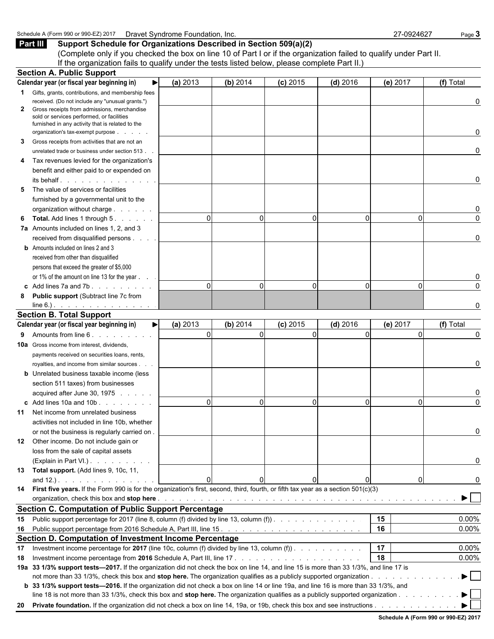Schedule A (Form 990 or 990-EZ) 2017 Dravet Syndrome Foundation, Inc.<br>**Part III** Support Schedule for Organizations Described in Section 509(a)(2)<br>**Part III** Support Schedule for Organizations Described in Section 509(a)(2 **Support Schedule for Organizations Described in Section 509(a)(2)** 

(Complete only if you checked the box on line 10 of Part I or if the organization failed to qualify under Part II. If the organization fails to qualify under the tests listed below, please complete Part II.)

|              | <b>Section A. Public Support</b>                                                                                                       |          |          |            |            |          |             |              |
|--------------|----------------------------------------------------------------------------------------------------------------------------------------|----------|----------|------------|------------|----------|-------------|--------------|
|              | Calendar year (or fiscal year beginning in)                                                                                            | (a) 2013 | (b) 2014 | $(c)$ 2015 | $(d)$ 2016 | (e) 2017 |             | (f) Total    |
|              | <b>1</b> Gifts, grants, contributions, and membership fees                                                                             |          |          |            |            |          |             |              |
|              | received. (Do not include any "unusual grants.")                                                                                       |          |          |            |            |          |             | 0            |
| $\mathbf{2}$ | Gross receipts from admissions, merchandise<br>sold or services performed, or facilities                                               |          |          |            |            |          |             |              |
|              | furnished in any activity that is related to the                                                                                       |          |          |            |            |          |             |              |
|              | organization's tax-exempt purpose                                                                                                      |          |          |            |            |          |             | 0            |
| 3            | Gross receipts from activities that are not an                                                                                         |          |          |            |            |          |             |              |
|              | unrelated trade or business under section 513.                                                                                         |          |          |            |            |          |             | $\mathbf{0}$ |
| 4            | Tax revenues levied for the organization's                                                                                             |          |          |            |            |          |             |              |
|              | benefit and either paid to or expended on                                                                                              |          |          |            |            |          |             |              |
|              | its behalf.                                                                                                                            |          |          |            |            |          |             | 0            |
| 5            | The value of services or facilities                                                                                                    |          |          |            |            |          |             |              |
|              | furnished by a governmental unit to the                                                                                                |          |          |            |            |          |             |              |
|              | organization without charge                                                                                                            |          |          |            |            |          |             | 0            |
| 6            | Total. Add lines 1 through 5.                                                                                                          | $\Omega$ | $\Omega$ |            | $\Omega$   |          | $\Omega$    | $\Omega$     |
|              | 7a Amounts included on lines 1, 2, and 3                                                                                               |          |          |            |            |          |             |              |
|              | received from disqualified persons                                                                                                     |          |          |            |            |          |             | $\mathbf{0}$ |
|              | <b>b</b> Amounts included on lines 2 and 3                                                                                             |          |          |            |            |          |             |              |
|              | received from other than disqualified                                                                                                  |          |          |            |            |          |             |              |
|              | persons that exceed the greater of \$5,000                                                                                             |          |          |            |            |          |             |              |
|              | or 1% of the amount on line 13 for the year                                                                                            |          |          |            |            |          |             | 0            |
|              | c Add lines 7a and 7b.                                                                                                                 | $\Omega$ | $\Omega$ |            | $\Omega$   |          | $\Omega$    | $\Omega$     |
| 8            | <b>Public support (Subtract line 7c from</b>                                                                                           |          |          |            |            |          |             |              |
|              | $line 6.)$ . <u>.</u>                                                                                                                  |          |          |            |            |          |             | $\Omega$     |
|              | <b>Section B. Total Support</b>                                                                                                        |          |          |            |            |          |             |              |
|              | Calendar year (or fiscal year beginning in)<br>▶                                                                                       | (a) 2013 | (b) 2014 | $(c)$ 2015 | $(d)$ 2016 | (e) 2017 |             | (f) Total    |
| 9            | Amounts from line 6.                                                                                                                   | $\Omega$ | $\Omega$ |            | $\Omega$   |          | $\Omega$    | $\Omega$     |
|              | <b>10a</b> Gross income from interest, dividends,                                                                                      |          |          |            |            |          |             |              |
|              | payments received on securities loans, rents,                                                                                          |          |          |            |            |          |             |              |
|              | royalties, and income from similar sources                                                                                             |          |          |            |            |          |             | $\mathbf{0}$ |
|              | <b>b</b> Unrelated business taxable income (less                                                                                       |          |          |            |            |          |             |              |
|              | section 511 taxes) from businesses                                                                                                     |          |          |            |            |          |             |              |
|              | acquired after June 30, 1975                                                                                                           |          |          |            |            |          |             | 0            |
|              | c Add lines 10a and 10b                                                                                                                | $\Omega$ | $\Omega$ |            | $\Omega$   |          | $\Omega$    | $\Omega$     |
|              | 11 Net income from unrelated business                                                                                                  |          |          |            |            |          |             |              |
|              | activities not included in line 10b, whether                                                                                           |          |          |            |            |          |             |              |
|              | or not the business is regularly carried on.                                                                                           |          |          |            |            |          |             | 0            |
| 12           | Other income. Do not include gain or                                                                                                   |          |          |            |            |          |             |              |
|              | loss from the sale of capital assets                                                                                                   |          |          |            |            |          |             |              |
|              | (Explain in Part VI.)                                                                                                                  |          |          |            |            |          |             | 0            |
|              | 13 Total support. (Add lines 9, 10c, 11,                                                                                               |          |          |            |            |          |             |              |
|              | and $12.$ ). $\ldots$ $\ldots$ $\ldots$ $\ldots$                                                                                       | $\Omega$ |          |            | 0          |          | $\mathbf 0$ | 0            |
|              | 14 First five years. If the Form 990 is for the organization's first, second, third, fourth, or fifth tax year as a section 501(c)(3)  |          |          |            |            |          |             |              |
|              |                                                                                                                                        |          |          |            |            |          |             | ▶∣           |
|              | <b>Section C. Computation of Public Support Percentage</b>                                                                             |          |          |            |            |          |             |              |
|              |                                                                                                                                        |          |          |            |            | 15       |             |              |
|              | 15 Public support percentage for 2017 (line 8, column (f) divided by line 13, column (f)).                                             |          |          |            |            |          |             | 0.00%        |
|              |                                                                                                                                        |          |          |            |            | 16       |             | 0.00%        |
|              | Section D. Computation of Investment Income Percentage                                                                                 |          |          |            |            |          |             |              |
|              | 17 Investment income percentage for 2017 (line 10c, column (f) divided by line 13, column (f)).                                        |          |          |            |            | 17       |             | 0.00%        |
| 18           |                                                                                                                                        |          |          |            |            | 18       |             | 0.00%        |
|              | 19a 33 1/3% support tests-2017. If the organization did not check the box on line 14, and line 15 is more than 33 1/3%, and line 17 is |          |          |            |            |          |             |              |
|              |                                                                                                                                        |          |          |            |            |          |             |              |
|              | b 33 1/3% support tests—2016. If the organization did not check a box on line 14 or line 19a, and line 16 is more than 33 1/3%, and    |          |          |            |            |          |             |              |
|              | line 18 is not more than 33 1/3%, check this box and stop here. The organization qualifies as a publicly supported organization        |          |          |            |            |          |             |              |
|              |                                                                                                                                        |          |          |            |            |          |             |              |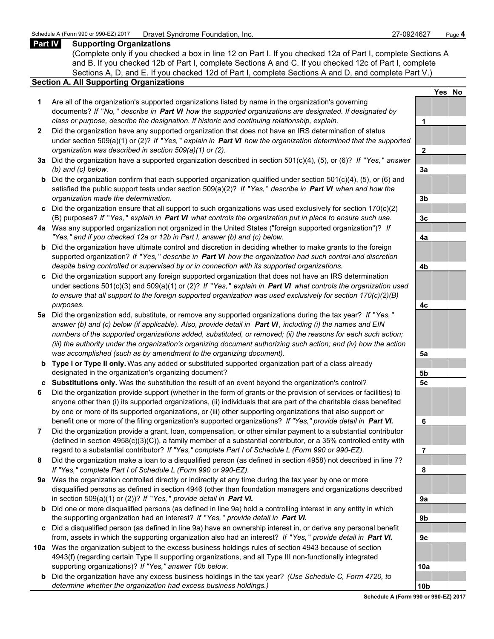### **Part IV Supporting Organizations**

(Complete only if you checked a box in line 12 on Part I. If you checked 12a of Part I, complete Sections A and B. If you checked 12b of Part I, complete Sections A and C. If you checked 12c of Part I, complete Sections A, D, and E. If you checked 12d of Part I, complete Sections A and D, and complete Part V.)

### **Section A. All Supporting Organizations**

- **1** Are all of the organization's supported organizations listed by name in the organization's governing documents? *If* "*No,*" *describe in Part VI how the supported organizations are designated. If designated by class or purpose, describe the designation. If historic and continuing relationship, explain.* **1**
- **2** Did the organization have any supported organization that does not have an IRS determination of status under section 509(a)(1) or (2)? *If* "*Yes,* " *explain in Part VI how the organization determined that the supported organization was described in section 509(a)(1) or (2).*
- **3a** Did the organization have a supported organization described in section 501(c)(4), (5), or (6)? *If* "*Yes,* " *answer (b) and (c) below.* **3a**
- **b** Did the organization confirm that each supported organization qualified under section 501(c)(4), (5), or (6) and satisfied the public support tests under section 509(a)(2)? *If* "*Yes,* " *describe in Part VI when and how the organization made the determination.* **3b**
- **c** Did the organization ensure that all support to such organizations was used exclusively for section 170(c)(2) (B) purposes? *If* "*Yes,* " *explain in Part VI what controls the organization put in place to ensure such use.* **3c**
- **4a** Was any supported organization not organized in the United States ("foreign supported organization")? *If "Yes," and if you checked 12a or 12b in Part I, answer (b) and (c) below.* **4a**
- **b** Did the organization have ultimate control and discretion in deciding whether to make grants to the foreign supported organization? *If* "*Yes,* " *describe in Part VI how the organization had such control and discretion despite being controlled or supervised by or in connection with its supported organizations.* **4b**
- **c** Did the organization support any foreign supported organization that does not have an IRS determination under sections 501(c)(3) and 509(a)(1) or (2)? *If* "*Yes,* " *explain in Part VI what controls the organization used to ensure that all support to the foreign supported organization was used exclusively for section 170(c)(2)(B) purposes.* **4c**
- **5a** Did the organization add, substitute, or remove any supported organizations during the tax year? *If* "*Yes,* " *answer (b) and (c) below (if applicable). Also, provide detail in Part VI , including (i) the names and EIN numbers of the supported organizations added, substituted, or removed; (ii) the reasons for each such action; (iii) the authority under the organization's organizing document authorizing such action; and (iv) how the action was accomplished (such as by amendment to the organizing document).* **5a**
- **b Type I or Type II only.** Was any added or substituted supported organization part of a class already designated in the organization's organizing document? **5b**
- **c Substitutions only.** Was the substitution the result of an event beyond the organization's control? **5c**
- **6** Did the organization provide support (whether in the form of grants or the provision of services or facilities) to anyone other than (i) its supported organizations, (ii) individuals that are part of the charitable class benefited by one or more of its supported organizations, or (iii) other supporting organizations that also support or benefit one or more of the filing organization's supported organizations? *If "Yes," provide detail in Part VI.* **6**
- **7** Did the organization provide a grant, loan, compensation, or other similar payment to a substantial contributor (defined in section 4958(c)(3)(C)), a family member of a substantial contributor, or a 35% controlled entity with regard to a substantial contributor? *If "Yes," complete Part I of Schedule L (Form 990 or 990-EZ).* **7**
- **8** Did the organization make a loan to a disqualified person (as defined in section 4958) not described in line 7? *If "Yes," complete Part I of Schedule L (Form 990 or 990-EZ).* **8**
- **9a** Was the organization controlled directly or indirectly at any time during the tax year by one or more disqualified persons as defined in section 4946 (other than foundation managers and organizations described in section 509(a)(1) or (2))? *If* "*Yes*, " *provide detail in Part VI.*
- **b** Did one or more disqualified persons (as defined in line 9a) hold a controlling interest in any entity in which the supporting organization had an interest? *If* "*Yes,* " *provide detail in Part VI.* **9b**
- **c** Did a disqualified person (as defined in line 9a) have an ownership interest in, or derive any personal benefit from, assets in which the supporting organization also had an interest? *If* "*Yes,* " *provide detail in Part VI.* **9c**
- **10a** Was the organization subject to the excess business holdings rules of section 4943 because of section 4943(f) (regarding certain Type II supporting organizations, and all Type III non-functionally integrated supporting organizations)? *If "Yes," answer 10b below.* 
	- **b** Did the organization have any excess business holdings in the tax year? *(Use Schedule C, Form 4720, to determine whether the organization had excess business holdings.)* **10b**

|                 | Yes | <u>No</u> |
|-----------------|-----|-----------|
|                 |     |           |
| 1               |     |           |
|                 |     |           |
| $\overline{2}$  |     |           |
|                 |     |           |
| <u>3a</u>       |     |           |
|                 |     |           |
| <u>3b</u>       |     |           |
| <u>3c</u>       |     |           |
|                 |     |           |
| <u>4a</u>       |     |           |
|                 |     |           |
| 4 <sub>b</sub>  |     |           |
|                 |     |           |
| 4c              |     |           |
|                 |     |           |
| <u>5a</u>       |     |           |
|                 |     |           |
| <u>5b</u>       |     |           |
| <u>5с</u>       |     |           |
| 6               |     |           |
|                 |     |           |
| 7               |     |           |
|                 |     |           |
| 8               |     |           |
| 9a              |     |           |
|                 |     |           |
| 9b              |     |           |
|                 |     |           |
| 9c              |     |           |
|                 |     |           |
| 10a             |     |           |
| 10 <sub>b</sub> |     |           |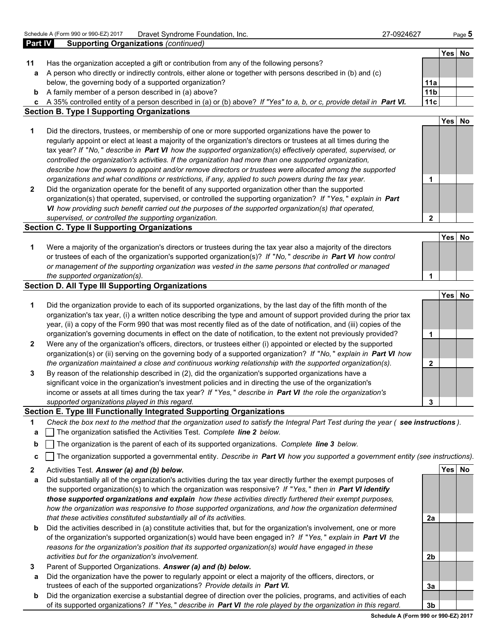| Part IV      | <b>Supporting Organizations (continued)</b>                                                                             |                 |            |           |
|--------------|-------------------------------------------------------------------------------------------------------------------------|-----------------|------------|-----------|
|              |                                                                                                                         |                 | Yes        | No        |
| 11           | Has the organization accepted a gift or contribution from any of the following persons?                                 |                 |            |           |
| a            | A person who directly or indirectly controls, either alone or together with persons described in (b) and (c)            |                 |            |           |
|              | below, the governing body of a supported organization?                                                                  | 11a             |            |           |
| b            | A family member of a person described in (a) above?                                                                     | 11 <sub>b</sub> |            |           |
|              | c A 35% controlled entity of a person described in (a) or (b) above? If "Yes" to a, b, or c, provide detail in Part VI. | 11c             |            |           |
|              | <b>Section B. Type I Supporting Organizations</b>                                                                       |                 |            |           |
|              |                                                                                                                         |                 | Yes        | No        |
| 1            | Did the directors, trustees, or membership of one or more supported organizations have the power to                     |                 |            |           |
|              | regularly appoint or elect at least a majority of the organization's directors or trustees at all times during the      |                 |            |           |
|              | tax year? If "No," describe in Part VI how the supported organization(s) effectively operated, supervised, or           |                 |            |           |
|              | controlled the organization's activities. If the organization had more than one supported organization,                 |                 |            |           |
|              | describe how the powers to appoint and/or remove directors or trustees were allocated among the supported               |                 |            |           |
|              | organizations and what conditions or restrictions, if any, applied to such powers during the tax year.                  | 1               |            |           |
| $\mathbf{2}$ | Did the organization operate for the benefit of any supported organization other than the supported                     |                 |            |           |
|              | organization(s) that operated, supervised, or controlled the supporting organization? If "Yes," explain in Part         |                 |            |           |
|              | VI how providing such benefit carried out the purposes of the supported organization(s) that operated,                  |                 |            |           |
|              | supervised, or controlled the supporting organization.                                                                  | $\mathbf{2}$    |            |           |
|              | <b>Section C. Type II Supporting Organizations</b>                                                                      |                 |            |           |
|              |                                                                                                                         |                 | <b>Yes</b> | <b>No</b> |
| 1            | Were a majority of the organization's directors or trustees during the tax year also a majority of the directors        |                 |            |           |
|              | or trustees of each of the organization's supported organization(s)? If "No," describe in Part VI how control           |                 |            |           |
|              | or management of the supporting organization was vested in the same persons that controlled or managed                  |                 |            |           |
|              | the supported organization(s).                                                                                          | 1               |            |           |
|              | <b>Section D. All Type III Supporting Organizations</b>                                                                 |                 |            |           |
|              |                                                                                                                         |                 | <b>Yes</b> | No        |
| 1            | Did the organization provide to each of its supported organizations, by the last day of the fifth month of the          |                 |            |           |
|              | organization's tax year, (i) a written notice describing the type and amount of support provided during the prior tax   |                 |            |           |
|              | year, (ii) a copy of the Form 990 that was most recently filed as of the date of notification, and (iii) copies of the  |                 |            |           |
|              | organization's governing documents in effect on the date of notification, to the extent not previously provided?        | 1               |            |           |
| $\mathbf{2}$ | Were any of the organization's officers, directors, or trustees either (i) appointed or elected by the supported        |                 |            |           |
|              | organization(s) or (ii) serving on the governing body of a supported organization? If "No," explain in Part VI how      |                 |            |           |
|              | the organization maintained a close and continuous working relationship with the supported organization(s).             | $\mathbf{2}$    |            |           |
| 3            | By reason of the relationship described in (2), did the organization's supported organizations have a                   |                 |            |           |
|              | significant voice in the organization's investment policies and in directing the use of the organization's              |                 |            |           |
|              | income or assets at all times during the tax year? If "Yes," describe in Part VI the role the organization's            |                 |            |           |
|              | supported organizations played in this regard.                                                                          | 3               |            |           |

## **Section E. Type III Functionally Integrated Supporting Organizations**

- **1** *Check the box next to the method that the organization used to satisfy the Integral Part Test during the year ( see instructions ).*
- **a** The organization satisfied the Activities Test. *Complete line 2 below.*
- **b**  $\vert$  The organization is the parent of each of its supported organizations. *Complete line 3 below.*
- **c** The organization supported a governmental entity. *Describe in Part VI how you supported a government entity (see instructions).*
- **2** Activities Test. *Answer (a) and (b) below.* **Yes No**
- **a** Did substantially all of the organization's activities during the tax year directly further the exempt purposes of the supported organization(s) to which the organization was responsive? *If* "*Yes,* " *then in Part VI identify those supported organizations and explain how these activities directly furthered their exempt purposes, how the organization was responsive to those supported organizations, and how the organization determined that these activities constituted substantially all of its activities.* **2a**
- **b** Did the activities described in (a) constitute activities that, but for the organization's involvement, one or more of the organization's supported organization(s) would have been engaged in? *If* "*Yes,* " *explain in Part VI the reasons for the organization's position that its supported organization(s) would have engaged in these activities but for the organization's involvement.* **2b**
- **3** Parent of Supported Organizations. *Answer (a) and (b) below.*
- **a** Did the organization have the power to regularly appoint or elect a majority of the officers, directors, or trustees of each of the supported organizations? *Provide details in Part VI.* **3a**
- **b** Did the organization exercise a substantial degree of direction over the policies, programs, and activities of each of its supported organizations? *If* "*Yes,* " *describe in Part VI the role played by the organization in this regard.* **3b**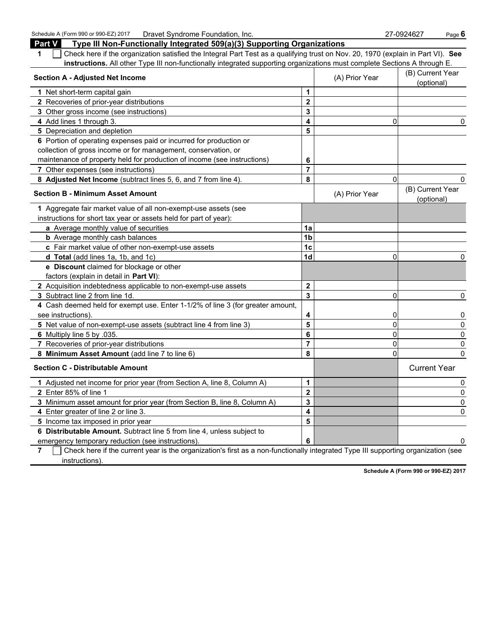Schedule A (Form 990 or 990-EZ) 2017 Dravet Syndrome Foundation, Inc.<br>**Part V Type III Non-Functionally Integrated 509(a)(3) Supporting Organizations** 27-0924627 Page 6

| Type III Non-Functionally Integrated 509(a)(3) Supporting Organizations<br><b>Part V</b>                                              |                |                |                                |
|---------------------------------------------------------------------------------------------------------------------------------------|----------------|----------------|--------------------------------|
| Check here if the organization satisfied the Integral Part Test as a qualifying trust on Nov. 20, 1970 (explain in Part VI). See<br>1 |                |                |                                |
| instructions. All other Type III non-functionally integrated supporting organizations must complete Sections A through E.             |                |                |                                |
| <b>Section A - Adjusted Net Income</b>                                                                                                |                | (A) Prior Year | (B) Current Year<br>(optional) |
| 1 Net short-term capital gain                                                                                                         | $\mathbf{1}$   |                |                                |
| 2 Recoveries of prior-year distributions                                                                                              | $\mathbf 2$    |                |                                |
| 3 Other gross income (see instructions)                                                                                               | 3              |                |                                |
| 4 Add lines 1 through 3.                                                                                                              | 4              | 0              | $\Omega$                       |
| 5 Depreciation and depletion                                                                                                          | 5              |                |                                |
| 6 Portion of operating expenses paid or incurred for production or                                                                    |                |                |                                |
| collection of gross income or for management, conservation, or                                                                        |                |                |                                |
| maintenance of property held for production of income (see instructions)                                                              | 6              |                |                                |
| 7 Other expenses (see instructions)                                                                                                   | $\overline{7}$ |                |                                |
| 8 Adjusted Net Income (subtract lines 5, 6, and 7 from line 4).                                                                       | 8              | $\Omega$       | $\mathbf{0}$                   |
| <b>Section B - Minimum Asset Amount</b>                                                                                               |                | (A) Prior Year | (B) Current Year<br>(optional) |
| 1 Aggregate fair market value of all non-exempt-use assets (see                                                                       |                |                |                                |
| instructions for short tax year or assets held for part of year):                                                                     |                |                |                                |
| a Average monthly value of securities                                                                                                 | 1a             |                |                                |
| <b>b</b> Average monthly cash balances                                                                                                | 1 <sub>b</sub> |                |                                |
| c Fair market value of other non-exempt-use assets                                                                                    | 1 <sub>c</sub> |                |                                |
| d Total (add lines 1a, 1b, and 1c)                                                                                                    | 1 <sub>d</sub> | 0              | $\mathbf{0}$                   |
| e Discount claimed for blockage or other                                                                                              |                |                |                                |
| factors (explain in detail in Part VI):                                                                                               |                |                |                                |
| 2 Acquisition indebtedness applicable to non-exempt-use assets                                                                        | $\mathbf 2$    |                |                                |
| 3 Subtract line 2 from line 1d.                                                                                                       | 3              | 0              | 0                              |
| 4 Cash deemed held for exempt use. Enter 1-1/2% of line 3 (for greater amount,                                                        |                |                |                                |
| see instructions).                                                                                                                    | 4              | 0              | 0                              |
| 5 Net value of non-exempt-use assets (subtract line 4 from line 3)                                                                    | 5              | $\Omega$       | $\mathbf 0$                    |
| 6 Multiply line 5 by .035.                                                                                                            | 6              | 0              | 0                              |
| 7 Recoveries of prior-year distributions                                                                                              | $\overline{7}$ | 0              | 0                              |
| 8 Minimum Asset Amount (add line 7 to line 6)                                                                                         | 8              | 0              | $\Omega$                       |
| <b>Section C - Distributable Amount</b>                                                                                               |                |                | <b>Current Year</b>            |
| 1 Adjusted net income for prior year (from Section A, line 8, Column A)                                                               | 1              |                | 0                              |
| 2 Enter 85% of line 1                                                                                                                 | $\overline{2}$ |                | 0                              |
| 3 Minimum asset amount for prior year (from Section B, line 8, Column A)                                                              | 3              |                | 0                              |
| 4 Enter greater of line 2 or line 3.                                                                                                  | 4              |                | 0                              |
| 5 Income tax imposed in prior year                                                                                                    | 5              |                |                                |
| 6 Distributable Amount. Subtract line 5 from line 4, unless subject to                                                                |                |                |                                |
| emergency temporary reduction (see instructions).                                                                                     | 6              |                | 0                              |

**7** Check here if the current year is the organization's first as a non-functionally integrated Type III supporting organization (see instructions).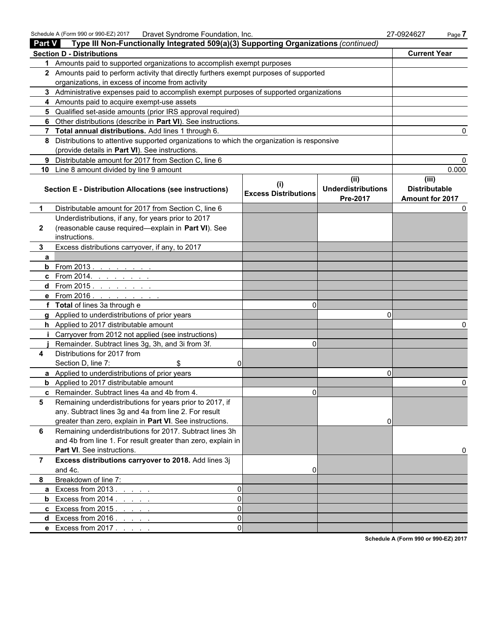| <b>Part V</b>  | Type III Non-Functionally Integrated 509(a)(3) Supporting Organizations (continued)        |                                             |                           |                      |
|----------------|--------------------------------------------------------------------------------------------|---------------------------------------------|---------------------------|----------------------|
|                | <b>Section D - Distributions</b>                                                           |                                             |                           | <b>Current Year</b>  |
| 1              | Amounts paid to supported organizations to accomplish exempt purposes                      |                                             |                           |                      |
|                | 2 Amounts paid to perform activity that directly furthers exempt purposes of supported     |                                             |                           |                      |
|                | organizations, in excess of income from activity                                           |                                             |                           |                      |
|                | 3 Administrative expenses paid to accomplish exempt purposes of supported organizations    |                                             |                           |                      |
|                | Amounts paid to acquire exempt-use assets                                                  |                                             |                           |                      |
|                | Qualified set-aside amounts (prior IRS approval required)                                  |                                             |                           |                      |
|                | Other distributions (describe in Part VI). See instructions.                               |                                             |                           |                      |
| 7              | Total annual distributions. Add lines 1 through 6.                                         |                                             |                           | <sup>0</sup>         |
| 8              | Distributions to attentive supported organizations to which the organization is responsive |                                             |                           |                      |
|                | (provide details in Part VI). See instructions.                                            |                                             |                           |                      |
|                | 9 Distributable amount for 2017 from Section C, line 6                                     |                                             |                           |                      |
| 10             | Line 8 amount divided by line 9 amount                                                     |                                             |                           | 0.000                |
|                |                                                                                            |                                             | (ii)                      | (iii)                |
|                | Section E - Distribution Allocations (see instructions)                                    | $\mathbf{u}$<br><b>Excess Distributions</b> | <b>Underdistributions</b> | <b>Distributable</b> |
|                |                                                                                            |                                             | Pre-2017                  | Amount for 2017      |
| 1.             | Distributable amount for 2017 from Section C, line 6                                       |                                             |                           |                      |
|                | Underdistributions, if any, for years prior to 2017                                        |                                             |                           |                      |
| 2              | (reasonable cause required-explain in Part VI). See                                        |                                             |                           |                      |
|                | instructions.                                                                              |                                             |                           |                      |
| 3              | Excess distributions carryover, if any, to 2017                                            |                                             |                           |                      |
| a              |                                                                                            |                                             |                           |                      |
| b              | From 2013.                                                                                 |                                             |                           |                      |
| c              | From 2014. $\ldots$ $\ldots$ .                                                             |                                             |                           |                      |
| d              | From $2015.$                                                                               |                                             |                           |                      |
|                | From 2016. $\ldots$                                                                        |                                             |                           |                      |
| f              | Total of lines 3a through e                                                                | $\Omega$                                    |                           |                      |
|                | Applied to underdistributions of prior years                                               |                                             | $\Omega$                  |                      |
| h.             | Applied to 2017 distributable amount                                                       |                                             |                           |                      |
|                | Carryover from 2012 not applied (see instructions)                                         |                                             |                           |                      |
|                | Remainder. Subtract lines 3g, 3h, and 3i from 3f.                                          | $\Omega$                                    |                           |                      |
| 4              | Distributions for 2017 from                                                                |                                             |                           |                      |
|                | Section D, line 7:<br>\$<br>0                                                              |                                             |                           |                      |
|                | a Applied to underdistributions of prior years                                             |                                             | $\Omega$                  |                      |
|                | Applied to 2017 distributable amount                                                       |                                             |                           |                      |
|                | c Remainder. Subtract lines 4a and 4b from 4.                                              | 0                                           |                           |                      |
| 5              | Remaining underdistributions for years prior to 2017, if                                   |                                             |                           |                      |
|                | any. Subtract lines 3g and 4a from line 2. For result                                      |                                             |                           |                      |
|                | greater than zero, explain in Part VI. See instructions.                                   |                                             | $\Omega$                  |                      |
| 6              | Remaining underdistributions for 2017. Subtract lines 3h                                   |                                             |                           |                      |
|                | and 4b from line 1. For result greater than zero, explain in                               |                                             |                           |                      |
|                | <b>Part VI.</b> See instructions.                                                          |                                             |                           |                      |
| $\overline{7}$ | Excess distributions carryover to 2018. Add lines 3j                                       |                                             |                           |                      |
|                | and 4c.                                                                                    | 0                                           |                           |                      |
| 8              | Breakdown of line 7:                                                                       |                                             |                           |                      |
|                | a Excess from 2013.<br>0                                                                   |                                             |                           |                      |
| b              | $\Omega$<br>Excess from 2014.                                                              |                                             |                           |                      |
|                | $\Omega$<br>c Excess from 2015.                                                            |                                             |                           |                      |
| d              | Excess from 2016.<br>$\Omega$                                                              |                                             |                           |                      |
|                | $\Omega$<br>e Excess from 2017.                                                            |                                             |                           |                      |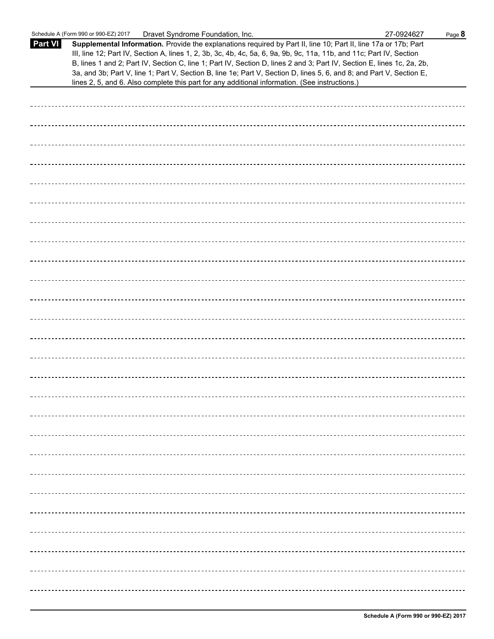|                | Dravet Syndrome Foundation, Inc.<br>Schedule A (Form 990 or 990-EZ) 2017                                                                                                                                                                                                                                                                                                                                                                                                                                                                                                                    | 27-0924627 | Page 8 |
|----------------|---------------------------------------------------------------------------------------------------------------------------------------------------------------------------------------------------------------------------------------------------------------------------------------------------------------------------------------------------------------------------------------------------------------------------------------------------------------------------------------------------------------------------------------------------------------------------------------------|------------|--------|
| <b>Part VI</b> | Supplemental Information. Provide the explanations required by Part II, line 10; Part II, line 17a or 17b; Part<br>III, line 12; Part IV, Section A, lines 1, 2, 3b, 3c, 4b, 4c, 5a, 6, 9a, 9b, 9c, 11a, 11b, and 11c; Part IV, Section<br>B, lines 1 and 2; Part IV, Section C, line 1; Part IV, Section D, lines 2 and 3; Part IV, Section E, lines 1c, 2a, 2b,<br>3a, and 3b; Part V, line 1; Part V, Section B, line 1e; Part V, Section D, lines 5, 6, and 8; and Part V, Section E,<br>lines 2, 5, and 6. Also complete this part for any additional information. (See instructions.) |            |        |
|                |                                                                                                                                                                                                                                                                                                                                                                                                                                                                                                                                                                                             |            |        |
|                |                                                                                                                                                                                                                                                                                                                                                                                                                                                                                                                                                                                             |            |        |
|                |                                                                                                                                                                                                                                                                                                                                                                                                                                                                                                                                                                                             |            |        |
|                |                                                                                                                                                                                                                                                                                                                                                                                                                                                                                                                                                                                             |            |        |
|                |                                                                                                                                                                                                                                                                                                                                                                                                                                                                                                                                                                                             |            |        |
|                |                                                                                                                                                                                                                                                                                                                                                                                                                                                                                                                                                                                             |            |        |
|                |                                                                                                                                                                                                                                                                                                                                                                                                                                                                                                                                                                                             |            |        |
|                |                                                                                                                                                                                                                                                                                                                                                                                                                                                                                                                                                                                             |            |        |
|                |                                                                                                                                                                                                                                                                                                                                                                                                                                                                                                                                                                                             |            |        |
|                |                                                                                                                                                                                                                                                                                                                                                                                                                                                                                                                                                                                             |            |        |
|                |                                                                                                                                                                                                                                                                                                                                                                                                                                                                                                                                                                                             |            |        |
|                |                                                                                                                                                                                                                                                                                                                                                                                                                                                                                                                                                                                             |            |        |
|                |                                                                                                                                                                                                                                                                                                                                                                                                                                                                                                                                                                                             |            |        |
|                |                                                                                                                                                                                                                                                                                                                                                                                                                                                                                                                                                                                             |            |        |
|                |                                                                                                                                                                                                                                                                                                                                                                                                                                                                                                                                                                                             |            |        |
|                |                                                                                                                                                                                                                                                                                                                                                                                                                                                                                                                                                                                             |            |        |
|                |                                                                                                                                                                                                                                                                                                                                                                                                                                                                                                                                                                                             |            |        |
|                |                                                                                                                                                                                                                                                                                                                                                                                                                                                                                                                                                                                             |            |        |
|                |                                                                                                                                                                                                                                                                                                                                                                                                                                                                                                                                                                                             |            |        |
|                |                                                                                                                                                                                                                                                                                                                                                                                                                                                                                                                                                                                             |            |        |
|                |                                                                                                                                                                                                                                                                                                                                                                                                                                                                                                                                                                                             |            |        |
|                |                                                                                                                                                                                                                                                                                                                                                                                                                                                                                                                                                                                             |            |        |
|                |                                                                                                                                                                                                                                                                                                                                                                                                                                                                                                                                                                                             |            |        |
|                |                                                                                                                                                                                                                                                                                                                                                                                                                                                                                                                                                                                             |            |        |
|                |                                                                                                                                                                                                                                                                                                                                                                                                                                                                                                                                                                                             |            |        |
|                |                                                                                                                                                                                                                                                                                                                                                                                                                                                                                                                                                                                             |            |        |
|                |                                                                                                                                                                                                                                                                                                                                                                                                                                                                                                                                                                                             |            |        |
|                |                                                                                                                                                                                                                                                                                                                                                                                                                                                                                                                                                                                             |            |        |
|                |                                                                                                                                                                                                                                                                                                                                                                                                                                                                                                                                                                                             |            |        |
|                |                                                                                                                                                                                                                                                                                                                                                                                                                                                                                                                                                                                             |            |        |
|                |                                                                                                                                                                                                                                                                                                                                                                                                                                                                                                                                                                                             |            |        |
|                |                                                                                                                                                                                                                                                                                                                                                                                                                                                                                                                                                                                             |            |        |
|                |                                                                                                                                                                                                                                                                                                                                                                                                                                                                                                                                                                                             |            |        |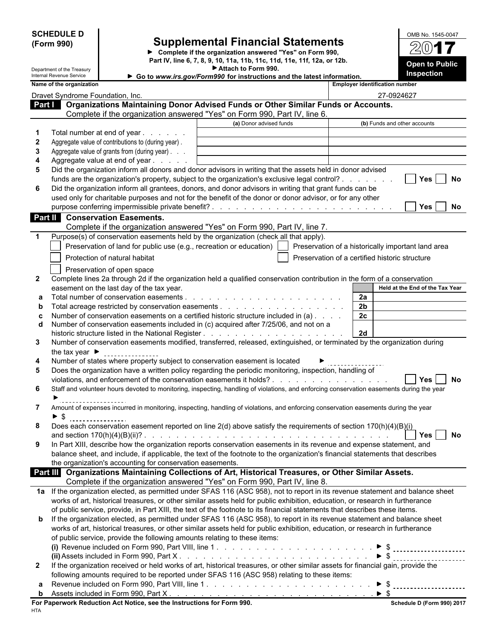| <b>SCHEDULE D</b> |  |
|-------------------|--|
| (Form 990)        |  |

## **SCHEDULE D** Supplemental Financial Statements Manusum OMB No. 1545-0047<br>(Form 990) Supplemental Financial Statements

**Complete if the organization answered "Yes" on Form 990, Part IV, line 6, 7, 8, 9, 10, 11a, 11b, 11c, 11d, 11e, 11f, 12a, or 12b.**

| OMB No. 1545-0047                          |  |
|--------------------------------------------|--|
| 2017                                       |  |
| <b>Open to Public</b><br><b>Inspection</b> |  |

|              | Department of the Treasury         |                                                                                                                                              | Attach to Form 990.                                                    |                | Inspection                                         |
|--------------|------------------------------------|----------------------------------------------------------------------------------------------------------------------------------------------|------------------------------------------------------------------------|----------------|----------------------------------------------------|
|              | Internal Revenue Service           |                                                                                                                                              | Go to www.irs.gov/Form990 for instructions and the latest information. |                |                                                    |
|              | Name of the organization           |                                                                                                                                              |                                                                        |                | <b>Employer identification number</b>              |
|              | Dravet Syndrome Foundation, Inc.   |                                                                                                                                              |                                                                        |                | 27-0924627                                         |
|              |                                    | Part   Organizations Maintaining Donor Advised Funds or Other Similar Funds or Accounts.                                                     |                                                                        |                |                                                    |
|              |                                    | Complete if the organization answered "Yes" on Form 990, Part IV, line 6.                                                                    |                                                                        |                |                                                    |
|              |                                    |                                                                                                                                              | (a) Donor advised funds                                                |                | (b) Funds and other accounts                       |
| 1            |                                    | Total number at end of year                                                                                                                  |                                                                        |                |                                                    |
| $\mathbf 2$  |                                    | Aggregate value of contributions to (during year).                                                                                           |                                                                        |                |                                                    |
| 3            |                                    | Aggregate value of grants from (during year)                                                                                                 |                                                                        |                |                                                    |
| 4            |                                    | Aggregate value at end of year<br>Did the organization inform all donors and donor advisors in writing that the assets held in donor advised |                                                                        |                |                                                    |
| 5            |                                    | funds are the organization's property, subject to the organization's exclusive legal control?                                                |                                                                        |                | No                                                 |
| 6            |                                    | Did the organization inform all grantees, donors, and donor advisors in writing that grant funds can be                                      |                                                                        |                | <b>Yes</b>                                         |
|              |                                    | used only for charitable purposes and not for the benefit of the donor or donor advisor, or for any other                                    |                                                                        |                |                                                    |
|              |                                    |                                                                                                                                              |                                                                        |                | Yes  <br>No                                        |
|              |                                    | Part II Conservation Easements.                                                                                                              |                                                                        |                |                                                    |
|              |                                    |                                                                                                                                              |                                                                        |                |                                                    |
|              |                                    | Complete if the organization answered "Yes" on Form 990, Part IV, line 7.                                                                    |                                                                        |                |                                                    |
| 1            |                                    | Purpose(s) of conservation easements held by the organization (check all that apply).                                                        |                                                                        |                |                                                    |
|              |                                    | Preservation of land for public use (e.g., recreation or education)                                                                          |                                                                        |                | Preservation of a historically important land area |
|              |                                    | Protection of natural habitat                                                                                                                |                                                                        |                | Preservation of a certified historic structure     |
|              |                                    | Preservation of open space                                                                                                                   |                                                                        |                |                                                    |
| $\mathbf{2}$ |                                    | Complete lines 2a through 2d if the organization held a qualified conservation contribution in the form of a conservation                    |                                                                        |                |                                                    |
|              |                                    | easement on the last day of the tax year.                                                                                                    |                                                                        |                | Held at the End of the Tax Year                    |
| a            |                                    |                                                                                                                                              |                                                                        | 2a             |                                                    |
| b            |                                    |                                                                                                                                              |                                                                        | 2 <sub>b</sub> |                                                    |
| C            |                                    | Number of conservation easements on a certified historic structure included in (a)                                                           |                                                                        | 2c             |                                                    |
| d            |                                    | Number of conservation easements included in (c) acquired after 7/25/06, and not on a                                                        |                                                                        |                |                                                    |
|              |                                    |                                                                                                                                              |                                                                        | 2d             |                                                    |
| 3            |                                    | Number of conservation easements modified, transferred, released, extinguished, or terminated by the organization during                     |                                                                        |                |                                                    |
|              | the tax year $\blacktriangleright$ |                                                                                                                                              |                                                                        |                |                                                    |
| 4            |                                    | Number of states where property subject to conservation easement is located                                                                  |                                                                        |                |                                                    |
| 5            |                                    | Does the organization have a written policy regarding the periodic monitoring, inspection, handling of                                       |                                                                        |                |                                                    |
|              |                                    |                                                                                                                                              |                                                                        |                | No<br>Yes                                          |
| 6            |                                    | Staff and volunteer hours devoted to monitoring, inspecting, handling of violations, and enforcing conservation easements during the year    |                                                                        |                |                                                    |
|              |                                    |                                                                                                                                              |                                                                        |                |                                                    |
| 7            |                                    | Amount of expenses incurred in monitoring, inspecting, handling of violations, and enforcing conservation easements during the year          |                                                                        |                |                                                    |
|              | \$                                 |                                                                                                                                              |                                                                        |                |                                                    |
| 8            |                                    | Does each conservation easement reported on line 2(d) above satisfy the requirements of section 170(h)(4)(B)(i)                              |                                                                        |                |                                                    |
|              |                                    |                                                                                                                                              |                                                                        |                | Yes<br>No                                          |
| 9            |                                    | In Part XIII, describe how the organization reports conservation easements in its revenue and expense statement, and                         |                                                                        |                |                                                    |
|              |                                    | balance sheet, and include, if applicable, the text of the footnote to the organization's financial statements that describes                |                                                                        |                |                                                    |
|              |                                    | the organization's accounting for conservation easements.                                                                                    |                                                                        |                |                                                    |
|              |                                    | <b>Part III</b> Organizations Maintaining Collections of Art, Historical Treasures, or Other Similar Assets.                                 |                                                                        |                |                                                    |
|              |                                    | Complete if the organization answered "Yes" on Form 990, Part IV, line 8.                                                                    |                                                                        |                |                                                    |
|              |                                    | 1a If the organization elected, as permitted under SFAS 116 (ASC 958), not to report in its revenue statement and balance sheet              |                                                                        |                |                                                    |
|              |                                    | works of art, historical treasures, or other similar assets held for public exhibition, education, or research in furtherance                |                                                                        |                |                                                    |
|              |                                    | of public service, provide, in Part XIII, the text of the footnote to its financial statements that describes these items.                   |                                                                        |                |                                                    |
|              |                                    | <b>b</b> If the organization elected, as permitted under SFAS 116 (ASC 958), to report in its revenue statement and balance sheet            |                                                                        |                |                                                    |
|              |                                    | works of art, historical treasures, or other similar assets held for public exhibition, education, or research in furtherance                |                                                                        |                |                                                    |
|              |                                    | of public service, provide the following amounts relating to these items:                                                                    |                                                                        |                |                                                    |
|              |                                    |                                                                                                                                              |                                                                        |                |                                                    |
|              |                                    |                                                                                                                                              |                                                                        |                |                                                    |
| $\mathbf{2}$ |                                    | If the organization received or held works of art, historical treasures, or other similar assets for financial gain, provide the             |                                                                        |                |                                                    |
|              |                                    | following amounts required to be reported under SFAS 116 (ASC 958) relating to these items:                                                  |                                                                        |                |                                                    |
|              |                                    |                                                                                                                                              |                                                                        |                |                                                    |

| . aar<br>$\overline{\phantom{a}}$<br>Part ∧ ∶<br>-orm<br>⊣ncluded in F<br>Assets<br>. 990 |  |
|-------------------------------------------------------------------------------------------|--|
|                                                                                           |  |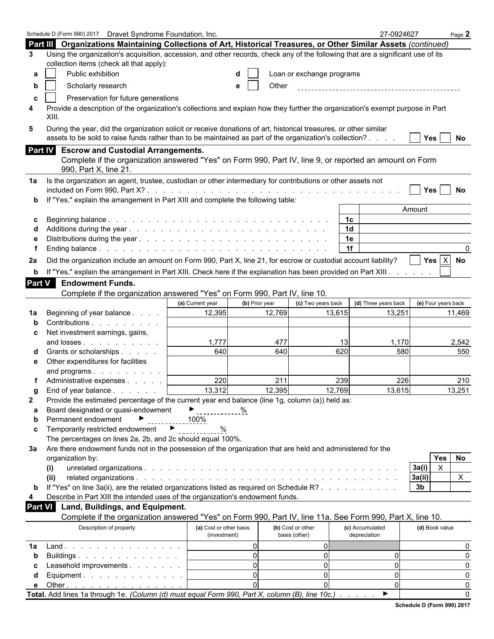| Part III Organizations Maintaining Collections of Art, Historical Treasures, or Other Similar Assets (continued)<br>Using the organization's acquisition, accession, and other records, check any of the following that are a significant use of its<br>collection items (check all that apply):<br>Public exhibition<br>Loan or exchange programs<br>а<br>Scholarly research<br>Other<br>b<br>Preservation for future generations<br>C<br>Provide a description of the organization's collections and explain how they further the organization's exempt purpose in Part<br>XIII.<br>During the year, did the organization solicit or receive donations of art, historical treasures, or other similar<br>5<br>assets to be sold to raise funds rather than to be maintained as part of the organization's collection?<br>Yes<br><b>No</b><br>Part IV Escrow and Custodial Arrangements.<br>Complete if the organization answered "Yes" on Form 990, Part IV, line 9, or reported an amount on Form<br>990, Part X, line 21.<br>Is the organization an agent, trustee, custodian or other intermediary for contributions or other assets not<br><b>Yes</b><br>No<br>If "Yes," explain the arrangement in Part XIII and complete the following table:<br>b<br>Amount<br>1c<br>1 <sub>d</sub><br>1e<br>1f<br>0<br>Yes $ X $ No<br>Did the organization include an amount on Form 990, Part X, line 21, for escrow or custodial account liability?<br>If "Yes," explain the arrangement in Part XIII. Check here if the explanation has been provided on Part XIII.<br>b<br>Part V<br><b>Endowment Funds.</b><br>Complete if the organization answered "Yes" on Form 990, Part IV, line 10.<br>(a) Current year<br>(b) Prior year<br>(c) Two years back<br>(d) Three years back<br>(e) Four years back<br>12,395<br>12,769<br>13,615<br>13,251<br>11,469<br>Beginning of year balance<br>1a<br>Contributions<br>Net investment earnings, gains,<br>c<br>1,777<br>477<br>1,170<br>and losses<br>13<br>2,542<br>640<br>620<br>640<br>Grants or scholarships<br>580<br>550<br>Other expenditures for facilities<br>е<br>and programs<br>220<br>211<br>226<br>210<br>239<br>Administrative expenses<br>12,769<br>13,312<br>12,395<br>13,615<br>13,251<br>End of year balance $\ldots$ $\ldots$ $\ldots$<br>Provide the estimated percentage of the current year end balance (line 1g, column (a)) held as:<br>Board designated or quasi-endowment<br>$\blacktriangleright$ %<br>а<br>Permanent endowment<br>►<br>100%<br>b<br>Temporarily restricted endowment ▶<br>C<br>The percentages on lines 2a, 2b, and 2c should equal 100%.<br>Are there endowment funds not in the possession of the organization that are held and administered for the<br><b>Yes</b><br>No<br>organization by:<br>$\pmb{\times}$<br>3a(i)<br>(i)<br>3a(i)<br>$\mathsf{X}$<br>(ii)<br>If "Yes" on line 3a(ii), are the related organizations listed as required on Schedule R?<br>3 <sub>b</sub><br>Describe in Part XIII the intended uses of the organization's endowment funds.<br><b>Part VI</b><br>Land, Buildings, and Equipment.<br>Complete if the organization answered "Yes" on Form 990, Part IV, line 11a. See Form 990, Part X, line 10.<br>(d) Book value<br>Description of property<br>(a) Cost or other basis<br>(b) Cost or other<br>(c) Accumulated<br>basis (other)<br>depreciation<br>(investment)<br>$\overline{0}$<br>$\Omega$<br>Land.<br>0<br>1a<br>$\overline{0}$<br>$\overline{0}$<br>$\overline{0}$<br>0<br>Buildings<br>þ<br>$\overline{0}$<br>$\overline{0}$<br>$\mathbf{0}$<br>Leasehold improvements<br>0<br>$\overline{0}$<br>$\Omega$<br>$\mathbf{0}$<br>Equipment.<br>0<br>d<br>$\Omega$<br>0l<br>$\Omega$<br>0<br>Other $\ldots$ $\ldots$ $\ldots$ $\ldots$ $\ldots$ $\ldots$<br>е<br>Total. Add lines 1a through 1e. (Column (d) must equal Form 990, Part X, column (B), line 10c.)<br>▶ |    | Schedule D (Form 990) 2017  Dravet Syndrome Foundation, Inc. |  |  | 27-0924627 | Page 2 |
|---------------------------------------------------------------------------------------------------------------------------------------------------------------------------------------------------------------------------------------------------------------------------------------------------------------------------------------------------------------------------------------------------------------------------------------------------------------------------------------------------------------------------------------------------------------------------------------------------------------------------------------------------------------------------------------------------------------------------------------------------------------------------------------------------------------------------------------------------------------------------------------------------------------------------------------------------------------------------------------------------------------------------------------------------------------------------------------------------------------------------------------------------------------------------------------------------------------------------------------------------------------------------------------------------------------------------------------------------------------------------------------------------------------------------------------------------------------------------------------------------------------------------------------------------------------------------------------------------------------------------------------------------------------------------------------------------------------------------------------------------------------------------------------------------------------------------------------------------------------------------------------------------------------------------------------------------------------------------------------------------------------------------------------------------------------------------------------------------------------------------------------------------------------------------------------------------------------------------------------------------------------------------------------------------------------------------------------------------------------------------------------------------------------------------------------------------------------------------------------------------------------------------------------------------------------------------------------------------------------------------------------------------------------------------------------------------------------------------------------------------------------------------------------------------------------------------------------------------------------------------------------------------------------------------------------------------------------------------------------------------------------------------------------------------------------------------------------------------------------------------------------------------------------------------------------------------------------------------------------------------------------------------------------------------------------------------------------------------------------------------------------------------------------------------------------------------------------------------------------------------------------------------------------------------------------------------------------------------------------------------------------------------------------------------------------------------------------------------------------------------------------------------------------------------------------------------------------------------------------------------------------------------|----|--------------------------------------------------------------|--|--|------------|--------|
|                                                                                                                                                                                                                                                                                                                                                                                                                                                                                                                                                                                                                                                                                                                                                                                                                                                                                                                                                                                                                                                                                                                                                                                                                                                                                                                                                                                                                                                                                                                                                                                                                                                                                                                                                                                                                                                                                                                                                                                                                                                                                                                                                                                                                                                                                                                                                                                                                                                                                                                                                                                                                                                                                                                                                                                                                                                                                                                                                                                                                                                                                                                                                                                                                                                                                                                                                                                                                                                                                                                                                                                                                                                                                                                                                                                                                                                                                                   |    |                                                              |  |  |            |        |
|                                                                                                                                                                                                                                                                                                                                                                                                                                                                                                                                                                                                                                                                                                                                                                                                                                                                                                                                                                                                                                                                                                                                                                                                                                                                                                                                                                                                                                                                                                                                                                                                                                                                                                                                                                                                                                                                                                                                                                                                                                                                                                                                                                                                                                                                                                                                                                                                                                                                                                                                                                                                                                                                                                                                                                                                                                                                                                                                                                                                                                                                                                                                                                                                                                                                                                                                                                                                                                                                                                                                                                                                                                                                                                                                                                                                                                                                                                   | 3  |                                                              |  |  |            |        |
|                                                                                                                                                                                                                                                                                                                                                                                                                                                                                                                                                                                                                                                                                                                                                                                                                                                                                                                                                                                                                                                                                                                                                                                                                                                                                                                                                                                                                                                                                                                                                                                                                                                                                                                                                                                                                                                                                                                                                                                                                                                                                                                                                                                                                                                                                                                                                                                                                                                                                                                                                                                                                                                                                                                                                                                                                                                                                                                                                                                                                                                                                                                                                                                                                                                                                                                                                                                                                                                                                                                                                                                                                                                                                                                                                                                                                                                                                                   |    |                                                              |  |  |            |        |
|                                                                                                                                                                                                                                                                                                                                                                                                                                                                                                                                                                                                                                                                                                                                                                                                                                                                                                                                                                                                                                                                                                                                                                                                                                                                                                                                                                                                                                                                                                                                                                                                                                                                                                                                                                                                                                                                                                                                                                                                                                                                                                                                                                                                                                                                                                                                                                                                                                                                                                                                                                                                                                                                                                                                                                                                                                                                                                                                                                                                                                                                                                                                                                                                                                                                                                                                                                                                                                                                                                                                                                                                                                                                                                                                                                                                                                                                                                   |    |                                                              |  |  |            |        |
|                                                                                                                                                                                                                                                                                                                                                                                                                                                                                                                                                                                                                                                                                                                                                                                                                                                                                                                                                                                                                                                                                                                                                                                                                                                                                                                                                                                                                                                                                                                                                                                                                                                                                                                                                                                                                                                                                                                                                                                                                                                                                                                                                                                                                                                                                                                                                                                                                                                                                                                                                                                                                                                                                                                                                                                                                                                                                                                                                                                                                                                                                                                                                                                                                                                                                                                                                                                                                                                                                                                                                                                                                                                                                                                                                                                                                                                                                                   |    |                                                              |  |  |            |        |
|                                                                                                                                                                                                                                                                                                                                                                                                                                                                                                                                                                                                                                                                                                                                                                                                                                                                                                                                                                                                                                                                                                                                                                                                                                                                                                                                                                                                                                                                                                                                                                                                                                                                                                                                                                                                                                                                                                                                                                                                                                                                                                                                                                                                                                                                                                                                                                                                                                                                                                                                                                                                                                                                                                                                                                                                                                                                                                                                                                                                                                                                                                                                                                                                                                                                                                                                                                                                                                                                                                                                                                                                                                                                                                                                                                                                                                                                                                   |    |                                                              |  |  |            |        |
|                                                                                                                                                                                                                                                                                                                                                                                                                                                                                                                                                                                                                                                                                                                                                                                                                                                                                                                                                                                                                                                                                                                                                                                                                                                                                                                                                                                                                                                                                                                                                                                                                                                                                                                                                                                                                                                                                                                                                                                                                                                                                                                                                                                                                                                                                                                                                                                                                                                                                                                                                                                                                                                                                                                                                                                                                                                                                                                                                                                                                                                                                                                                                                                                                                                                                                                                                                                                                                                                                                                                                                                                                                                                                                                                                                                                                                                                                                   | 4  |                                                              |  |  |            |        |
|                                                                                                                                                                                                                                                                                                                                                                                                                                                                                                                                                                                                                                                                                                                                                                                                                                                                                                                                                                                                                                                                                                                                                                                                                                                                                                                                                                                                                                                                                                                                                                                                                                                                                                                                                                                                                                                                                                                                                                                                                                                                                                                                                                                                                                                                                                                                                                                                                                                                                                                                                                                                                                                                                                                                                                                                                                                                                                                                                                                                                                                                                                                                                                                                                                                                                                                                                                                                                                                                                                                                                                                                                                                                                                                                                                                                                                                                                                   |    |                                                              |  |  |            |        |
|                                                                                                                                                                                                                                                                                                                                                                                                                                                                                                                                                                                                                                                                                                                                                                                                                                                                                                                                                                                                                                                                                                                                                                                                                                                                                                                                                                                                                                                                                                                                                                                                                                                                                                                                                                                                                                                                                                                                                                                                                                                                                                                                                                                                                                                                                                                                                                                                                                                                                                                                                                                                                                                                                                                                                                                                                                                                                                                                                                                                                                                                                                                                                                                                                                                                                                                                                                                                                                                                                                                                                                                                                                                                                                                                                                                                                                                                                                   |    |                                                              |  |  |            |        |
|                                                                                                                                                                                                                                                                                                                                                                                                                                                                                                                                                                                                                                                                                                                                                                                                                                                                                                                                                                                                                                                                                                                                                                                                                                                                                                                                                                                                                                                                                                                                                                                                                                                                                                                                                                                                                                                                                                                                                                                                                                                                                                                                                                                                                                                                                                                                                                                                                                                                                                                                                                                                                                                                                                                                                                                                                                                                                                                                                                                                                                                                                                                                                                                                                                                                                                                                                                                                                                                                                                                                                                                                                                                                                                                                                                                                                                                                                                   |    |                                                              |  |  |            |        |
|                                                                                                                                                                                                                                                                                                                                                                                                                                                                                                                                                                                                                                                                                                                                                                                                                                                                                                                                                                                                                                                                                                                                                                                                                                                                                                                                                                                                                                                                                                                                                                                                                                                                                                                                                                                                                                                                                                                                                                                                                                                                                                                                                                                                                                                                                                                                                                                                                                                                                                                                                                                                                                                                                                                                                                                                                                                                                                                                                                                                                                                                                                                                                                                                                                                                                                                                                                                                                                                                                                                                                                                                                                                                                                                                                                                                                                                                                                   |    |                                                              |  |  |            |        |
|                                                                                                                                                                                                                                                                                                                                                                                                                                                                                                                                                                                                                                                                                                                                                                                                                                                                                                                                                                                                                                                                                                                                                                                                                                                                                                                                                                                                                                                                                                                                                                                                                                                                                                                                                                                                                                                                                                                                                                                                                                                                                                                                                                                                                                                                                                                                                                                                                                                                                                                                                                                                                                                                                                                                                                                                                                                                                                                                                                                                                                                                                                                                                                                                                                                                                                                                                                                                                                                                                                                                                                                                                                                                                                                                                                                                                                                                                                   | 1a |                                                              |  |  |            |        |
|                                                                                                                                                                                                                                                                                                                                                                                                                                                                                                                                                                                                                                                                                                                                                                                                                                                                                                                                                                                                                                                                                                                                                                                                                                                                                                                                                                                                                                                                                                                                                                                                                                                                                                                                                                                                                                                                                                                                                                                                                                                                                                                                                                                                                                                                                                                                                                                                                                                                                                                                                                                                                                                                                                                                                                                                                                                                                                                                                                                                                                                                                                                                                                                                                                                                                                                                                                                                                                                                                                                                                                                                                                                                                                                                                                                                                                                                                                   |    |                                                              |  |  |            |        |
|                                                                                                                                                                                                                                                                                                                                                                                                                                                                                                                                                                                                                                                                                                                                                                                                                                                                                                                                                                                                                                                                                                                                                                                                                                                                                                                                                                                                                                                                                                                                                                                                                                                                                                                                                                                                                                                                                                                                                                                                                                                                                                                                                                                                                                                                                                                                                                                                                                                                                                                                                                                                                                                                                                                                                                                                                                                                                                                                                                                                                                                                                                                                                                                                                                                                                                                                                                                                                                                                                                                                                                                                                                                                                                                                                                                                                                                                                                   |    |                                                              |  |  |            |        |
|                                                                                                                                                                                                                                                                                                                                                                                                                                                                                                                                                                                                                                                                                                                                                                                                                                                                                                                                                                                                                                                                                                                                                                                                                                                                                                                                                                                                                                                                                                                                                                                                                                                                                                                                                                                                                                                                                                                                                                                                                                                                                                                                                                                                                                                                                                                                                                                                                                                                                                                                                                                                                                                                                                                                                                                                                                                                                                                                                                                                                                                                                                                                                                                                                                                                                                                                                                                                                                                                                                                                                                                                                                                                                                                                                                                                                                                                                                   |    |                                                              |  |  |            |        |
|                                                                                                                                                                                                                                                                                                                                                                                                                                                                                                                                                                                                                                                                                                                                                                                                                                                                                                                                                                                                                                                                                                                                                                                                                                                                                                                                                                                                                                                                                                                                                                                                                                                                                                                                                                                                                                                                                                                                                                                                                                                                                                                                                                                                                                                                                                                                                                                                                                                                                                                                                                                                                                                                                                                                                                                                                                                                                                                                                                                                                                                                                                                                                                                                                                                                                                                                                                                                                                                                                                                                                                                                                                                                                                                                                                                                                                                                                                   |    |                                                              |  |  |            |        |
|                                                                                                                                                                                                                                                                                                                                                                                                                                                                                                                                                                                                                                                                                                                                                                                                                                                                                                                                                                                                                                                                                                                                                                                                                                                                                                                                                                                                                                                                                                                                                                                                                                                                                                                                                                                                                                                                                                                                                                                                                                                                                                                                                                                                                                                                                                                                                                                                                                                                                                                                                                                                                                                                                                                                                                                                                                                                                                                                                                                                                                                                                                                                                                                                                                                                                                                                                                                                                                                                                                                                                                                                                                                                                                                                                                                                                                                                                                   |    |                                                              |  |  |            |        |
|                                                                                                                                                                                                                                                                                                                                                                                                                                                                                                                                                                                                                                                                                                                                                                                                                                                                                                                                                                                                                                                                                                                                                                                                                                                                                                                                                                                                                                                                                                                                                                                                                                                                                                                                                                                                                                                                                                                                                                                                                                                                                                                                                                                                                                                                                                                                                                                                                                                                                                                                                                                                                                                                                                                                                                                                                                                                                                                                                                                                                                                                                                                                                                                                                                                                                                                                                                                                                                                                                                                                                                                                                                                                                                                                                                                                                                                                                                   |    |                                                              |  |  |            |        |
|                                                                                                                                                                                                                                                                                                                                                                                                                                                                                                                                                                                                                                                                                                                                                                                                                                                                                                                                                                                                                                                                                                                                                                                                                                                                                                                                                                                                                                                                                                                                                                                                                                                                                                                                                                                                                                                                                                                                                                                                                                                                                                                                                                                                                                                                                                                                                                                                                                                                                                                                                                                                                                                                                                                                                                                                                                                                                                                                                                                                                                                                                                                                                                                                                                                                                                                                                                                                                                                                                                                                                                                                                                                                                                                                                                                                                                                                                                   | 2a |                                                              |  |  |            |        |
|                                                                                                                                                                                                                                                                                                                                                                                                                                                                                                                                                                                                                                                                                                                                                                                                                                                                                                                                                                                                                                                                                                                                                                                                                                                                                                                                                                                                                                                                                                                                                                                                                                                                                                                                                                                                                                                                                                                                                                                                                                                                                                                                                                                                                                                                                                                                                                                                                                                                                                                                                                                                                                                                                                                                                                                                                                                                                                                                                                                                                                                                                                                                                                                                                                                                                                                                                                                                                                                                                                                                                                                                                                                                                                                                                                                                                                                                                                   |    |                                                              |  |  |            |        |
|                                                                                                                                                                                                                                                                                                                                                                                                                                                                                                                                                                                                                                                                                                                                                                                                                                                                                                                                                                                                                                                                                                                                                                                                                                                                                                                                                                                                                                                                                                                                                                                                                                                                                                                                                                                                                                                                                                                                                                                                                                                                                                                                                                                                                                                                                                                                                                                                                                                                                                                                                                                                                                                                                                                                                                                                                                                                                                                                                                                                                                                                                                                                                                                                                                                                                                                                                                                                                                                                                                                                                                                                                                                                                                                                                                                                                                                                                                   |    |                                                              |  |  |            |        |
|                                                                                                                                                                                                                                                                                                                                                                                                                                                                                                                                                                                                                                                                                                                                                                                                                                                                                                                                                                                                                                                                                                                                                                                                                                                                                                                                                                                                                                                                                                                                                                                                                                                                                                                                                                                                                                                                                                                                                                                                                                                                                                                                                                                                                                                                                                                                                                                                                                                                                                                                                                                                                                                                                                                                                                                                                                                                                                                                                                                                                                                                                                                                                                                                                                                                                                                                                                                                                                                                                                                                                                                                                                                                                                                                                                                                                                                                                                   |    |                                                              |  |  |            |        |
|                                                                                                                                                                                                                                                                                                                                                                                                                                                                                                                                                                                                                                                                                                                                                                                                                                                                                                                                                                                                                                                                                                                                                                                                                                                                                                                                                                                                                                                                                                                                                                                                                                                                                                                                                                                                                                                                                                                                                                                                                                                                                                                                                                                                                                                                                                                                                                                                                                                                                                                                                                                                                                                                                                                                                                                                                                                                                                                                                                                                                                                                                                                                                                                                                                                                                                                                                                                                                                                                                                                                                                                                                                                                                                                                                                                                                                                                                                   |    |                                                              |  |  |            |        |
|                                                                                                                                                                                                                                                                                                                                                                                                                                                                                                                                                                                                                                                                                                                                                                                                                                                                                                                                                                                                                                                                                                                                                                                                                                                                                                                                                                                                                                                                                                                                                                                                                                                                                                                                                                                                                                                                                                                                                                                                                                                                                                                                                                                                                                                                                                                                                                                                                                                                                                                                                                                                                                                                                                                                                                                                                                                                                                                                                                                                                                                                                                                                                                                                                                                                                                                                                                                                                                                                                                                                                                                                                                                                                                                                                                                                                                                                                                   |    |                                                              |  |  |            |        |
|                                                                                                                                                                                                                                                                                                                                                                                                                                                                                                                                                                                                                                                                                                                                                                                                                                                                                                                                                                                                                                                                                                                                                                                                                                                                                                                                                                                                                                                                                                                                                                                                                                                                                                                                                                                                                                                                                                                                                                                                                                                                                                                                                                                                                                                                                                                                                                                                                                                                                                                                                                                                                                                                                                                                                                                                                                                                                                                                                                                                                                                                                                                                                                                                                                                                                                                                                                                                                                                                                                                                                                                                                                                                                                                                                                                                                                                                                                   |    |                                                              |  |  |            |        |
|                                                                                                                                                                                                                                                                                                                                                                                                                                                                                                                                                                                                                                                                                                                                                                                                                                                                                                                                                                                                                                                                                                                                                                                                                                                                                                                                                                                                                                                                                                                                                                                                                                                                                                                                                                                                                                                                                                                                                                                                                                                                                                                                                                                                                                                                                                                                                                                                                                                                                                                                                                                                                                                                                                                                                                                                                                                                                                                                                                                                                                                                                                                                                                                                                                                                                                                                                                                                                                                                                                                                                                                                                                                                                                                                                                                                                                                                                                   |    |                                                              |  |  |            |        |
|                                                                                                                                                                                                                                                                                                                                                                                                                                                                                                                                                                                                                                                                                                                                                                                                                                                                                                                                                                                                                                                                                                                                                                                                                                                                                                                                                                                                                                                                                                                                                                                                                                                                                                                                                                                                                                                                                                                                                                                                                                                                                                                                                                                                                                                                                                                                                                                                                                                                                                                                                                                                                                                                                                                                                                                                                                                                                                                                                                                                                                                                                                                                                                                                                                                                                                                                                                                                                                                                                                                                                                                                                                                                                                                                                                                                                                                                                                   |    |                                                              |  |  |            |        |
|                                                                                                                                                                                                                                                                                                                                                                                                                                                                                                                                                                                                                                                                                                                                                                                                                                                                                                                                                                                                                                                                                                                                                                                                                                                                                                                                                                                                                                                                                                                                                                                                                                                                                                                                                                                                                                                                                                                                                                                                                                                                                                                                                                                                                                                                                                                                                                                                                                                                                                                                                                                                                                                                                                                                                                                                                                                                                                                                                                                                                                                                                                                                                                                                                                                                                                                                                                                                                                                                                                                                                                                                                                                                                                                                                                                                                                                                                                   |    |                                                              |  |  |            |        |
|                                                                                                                                                                                                                                                                                                                                                                                                                                                                                                                                                                                                                                                                                                                                                                                                                                                                                                                                                                                                                                                                                                                                                                                                                                                                                                                                                                                                                                                                                                                                                                                                                                                                                                                                                                                                                                                                                                                                                                                                                                                                                                                                                                                                                                                                                                                                                                                                                                                                                                                                                                                                                                                                                                                                                                                                                                                                                                                                                                                                                                                                                                                                                                                                                                                                                                                                                                                                                                                                                                                                                                                                                                                                                                                                                                                                                                                                                                   |    |                                                              |  |  |            |        |
|                                                                                                                                                                                                                                                                                                                                                                                                                                                                                                                                                                                                                                                                                                                                                                                                                                                                                                                                                                                                                                                                                                                                                                                                                                                                                                                                                                                                                                                                                                                                                                                                                                                                                                                                                                                                                                                                                                                                                                                                                                                                                                                                                                                                                                                                                                                                                                                                                                                                                                                                                                                                                                                                                                                                                                                                                                                                                                                                                                                                                                                                                                                                                                                                                                                                                                                                                                                                                                                                                                                                                                                                                                                                                                                                                                                                                                                                                                   |    |                                                              |  |  |            |        |
|                                                                                                                                                                                                                                                                                                                                                                                                                                                                                                                                                                                                                                                                                                                                                                                                                                                                                                                                                                                                                                                                                                                                                                                                                                                                                                                                                                                                                                                                                                                                                                                                                                                                                                                                                                                                                                                                                                                                                                                                                                                                                                                                                                                                                                                                                                                                                                                                                                                                                                                                                                                                                                                                                                                                                                                                                                                                                                                                                                                                                                                                                                                                                                                                                                                                                                                                                                                                                                                                                                                                                                                                                                                                                                                                                                                                                                                                                                   |    |                                                              |  |  |            |        |
|                                                                                                                                                                                                                                                                                                                                                                                                                                                                                                                                                                                                                                                                                                                                                                                                                                                                                                                                                                                                                                                                                                                                                                                                                                                                                                                                                                                                                                                                                                                                                                                                                                                                                                                                                                                                                                                                                                                                                                                                                                                                                                                                                                                                                                                                                                                                                                                                                                                                                                                                                                                                                                                                                                                                                                                                                                                                                                                                                                                                                                                                                                                                                                                                                                                                                                                                                                                                                                                                                                                                                                                                                                                                                                                                                                                                                                                                                                   |    |                                                              |  |  |            |        |
|                                                                                                                                                                                                                                                                                                                                                                                                                                                                                                                                                                                                                                                                                                                                                                                                                                                                                                                                                                                                                                                                                                                                                                                                                                                                                                                                                                                                                                                                                                                                                                                                                                                                                                                                                                                                                                                                                                                                                                                                                                                                                                                                                                                                                                                                                                                                                                                                                                                                                                                                                                                                                                                                                                                                                                                                                                                                                                                                                                                                                                                                                                                                                                                                                                                                                                                                                                                                                                                                                                                                                                                                                                                                                                                                                                                                                                                                                                   | 2  |                                                              |  |  |            |        |
|                                                                                                                                                                                                                                                                                                                                                                                                                                                                                                                                                                                                                                                                                                                                                                                                                                                                                                                                                                                                                                                                                                                                                                                                                                                                                                                                                                                                                                                                                                                                                                                                                                                                                                                                                                                                                                                                                                                                                                                                                                                                                                                                                                                                                                                                                                                                                                                                                                                                                                                                                                                                                                                                                                                                                                                                                                                                                                                                                                                                                                                                                                                                                                                                                                                                                                                                                                                                                                                                                                                                                                                                                                                                                                                                                                                                                                                                                                   |    |                                                              |  |  |            |        |
|                                                                                                                                                                                                                                                                                                                                                                                                                                                                                                                                                                                                                                                                                                                                                                                                                                                                                                                                                                                                                                                                                                                                                                                                                                                                                                                                                                                                                                                                                                                                                                                                                                                                                                                                                                                                                                                                                                                                                                                                                                                                                                                                                                                                                                                                                                                                                                                                                                                                                                                                                                                                                                                                                                                                                                                                                                                                                                                                                                                                                                                                                                                                                                                                                                                                                                                                                                                                                                                                                                                                                                                                                                                                                                                                                                                                                                                                                                   |    |                                                              |  |  |            |        |
|                                                                                                                                                                                                                                                                                                                                                                                                                                                                                                                                                                                                                                                                                                                                                                                                                                                                                                                                                                                                                                                                                                                                                                                                                                                                                                                                                                                                                                                                                                                                                                                                                                                                                                                                                                                                                                                                                                                                                                                                                                                                                                                                                                                                                                                                                                                                                                                                                                                                                                                                                                                                                                                                                                                                                                                                                                                                                                                                                                                                                                                                                                                                                                                                                                                                                                                                                                                                                                                                                                                                                                                                                                                                                                                                                                                                                                                                                                   |    |                                                              |  |  |            |        |
|                                                                                                                                                                                                                                                                                                                                                                                                                                                                                                                                                                                                                                                                                                                                                                                                                                                                                                                                                                                                                                                                                                                                                                                                                                                                                                                                                                                                                                                                                                                                                                                                                                                                                                                                                                                                                                                                                                                                                                                                                                                                                                                                                                                                                                                                                                                                                                                                                                                                                                                                                                                                                                                                                                                                                                                                                                                                                                                                                                                                                                                                                                                                                                                                                                                                                                                                                                                                                                                                                                                                                                                                                                                                                                                                                                                                                                                                                                   |    |                                                              |  |  |            |        |
|                                                                                                                                                                                                                                                                                                                                                                                                                                                                                                                                                                                                                                                                                                                                                                                                                                                                                                                                                                                                                                                                                                                                                                                                                                                                                                                                                                                                                                                                                                                                                                                                                                                                                                                                                                                                                                                                                                                                                                                                                                                                                                                                                                                                                                                                                                                                                                                                                                                                                                                                                                                                                                                                                                                                                                                                                                                                                                                                                                                                                                                                                                                                                                                                                                                                                                                                                                                                                                                                                                                                                                                                                                                                                                                                                                                                                                                                                                   | За |                                                              |  |  |            |        |
|                                                                                                                                                                                                                                                                                                                                                                                                                                                                                                                                                                                                                                                                                                                                                                                                                                                                                                                                                                                                                                                                                                                                                                                                                                                                                                                                                                                                                                                                                                                                                                                                                                                                                                                                                                                                                                                                                                                                                                                                                                                                                                                                                                                                                                                                                                                                                                                                                                                                                                                                                                                                                                                                                                                                                                                                                                                                                                                                                                                                                                                                                                                                                                                                                                                                                                                                                                                                                                                                                                                                                                                                                                                                                                                                                                                                                                                                                                   |    |                                                              |  |  |            |        |
|                                                                                                                                                                                                                                                                                                                                                                                                                                                                                                                                                                                                                                                                                                                                                                                                                                                                                                                                                                                                                                                                                                                                                                                                                                                                                                                                                                                                                                                                                                                                                                                                                                                                                                                                                                                                                                                                                                                                                                                                                                                                                                                                                                                                                                                                                                                                                                                                                                                                                                                                                                                                                                                                                                                                                                                                                                                                                                                                                                                                                                                                                                                                                                                                                                                                                                                                                                                                                                                                                                                                                                                                                                                                                                                                                                                                                                                                                                   |    |                                                              |  |  |            |        |
|                                                                                                                                                                                                                                                                                                                                                                                                                                                                                                                                                                                                                                                                                                                                                                                                                                                                                                                                                                                                                                                                                                                                                                                                                                                                                                                                                                                                                                                                                                                                                                                                                                                                                                                                                                                                                                                                                                                                                                                                                                                                                                                                                                                                                                                                                                                                                                                                                                                                                                                                                                                                                                                                                                                                                                                                                                                                                                                                                                                                                                                                                                                                                                                                                                                                                                                                                                                                                                                                                                                                                                                                                                                                                                                                                                                                                                                                                                   |    |                                                              |  |  |            |        |
|                                                                                                                                                                                                                                                                                                                                                                                                                                                                                                                                                                                                                                                                                                                                                                                                                                                                                                                                                                                                                                                                                                                                                                                                                                                                                                                                                                                                                                                                                                                                                                                                                                                                                                                                                                                                                                                                                                                                                                                                                                                                                                                                                                                                                                                                                                                                                                                                                                                                                                                                                                                                                                                                                                                                                                                                                                                                                                                                                                                                                                                                                                                                                                                                                                                                                                                                                                                                                                                                                                                                                                                                                                                                                                                                                                                                                                                                                                   |    |                                                              |  |  |            |        |
|                                                                                                                                                                                                                                                                                                                                                                                                                                                                                                                                                                                                                                                                                                                                                                                                                                                                                                                                                                                                                                                                                                                                                                                                                                                                                                                                                                                                                                                                                                                                                                                                                                                                                                                                                                                                                                                                                                                                                                                                                                                                                                                                                                                                                                                                                                                                                                                                                                                                                                                                                                                                                                                                                                                                                                                                                                                                                                                                                                                                                                                                                                                                                                                                                                                                                                                                                                                                                                                                                                                                                                                                                                                                                                                                                                                                                                                                                                   | 4  |                                                              |  |  |            |        |
|                                                                                                                                                                                                                                                                                                                                                                                                                                                                                                                                                                                                                                                                                                                                                                                                                                                                                                                                                                                                                                                                                                                                                                                                                                                                                                                                                                                                                                                                                                                                                                                                                                                                                                                                                                                                                                                                                                                                                                                                                                                                                                                                                                                                                                                                                                                                                                                                                                                                                                                                                                                                                                                                                                                                                                                                                                                                                                                                                                                                                                                                                                                                                                                                                                                                                                                                                                                                                                                                                                                                                                                                                                                                                                                                                                                                                                                                                                   |    |                                                              |  |  |            |        |
|                                                                                                                                                                                                                                                                                                                                                                                                                                                                                                                                                                                                                                                                                                                                                                                                                                                                                                                                                                                                                                                                                                                                                                                                                                                                                                                                                                                                                                                                                                                                                                                                                                                                                                                                                                                                                                                                                                                                                                                                                                                                                                                                                                                                                                                                                                                                                                                                                                                                                                                                                                                                                                                                                                                                                                                                                                                                                                                                                                                                                                                                                                                                                                                                                                                                                                                                                                                                                                                                                                                                                                                                                                                                                                                                                                                                                                                                                                   |    |                                                              |  |  |            |        |
|                                                                                                                                                                                                                                                                                                                                                                                                                                                                                                                                                                                                                                                                                                                                                                                                                                                                                                                                                                                                                                                                                                                                                                                                                                                                                                                                                                                                                                                                                                                                                                                                                                                                                                                                                                                                                                                                                                                                                                                                                                                                                                                                                                                                                                                                                                                                                                                                                                                                                                                                                                                                                                                                                                                                                                                                                                                                                                                                                                                                                                                                                                                                                                                                                                                                                                                                                                                                                                                                                                                                                                                                                                                                                                                                                                                                                                                                                                   |    |                                                              |  |  |            |        |
|                                                                                                                                                                                                                                                                                                                                                                                                                                                                                                                                                                                                                                                                                                                                                                                                                                                                                                                                                                                                                                                                                                                                                                                                                                                                                                                                                                                                                                                                                                                                                                                                                                                                                                                                                                                                                                                                                                                                                                                                                                                                                                                                                                                                                                                                                                                                                                                                                                                                                                                                                                                                                                                                                                                                                                                                                                                                                                                                                                                                                                                                                                                                                                                                                                                                                                                                                                                                                                                                                                                                                                                                                                                                                                                                                                                                                                                                                                   |    |                                                              |  |  |            |        |
|                                                                                                                                                                                                                                                                                                                                                                                                                                                                                                                                                                                                                                                                                                                                                                                                                                                                                                                                                                                                                                                                                                                                                                                                                                                                                                                                                                                                                                                                                                                                                                                                                                                                                                                                                                                                                                                                                                                                                                                                                                                                                                                                                                                                                                                                                                                                                                                                                                                                                                                                                                                                                                                                                                                                                                                                                                                                                                                                                                                                                                                                                                                                                                                                                                                                                                                                                                                                                                                                                                                                                                                                                                                                                                                                                                                                                                                                                                   |    |                                                              |  |  |            |        |
|                                                                                                                                                                                                                                                                                                                                                                                                                                                                                                                                                                                                                                                                                                                                                                                                                                                                                                                                                                                                                                                                                                                                                                                                                                                                                                                                                                                                                                                                                                                                                                                                                                                                                                                                                                                                                                                                                                                                                                                                                                                                                                                                                                                                                                                                                                                                                                                                                                                                                                                                                                                                                                                                                                                                                                                                                                                                                                                                                                                                                                                                                                                                                                                                                                                                                                                                                                                                                                                                                                                                                                                                                                                                                                                                                                                                                                                                                                   |    |                                                              |  |  |            |        |
|                                                                                                                                                                                                                                                                                                                                                                                                                                                                                                                                                                                                                                                                                                                                                                                                                                                                                                                                                                                                                                                                                                                                                                                                                                                                                                                                                                                                                                                                                                                                                                                                                                                                                                                                                                                                                                                                                                                                                                                                                                                                                                                                                                                                                                                                                                                                                                                                                                                                                                                                                                                                                                                                                                                                                                                                                                                                                                                                                                                                                                                                                                                                                                                                                                                                                                                                                                                                                                                                                                                                                                                                                                                                                                                                                                                                                                                                                                   |    |                                                              |  |  |            |        |
|                                                                                                                                                                                                                                                                                                                                                                                                                                                                                                                                                                                                                                                                                                                                                                                                                                                                                                                                                                                                                                                                                                                                                                                                                                                                                                                                                                                                                                                                                                                                                                                                                                                                                                                                                                                                                                                                                                                                                                                                                                                                                                                                                                                                                                                                                                                                                                                                                                                                                                                                                                                                                                                                                                                                                                                                                                                                                                                                                                                                                                                                                                                                                                                                                                                                                                                                                                                                                                                                                                                                                                                                                                                                                                                                                                                                                                                                                                   |    |                                                              |  |  |            |        |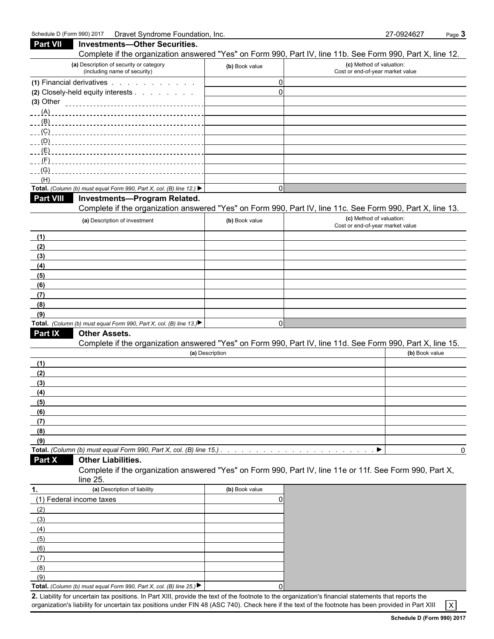(6) (7) (8) (9)

| <b>Part VII</b>  | <b>Investments-Other Securities.</b><br>Complete if the organization answered "Yes" on Form 990, Part IV, line 11b. See Form 990, Part X, line 12. |                 |                                                              |                |
|------------------|----------------------------------------------------------------------------------------------------------------------------------------------------|-----------------|--------------------------------------------------------------|----------------|
|                  | (a) Description of security or category<br>(including name of security)                                                                            | (b) Book value  | (c) Method of valuation:<br>Cost or end-of-year market value |                |
|                  | (1) Financial derivatives                                                                                                                          | $\mathbf{0}$    |                                                              |                |
|                  | (2) Closely-held equity interests                                                                                                                  | $\mathbf 0$     |                                                              |                |
|                  |                                                                                                                                                    |                 |                                                              |                |
|                  |                                                                                                                                                    |                 |                                                              |                |
|                  |                                                                                                                                                    |                 |                                                              |                |
|                  |                                                                                                                                                    |                 |                                                              |                |
|                  |                                                                                                                                                    |                 |                                                              |                |
| (E)              |                                                                                                                                                    |                 |                                                              |                |
| (F)              |                                                                                                                                                    |                 |                                                              |                |
| (G)              |                                                                                                                                                    |                 |                                                              |                |
| (H)              |                                                                                                                                                    |                 |                                                              |                |
|                  | Total. (Column (b) must equal Form 990, Part X, col. (B) line 12.)                                                                                 | $\mathbf 0$     |                                                              |                |
| <b>Part VIII</b> | Investments-Program Related.                                                                                                                       |                 |                                                              |                |
|                  | Complete if the organization answered "Yes" on Form 990, Part IV, line 11c. See Form 990, Part X, line 13.                                         |                 |                                                              |                |
|                  | (a) Description of investment                                                                                                                      | (b) Book value  | (c) Method of valuation:<br>Cost or end-of-year market value |                |
| (1)              |                                                                                                                                                    |                 |                                                              |                |
| (2)              |                                                                                                                                                    |                 |                                                              |                |
| (3)              |                                                                                                                                                    |                 |                                                              |                |
| (4)              |                                                                                                                                                    |                 |                                                              |                |
| (5)              |                                                                                                                                                    |                 |                                                              |                |
| (6)              |                                                                                                                                                    |                 |                                                              |                |
| (7)              |                                                                                                                                                    |                 |                                                              |                |
| (8)              |                                                                                                                                                    |                 |                                                              |                |
| (9)              |                                                                                                                                                    |                 |                                                              |                |
|                  | Total. (Column (b) must equal Form 990, Part X, col. (B) line 13.)                                                                                 | $\mathbf 0$     |                                                              |                |
| Part IX          | <b>Other Assets.</b>                                                                                                                               |                 |                                                              |                |
|                  | Complete if the organization answered "Yes" on Form 990, Part IV, line 11d. See Form 990, Part X, line 15.                                         |                 |                                                              |                |
|                  |                                                                                                                                                    | (a) Description |                                                              | (b) Book value |
| (1)              |                                                                                                                                                    |                 |                                                              |                |
| (2)              |                                                                                                                                                    |                 |                                                              |                |
| (3)              |                                                                                                                                                    |                 |                                                              |                |
| (4)              |                                                                                                                                                    |                 |                                                              |                |
| (5)              |                                                                                                                                                    |                 |                                                              |                |
| (6)              |                                                                                                                                                    |                 |                                                              |                |
| (7)              |                                                                                                                                                    |                 |                                                              |                |
| (8)              |                                                                                                                                                    |                 |                                                              |                |
| (9)              |                                                                                                                                                    |                 |                                                              |                |
|                  |                                                                                                                                                    |                 | ▸                                                            |                |
| Part X           | <b>Other Liabilities.</b>                                                                                                                          |                 |                                                              |                |
|                  | Complete if the organization answered "Yes" on Form 990, Part IV, line 11e or 11f. See Form 990, Part X,<br>line 25.                               |                 |                                                              |                |
| 1.               | (a) Description of liability                                                                                                                       | (b) Book value  |                                                              |                |
|                  | (1) Federal income taxes                                                                                                                           | 0               |                                                              |                |
| (2)              |                                                                                                                                                    |                 |                                                              |                |
| (3)              |                                                                                                                                                    |                 |                                                              |                |
| (4)              |                                                                                                                                                    |                 |                                                              |                |
| (5)              |                                                                                                                                                    |                 |                                                              |                |

**Total.** *(Column (b) must equal Form 990, Part X, col. (B) line 25.)* 0 **2.** Liability for uncertain tax positions. In Part XIII, provide the text of the footnote to the organization's financial statements that reports the  $\overline{X}$  organization's liability for uncertain tax positions under FI organization's liability for uncertain tax positions under FIN 48 (ASC 740). Check here if the text of the footnote has been provided in Part XIII X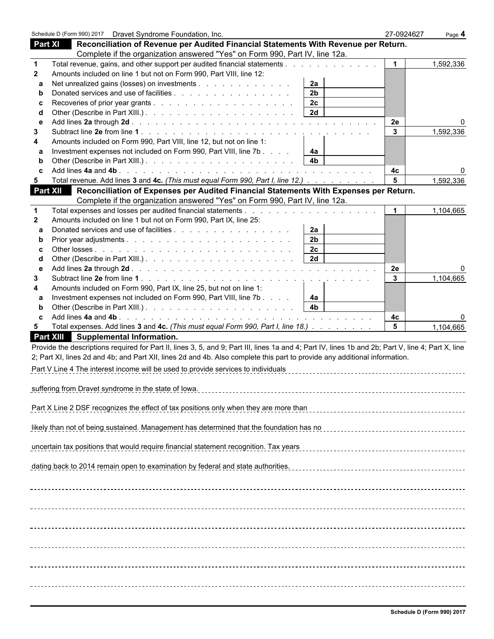|                 | Schedule D (Form 990) 2017  Dravet Syndrome Foundation, Inc.                                                                                       | 27-0924627     | Page 4    |
|-----------------|----------------------------------------------------------------------------------------------------------------------------------------------------|----------------|-----------|
| <b>Part XI</b>  | Reconciliation of Revenue per Audited Financial Statements With Revenue per Return.                                                                |                |           |
|                 | Complete if the organization answered "Yes" on Form 990, Part IV, line 12a.                                                                        |                |           |
| -1              | Total revenue, gains, and other support per audited financial statements                                                                           | $\mathbf 1$    | 1,592,336 |
| 2               | Amounts included on line 1 but not on Form 990, Part VIII, line 12:                                                                                |                |           |
| a               | Net unrealized gains (losses) on investments<br>2a                                                                                                 |                |           |
| b               | 2 <sub>b</sub><br>Donated services and use of facilities                                                                                           |                |           |
|                 | 2c                                                                                                                                                 |                |           |
| d               | 2d                                                                                                                                                 |                |           |
| е               |                                                                                                                                                    | 2e             |           |
| 3               |                                                                                                                                                    | $\mathbf{3}$   | 1,592,336 |
| 4               | Amounts included on Form 990, Part VIII, line 12, but not on line 1:                                                                               |                |           |
| a               | Investment expenses not included on Form 990, Part VIII, line 7b<br>4a                                                                             |                |           |
| b               | 4 <sub>b</sub>                                                                                                                                     |                |           |
|                 |                                                                                                                                                    | 4c             |           |
| 5               | Total revenue. Add lines 3 and 4c. (This must equal Form 990, Part I, line 12.)                                                                    | 5              | 1,592,336 |
| <b>Part XII</b> | Reconciliation of Expenses per Audited Financial Statements With Expenses per Return.                                                              |                |           |
|                 | Complete if the organization answered "Yes" on Form 990, Part IV, line 12a.                                                                        |                |           |
| 1               |                                                                                                                                                    | $\mathbf 1$    | 1,104,665 |
| $\mathbf{2}$    | Amounts included on line 1 but not on Form 990, Part IX, line 25:                                                                                  |                |           |
| a               | Donated services and use of facilities<br>2a<br>2 <sub>b</sub>                                                                                     |                |           |
| b               | 2c                                                                                                                                                 |                |           |
| c<br>d          | 2d                                                                                                                                                 |                |           |
| е               |                                                                                                                                                    | 2e             |           |
| 3               |                                                                                                                                                    | $\mathbf{3}$   | 1,104,665 |
| 4               | Amounts included on Form 990, Part IX, line 25, but not on line 1:                                                                                 |                |           |
| a               | Investment expenses not included on Form 990, Part VIII, line 7b<br>4a                                                                             |                |           |
| b               | 4 <sub>b</sub>                                                                                                                                     |                |           |
| C               |                                                                                                                                                    | 4с             |           |
| 5               | Total expenses. Add lines 3 and 4c. (This must equal Form 990, Part I, line 18.)                                                                   | 5 <sup>5</sup> | 1,104,665 |
|                 | Part XIII Supplemental Information.                                                                                                                |                |           |
|                 | Provide the descriptions required for Part II, lines 3, 5, and 9; Part III, lines 1a and 4; Part IV, lines 1b and 2b; Part V, line 4; Part X, line |                |           |
|                 | 2; Part XI, lines 2d and 4b; and Part XII, lines 2d and 4b. Also complete this part to provide any additional information.                         |                |           |
|                 | Part V Line 4 The interest income will be used to provide services to individuals                                                                  |                |           |
|                 |                                                                                                                                                    |                |           |
|                 | suffering from Dravet syndrome in the state of lowa.                                                                                               |                |           |
|                 |                                                                                                                                                    |                |           |
|                 | Part X Line 2 DSF recognizes the effect of tax positions only when they are more than                                                              |                |           |
|                 |                                                                                                                                                    |                |           |
|                 | likely than not of being sustained. Management has determined that the foundation has no                                                           |                |           |
|                 |                                                                                                                                                    |                |           |
|                 | uncertain tax positions that would require financial statement recognition. Tax years                                                              |                |           |
|                 |                                                                                                                                                    |                |           |
|                 | dating back to 2014 remain open to examination by federal and state authorities.                                                                   |                |           |
|                 |                                                                                                                                                    |                |           |
|                 |                                                                                                                                                    |                |           |
|                 |                                                                                                                                                    |                |           |
|                 |                                                                                                                                                    |                |           |
|                 |                                                                                                                                                    |                |           |
|                 |                                                                                                                                                    |                |           |
|                 |                                                                                                                                                    |                |           |
|                 |                                                                                                                                                    |                |           |
|                 |                                                                                                                                                    |                |           |
|                 |                                                                                                                                                    |                |           |
|                 |                                                                                                                                                    |                |           |
|                 |                                                                                                                                                    |                |           |
|                 |                                                                                                                                                    |                |           |
|                 |                                                                                                                                                    |                |           |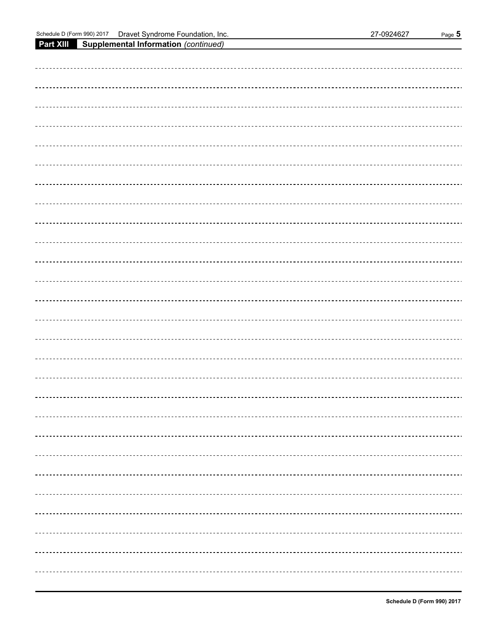**Part XIII Supplemental Information** *(continued)*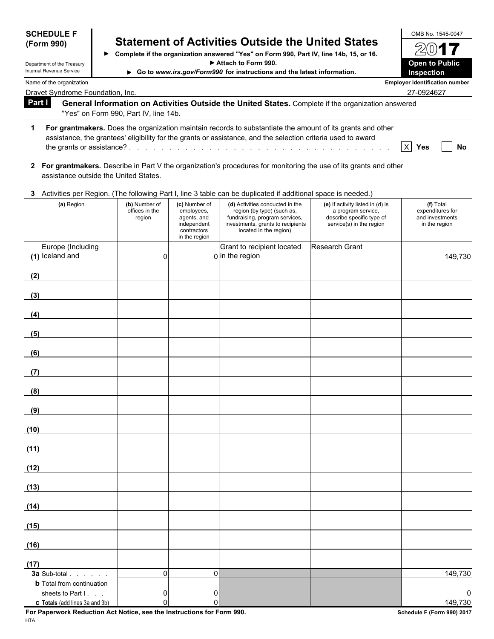| <b>SCHEDULE F</b>                                      |                                           |                                                                                           |                                                                                                                                                                                                                            |                                                                                                                 | OMB No. 1545-0047                                                 |
|--------------------------------------------------------|-------------------------------------------|-------------------------------------------------------------------------------------------|----------------------------------------------------------------------------------------------------------------------------------------------------------------------------------------------------------------------------|-----------------------------------------------------------------------------------------------------------------|-------------------------------------------------------------------|
| (Form 990)                                             |                                           |                                                                                           | <b>Statement of Activities Outside the United States</b><br>> Complete if the organization answered "Yes" on Form 990, Part IV, line 14b, 15, or 16.                                                                       |                                                                                                                 | 201                                                               |
| Department of the Treasury<br>Internal Revenue Service |                                           |                                                                                           | Attach to Form 990.<br>Go to www.irs.gov/Form990 for instructions and the latest information.                                                                                                                              |                                                                                                                 | <b>Open to Public</b><br>Inspection                               |
| Name of the organization                               |                                           |                                                                                           |                                                                                                                                                                                                                            |                                                                                                                 | <b>Employer identification number</b>                             |
| Dravet Syndrome Foundation, Inc.                       |                                           |                                                                                           |                                                                                                                                                                                                                            |                                                                                                                 | 27-0924627                                                        |
| Part I                                                 | "Yes" on Form 990, Part IV, line 14b.     |                                                                                           | General Information on Activities Outside the United States. Complete if the organization answered                                                                                                                         |                                                                                                                 |                                                                   |
|                                                        |                                           |                                                                                           |                                                                                                                                                                                                                            |                                                                                                                 |                                                                   |
| 1                                                      |                                           |                                                                                           | For grantmakers. Does the organization maintain records to substantiate the amount of its grants and other<br>assistance, the grantees' eligibility for the grants or assistance, and the selection criteria used to award |                                                                                                                 | $\boldsymbol{\mathsf{X}}$<br>Yes<br>No                            |
| assistance outside the United States.                  |                                           |                                                                                           | 2 For grantmakers. Describe in Part V the organization's procedures for monitoring the use of its grants and other                                                                                                         |                                                                                                                 |                                                                   |
|                                                        |                                           |                                                                                           | 3 Activities per Region. (The following Part I, line 3 table can be duplicated if additional space is needed.)                                                                                                             |                                                                                                                 |                                                                   |
| (a) Region                                             | (b) Number of<br>offices in the<br>region | (c) Number of<br>employees,<br>agents, and<br>independent<br>contractors<br>in the region | (d) Activities conducted in the<br>region (by type) (such as,<br>fundraising, program services,<br>investments, grants to recipients<br>located in the region)                                                             | (e) If activity listed in (d) is<br>a program service,<br>describe specific type of<br>service(s) in the region | (f) Total<br>expenditures for<br>and investments<br>in the region |
| Europe (Including<br>(1) Iceland and                   | 0                                         |                                                                                           | Grant to recipient located<br>$0$ in the region                                                                                                                                                                            | Research Grant                                                                                                  | 149,730                                                           |
| (2)                                                    |                                           |                                                                                           |                                                                                                                                                                                                                            |                                                                                                                 |                                                                   |
| (3)                                                    |                                           |                                                                                           |                                                                                                                                                                                                                            |                                                                                                                 |                                                                   |
| (4)                                                    |                                           |                                                                                           |                                                                                                                                                                                                                            |                                                                                                                 |                                                                   |
| (5)                                                    |                                           |                                                                                           |                                                                                                                                                                                                                            |                                                                                                                 |                                                                   |
| (6)                                                    |                                           |                                                                                           |                                                                                                                                                                                                                            |                                                                                                                 |                                                                   |
| (7)                                                    |                                           |                                                                                           |                                                                                                                                                                                                                            |                                                                                                                 |                                                                   |
| (8)                                                    |                                           |                                                                                           |                                                                                                                                                                                                                            |                                                                                                                 |                                                                   |
| (9)                                                    |                                           |                                                                                           |                                                                                                                                                                                                                            |                                                                                                                 |                                                                   |
| (10)                                                   |                                           |                                                                                           |                                                                                                                                                                                                                            |                                                                                                                 |                                                                   |
| (11)                                                   |                                           |                                                                                           |                                                                                                                                                                                                                            |                                                                                                                 |                                                                   |
| (12)                                                   |                                           |                                                                                           |                                                                                                                                                                                                                            |                                                                                                                 |                                                                   |
| (13)                                                   |                                           |                                                                                           |                                                                                                                                                                                                                            |                                                                                                                 |                                                                   |
| (14)                                                   |                                           |                                                                                           |                                                                                                                                                                                                                            |                                                                                                                 |                                                                   |
| (15)                                                   |                                           |                                                                                           |                                                                                                                                                                                                                            |                                                                                                                 |                                                                   |
| (16)                                                   |                                           |                                                                                           |                                                                                                                                                                                                                            |                                                                                                                 |                                                                   |
| (17)<br>3a Sub-total <b>3a Sub-total</b>               | 0                                         | $\Omega$                                                                                  |                                                                                                                                                                                                                            |                                                                                                                 | 149,730                                                           |
| <b>b</b> Total from continuation                       |                                           |                                                                                           |                                                                                                                                                                                                                            |                                                                                                                 |                                                                   |
| sheets to Part I.<br>c Totals (add lines 3a and 3b)    | 0<br>$\mathbf 0$                          | 0<br>$\Omega$                                                                             |                                                                                                                                                                                                                            |                                                                                                                 | 0<br>149,730                                                      |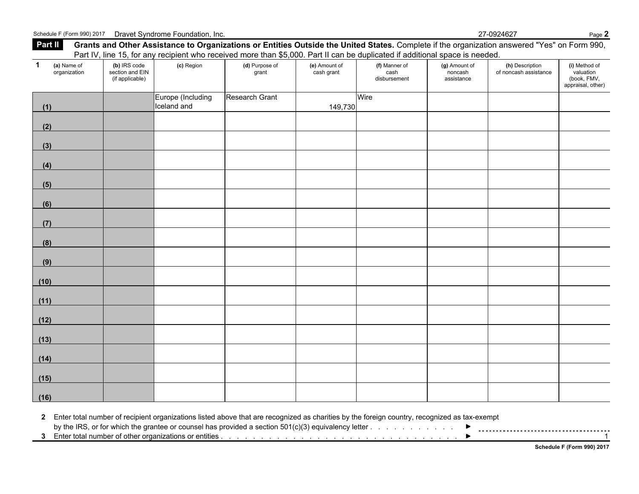**Part II Grants and Other Assistance to Organizations or Entities Outside the United States.** Complete if the organization answered "Yes" on Form 990, Part IV, line 15, for any recipient who received more than \$5,000. Part II can be duplicated if additional space is needed. **1 (a)** Name of **(b)** IRS code **(c)** Region **(d)** Purpose of **(e)** Amount of **(f)** Manner of **(g)** Amount of **(h)** Description **(i)** Method of organization section and EIN grant cash grant cash noncash of noncash assistance valuation (if applicable) disbursement assistance (book, FMV, appraisal, other) **(1)** Europe (Including Iceland and Research Grant 149,730 **Wire (2) (3) (4) (5) (6) (7) (8) (9) (10) (11) (12) (13) (14) (15) (16)**

**2** Enter total number of recipient organizations listed above that are recognized as charities by the foreign country, recognized as tax-exempt

by the IRS, or for which the grantee or counsel has provided a section 501(c)(3) equivalency letter . . . . . . . . . . . . . . . . . . . . . . . . . . . . . . . . . . . . .

**3** Enter total number of other organizations or entities . . . . . . . . . . . . . . . . . . . . . . . . . . . . . . . . . . . . . . . . . . . . . . . . 1

**Schedule F (Form 990) 2017**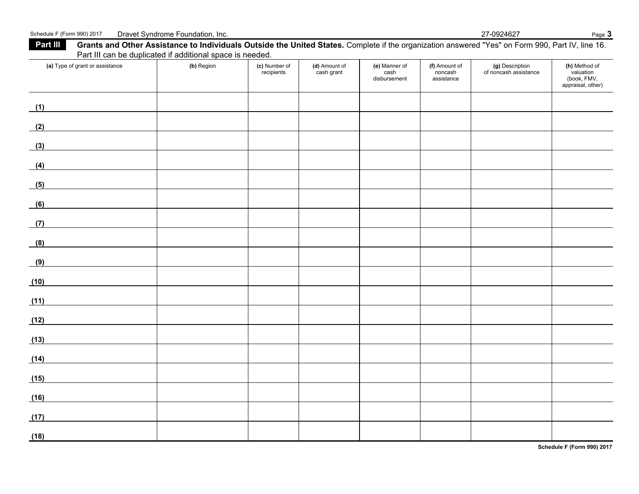## Schedule F (Form 990) 2017 Dravet Syndrome Foundation, Inc. 27-0924627 Page 3

Part III Grants and Other Assistance to Individuals Outside the United States. Complete if the organization answered "Yes" on Form 990, Part IV, line 16. Part III can be duplicated if additional space is needed.

| (a) Type of grant or assistance                     | (b) Region | (c) Number of<br>recipients | (d) Amount of<br>cash grant | (e) Manner of<br>cash<br>disbursement | (f) Amount of<br>noncash<br>assistance | (g) Description<br>of noncash assistance | (h) Method of<br>valuation<br>(book, FMV,<br>appraisal, other) |
|-----------------------------------------------------|------------|-----------------------------|-----------------------------|---------------------------------------|----------------------------------------|------------------------------------------|----------------------------------------------------------------|
| (1)                                                 |            |                             |                             |                                       |                                        |                                          |                                                                |
| (2)                                                 |            |                             |                             |                                       |                                        |                                          |                                                                |
| (3)                                                 |            |                             |                             |                                       |                                        |                                          |                                                                |
| (4)                                                 |            |                             |                             |                                       |                                        |                                          |                                                                |
| (5)                                                 |            |                             |                             |                                       |                                        |                                          |                                                                |
| (6)                                                 |            |                             |                             |                                       |                                        |                                          |                                                                |
| (7)                                                 |            |                             |                             |                                       |                                        |                                          |                                                                |
| (8)                                                 |            |                             |                             |                                       |                                        |                                          |                                                                |
| (9)                                                 |            |                             |                             |                                       |                                        |                                          |                                                                |
| (10)<br><u> 1989 - Jan Barbara III, prima posta</u> |            |                             |                             |                                       |                                        |                                          |                                                                |
| (11)                                                |            |                             |                             |                                       |                                        |                                          |                                                                |
| (12)                                                |            |                             |                             |                                       |                                        |                                          |                                                                |
| (13)                                                |            |                             |                             |                                       |                                        |                                          |                                                                |
| (14)                                                |            |                             |                             |                                       |                                        |                                          |                                                                |
| (15)                                                |            |                             |                             |                                       |                                        |                                          |                                                                |
| (16)                                                |            |                             |                             |                                       |                                        |                                          |                                                                |
| (17)                                                |            |                             |                             |                                       |                                        |                                          |                                                                |
| (18)                                                |            |                             |                             |                                       |                                        |                                          |                                                                |

**Schedule F (Form 990) 2017**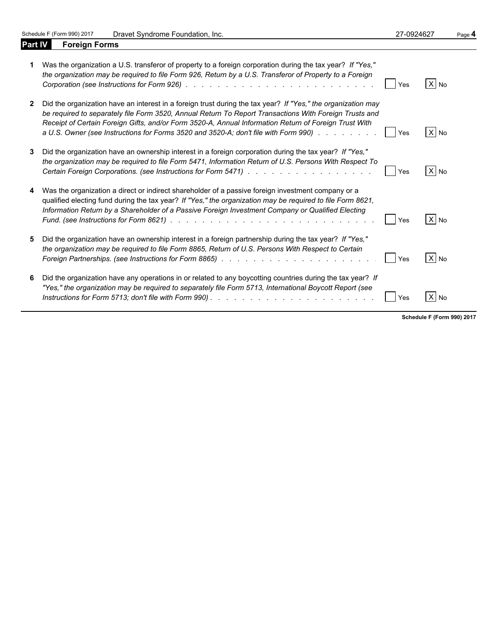Schedule F (Form 990) 2017 Dravet Syndrome Foundation, Inc. 27-0924627 Page 4<br> **Part IV Foreign Forms** 

**Foreign Forms** 

۰

| Was the organization a U.S. transferor of property to a foreign corporation during the tax year? If "Yes,"<br>the organization may be required to file Form 926, Return by a U.S. Transferor of Property to a Foreign                                                                                                                                                                                                    | Yes        | $X$ No |
|--------------------------------------------------------------------------------------------------------------------------------------------------------------------------------------------------------------------------------------------------------------------------------------------------------------------------------------------------------------------------------------------------------------------------|------------|--------|
| 2 Did the organization have an interest in a foreign trust during the tax year? If "Yes," the organization may<br>be required to separately file Form 3520, Annual Return To Report Transactions With Foreign Trusts and<br>Receipt of Certain Foreign Gifts, and/or Form 3520-A, Annual Information Return of Foreign Trust With<br>a U.S. Owner (see Instructions for Forms 3520 and 3520-A; don't file with Form 990) | Yes        | $X$ No |
| 3 Did the organization have an ownership interest in a foreign corporation during the tax year? If "Yes,"<br>the organization may be required to file Form 5471, Information Return of U.S. Persons With Respect To                                                                                                                                                                                                      | Yes        | $X$ No |
| 4 Was the organization a direct or indirect shareholder of a passive foreign investment company or a<br>qualified electing fund during the tax year? If "Yes," the organization may be required to file Form 8621,<br>Information Return by a Shareholder of a Passive Foreign Investment Company or Qualified Electing                                                                                                  | Yes        | X No   |
| 5 Did the organization have an ownership interest in a foreign partnership during the tax year? If "Yes,"<br>the organization may be required to file Form 8865, Return of U.S. Persons With Respect to Certain                                                                                                                                                                                                          | <b>Yes</b> | $X$ No |
| 6 Did the organization have any operations in or related to any boycotting countries during the tax year? If<br>"Yes," the organization may be required to separately file Form 5713, International Boycott Report (see                                                                                                                                                                                                  | Yes        | $X$ No |

**Schedule F (Form 990) 2017**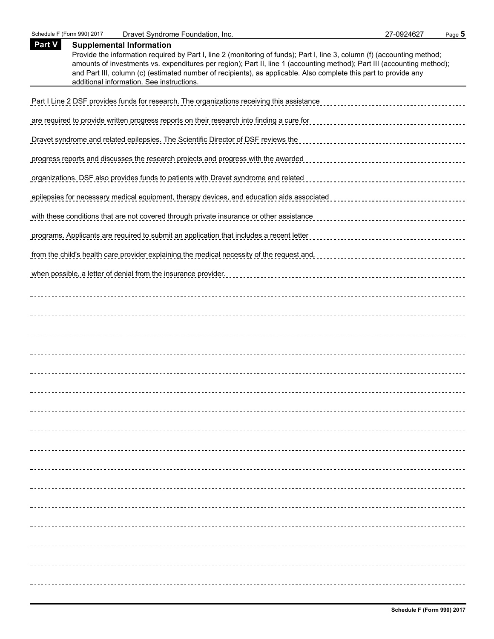| Part V | <b>Supplemental Information</b><br>Provide the information required by Part I, line 2 (monitoring of funds); Part I, line 3, column (f) (accounting method;<br>amounts of investments vs. expenditures per region); Part II, line 1 (accounting method); Part III (accounting method);<br>and Part III, column (c) (estimated number of recipients), as applicable. Also complete this part to provide any<br>additional information. See instructions. |
|--------|---------------------------------------------------------------------------------------------------------------------------------------------------------------------------------------------------------------------------------------------------------------------------------------------------------------------------------------------------------------------------------------------------------------------------------------------------------|
|        | Part I Line 2 DSF provides funds for research. The organizations receiving this assistance                                                                                                                                                                                                                                                                                                                                                              |
|        | are required to provide written progress reports on their research into finding a cure for                                                                                                                                                                                                                                                                                                                                                              |
|        | Dravet syndrome and related epilepsies. The Scientific Director of DSF reviews the                                                                                                                                                                                                                                                                                                                                                                      |
|        | progress reports and discusses the research projects and progress with the awarded                                                                                                                                                                                                                                                                                                                                                                      |
|        | organizations. DSF also provides funds to patients with Dravet syndrome and related                                                                                                                                                                                                                                                                                                                                                                     |
|        | epilepsies for necessary medical equipment, therapy devices, and education aids associated                                                                                                                                                                                                                                                                                                                                                              |
|        | with these conditions that are not covered through private insurance or other assistance                                                                                                                                                                                                                                                                                                                                                                |
|        | programs. Applicants are required to submit an application that includes a recent letter                                                                                                                                                                                                                                                                                                                                                                |
|        | from the child's health care provider explaining the medical necessity of the request and,                                                                                                                                                                                                                                                                                                                                                              |
|        | when possible, a letter of denial from the insurance provider.                                                                                                                                                                                                                                                                                                                                                                                          |
|        |                                                                                                                                                                                                                                                                                                                                                                                                                                                         |
|        |                                                                                                                                                                                                                                                                                                                                                                                                                                                         |
|        |                                                                                                                                                                                                                                                                                                                                                                                                                                                         |
|        |                                                                                                                                                                                                                                                                                                                                                                                                                                                         |
|        |                                                                                                                                                                                                                                                                                                                                                                                                                                                         |
|        |                                                                                                                                                                                                                                                                                                                                                                                                                                                         |
|        |                                                                                                                                                                                                                                                                                                                                                                                                                                                         |
|        |                                                                                                                                                                                                                                                                                                                                                                                                                                                         |
|        |                                                                                                                                                                                                                                                                                                                                                                                                                                                         |
|        |                                                                                                                                                                                                                                                                                                                                                                                                                                                         |
|        |                                                                                                                                                                                                                                                                                                                                                                                                                                                         |
|        |                                                                                                                                                                                                                                                                                                                                                                                                                                                         |
|        |                                                                                                                                                                                                                                                                                                                                                                                                                                                         |
|        |                                                                                                                                                                                                                                                                                                                                                                                                                                                         |
|        |                                                                                                                                                                                                                                                                                                                                                                                                                                                         |
|        |                                                                                                                                                                                                                                                                                                                                                                                                                                                         |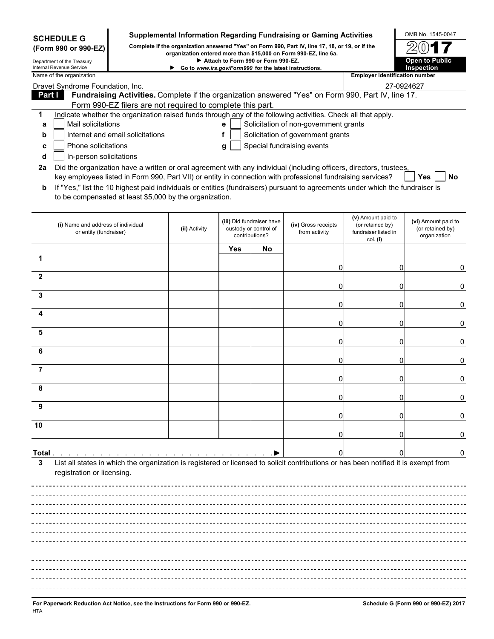| <b>SCHEDULE G</b>                                    |                                                              |                                                            |                                                        |                                    |                                                                      | Supplemental Information Regarding Fundraising or Gaming Activities                                                                                                                                                                |                                                                            | OMB No. 1545-0047                                       |
|------------------------------------------------------|--------------------------------------------------------------|------------------------------------------------------------|--------------------------------------------------------|------------------------------------|----------------------------------------------------------------------|------------------------------------------------------------------------------------------------------------------------------------------------------------------------------------------------------------------------------------|----------------------------------------------------------------------------|---------------------------------------------------------|
|                                                      | (Form 990 or 990-EZ)                                         |                                                            |                                                        |                                    |                                                                      | Complete if the organization answered "Yes" on Form 990, Part IV, line 17, 18, or 19, or if the<br>organization entered more than \$15,000 on Form 990-EZ, line 6a.                                                                |                                                                            |                                                         |
| Department of the Treasury                           |                                                              |                                                            |                                                        | Attach to Form 990 or Form 990-EZ. |                                                                      |                                                                                                                                                                                                                                    |                                                                            | <b>Open to Public</b>                                   |
| Internal Revenue Service<br>Name of the organization |                                                              |                                                            | Go to www.irs.gov/Form990 for the latest instructions. |                                    |                                                                      |                                                                                                                                                                                                                                    | <b>Employer identification number</b>                                      | <b>Inspection</b>                                       |
|                                                      | Dravet Syndrome Foundation, Inc.                             |                                                            |                                                        |                                    |                                                                      |                                                                                                                                                                                                                                    | 27-0924627                                                                 |                                                         |
| Part I                                               |                                                              |                                                            |                                                        |                                    |                                                                      | Fundraising Activities. Complete if the organization answered "Yes" on Form 990, Part IV, line 17.                                                                                                                                 |                                                                            |                                                         |
| 1                                                    |                                                              | Form 990-EZ filers are not required to complete this part. |                                                        |                                    |                                                                      | Indicate whether the organization raised funds through any of the following activities. Check all that apply.                                                                                                                      |                                                                            |                                                         |
| a                                                    | Mail solicitations                                           |                                                            |                                                        | е                                  |                                                                      | Solicitation of non-government grants                                                                                                                                                                                              |                                                                            |                                                         |
| b                                                    |                                                              | Internet and email solicitations                           |                                                        | f                                  |                                                                      | Solicitation of government grants                                                                                                                                                                                                  |                                                                            |                                                         |
| с                                                    | Phone solicitations                                          |                                                            |                                                        | g                                  |                                                                      | Special fundraising events                                                                                                                                                                                                         |                                                                            |                                                         |
| d                                                    | In-person solicitations                                      |                                                            |                                                        |                                    |                                                                      |                                                                                                                                                                                                                                    |                                                                            |                                                         |
| 2a                                                   |                                                              |                                                            |                                                        |                                    |                                                                      | Did the organization have a written or oral agreement with any individual (including officers, directors, trustees,<br>key employees listed in Form 990, Part VII) or entity in connection with professional fundraising services? |                                                                            | <b>Yes</b><br>No                                        |
| b                                                    |                                                              | to be compensated at least \$5,000 by the organization.    |                                                        |                                    |                                                                      | If "Yes," list the 10 highest paid individuals or entities (fundraisers) pursuant to agreements under which the fundraiser is                                                                                                      |                                                                            |                                                         |
|                                                      | (i) Name and address of individual<br>or entity (fundraiser) |                                                            | (ii) Activity                                          |                                    | (iii) Did fundraiser have<br>custody or control of<br>contributions? | (iv) Gross receipts<br>from activity                                                                                                                                                                                               | (v) Amount paid to<br>(or retained by)<br>fundraiser listed in<br>col. (i) | (vi) Amount paid to<br>(or retained by)<br>organization |
|                                                      |                                                              |                                                            |                                                        | Yes                                | No                                                                   |                                                                                                                                                                                                                                    |                                                                            |                                                         |
|                                                      |                                                              |                                                            |                                                        |                                    |                                                                      |                                                                                                                                                                                                                                    |                                                                            |                                                         |
|                                                      |                                                              |                                                            |                                                        |                                    |                                                                      | O                                                                                                                                                                                                                                  | 0                                                                          | 0                                                       |
| $\mathbf{2}$                                         |                                                              |                                                            |                                                        |                                    |                                                                      | ი                                                                                                                                                                                                                                  | $\overline{0}$                                                             | 0                                                       |
| 3                                                    |                                                              |                                                            |                                                        |                                    |                                                                      |                                                                                                                                                                                                                                    | $\Omega$                                                                   | 0                                                       |
| 4                                                    |                                                              |                                                            |                                                        |                                    |                                                                      | ი                                                                                                                                                                                                                                  | 0                                                                          | 0                                                       |
| 5                                                    |                                                              |                                                            |                                                        |                                    |                                                                      | ი                                                                                                                                                                                                                                  | $\overline{0}$                                                             | 0                                                       |
| 6                                                    |                                                              |                                                            |                                                        |                                    |                                                                      | ი                                                                                                                                                                                                                                  | 0                                                                          | 0                                                       |
| 7                                                    |                                                              |                                                            |                                                        |                                    |                                                                      |                                                                                                                                                                                                                                    | 0                                                                          | 0                                                       |
|                                                      |                                                              |                                                            |                                                        |                                    |                                                                      |                                                                                                                                                                                                                                    | 0                                                                          | 0                                                       |
| 9                                                    |                                                              |                                                            |                                                        |                                    |                                                                      |                                                                                                                                                                                                                                    | 0                                                                          |                                                         |
| 10                                                   |                                                              |                                                            |                                                        |                                    |                                                                      |                                                                                                                                                                                                                                    |                                                                            |                                                         |
|                                                      |                                                              |                                                            |                                                        |                                    |                                                                      |                                                                                                                                                                                                                                    |                                                                            |                                                         |
| Total.<br>3                                          |                                                              |                                                            |                                                        |                                    |                                                                      | List all states in which the organization is registered or licensed to solicit contributions or has been notified it is exempt from                                                                                                |                                                                            | 0                                                       |
|                                                      | registration or licensing.                                   |                                                            |                                                        |                                    |                                                                      |                                                                                                                                                                                                                                    |                                                                            |                                                         |
|                                                      |                                                              |                                                            |                                                        |                                    |                                                                      |                                                                                                                                                                                                                                    |                                                                            |                                                         |
|                                                      |                                                              |                                                            |                                                        |                                    |                                                                      |                                                                                                                                                                                                                                    |                                                                            |                                                         |
|                                                      |                                                              |                                                            |                                                        |                                    |                                                                      |                                                                                                                                                                                                                                    |                                                                            |                                                         |
|                                                      |                                                              |                                                            |                                                        |                                    |                                                                      |                                                                                                                                                                                                                                    |                                                                            |                                                         |
|                                                      |                                                              |                                                            |                                                        |                                    |                                                                      |                                                                                                                                                                                                                                    |                                                                            |                                                         |
|                                                      |                                                              |                                                            |                                                        |                                    |                                                                      |                                                                                                                                                                                                                                    |                                                                            |                                                         |
|                                                      |                                                              |                                                            |                                                        |                                    |                                                                      |                                                                                                                                                                                                                                    |                                                                            |                                                         |
|                                                      |                                                              |                                                            |                                                        |                                    |                                                                      |                                                                                                                                                                                                                                    |                                                                            |                                                         |
|                                                      |                                                              |                                                            |                                                        |                                    |                                                                      |                                                                                                                                                                                                                                    |                                                                            |                                                         |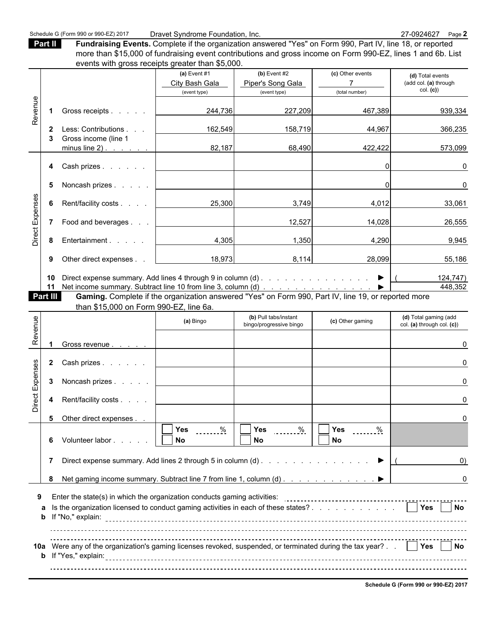Part II **Fundraising Events.** Complete if the organization answered "Yes" on Form 990, Part IV, line 18, or reported more than \$15,000 of fundraising event contributions and gross income on Form 990-EZ, lines 1 and 6b. List events with gross receipts greater than \$5,000

|                 |          | <u>Events with gross receipts greater than \$0,000.</u>                                             |                |                            |                  |                                                                                                                                                                                                                                                                                                                                                             |
|-----------------|----------|-----------------------------------------------------------------------------------------------------|----------------|----------------------------|------------------|-------------------------------------------------------------------------------------------------------------------------------------------------------------------------------------------------------------------------------------------------------------------------------------------------------------------------------------------------------------|
|                 |          |                                                                                                     | (a) Event $#1$ | $(b)$ Event #2             | (c) Other events | (d) Total events                                                                                                                                                                                                                                                                                                                                            |
|                 |          |                                                                                                     | City Bash Gala | Piper's Song Gala          |                  | (add col. (a) through                                                                                                                                                                                                                                                                                                                                       |
|                 |          |                                                                                                     | (event type)   | (event type)               | (total number)   | col. (c)                                                                                                                                                                                                                                                                                                                                                    |
| Revenue         |          |                                                                                                     |                |                            |                  |                                                                                                                                                                                                                                                                                                                                                             |
|                 |          | Gross receipts                                                                                      | 244,736        | 227,209                    | 467,389          | 939,334                                                                                                                                                                                                                                                                                                                                                     |
|                 |          |                                                                                                     |                |                            |                  |                                                                                                                                                                                                                                                                                                                                                             |
|                 | 2        | Less: Contributions                                                                                 | 162,549        | 158,719                    | 44,967           | 366,235                                                                                                                                                                                                                                                                                                                                                     |
|                 |          | Gross income (line 1                                                                                |                |                            |                  |                                                                                                                                                                                                                                                                                                                                                             |
|                 |          | minus line $2)$ .                                                                                   | 82,187         | 68,490                     | 422,422          | 573,099                                                                                                                                                                                                                                                                                                                                                     |
|                 |          | Cash prizes                                                                                         |                |                            | 0                | $\Omega$                                                                                                                                                                                                                                                                                                                                                    |
|                 | 4        |                                                                                                     |                |                            |                  |                                                                                                                                                                                                                                                                                                                                                             |
|                 | 5        | Noncash prizes                                                                                      |                |                            | $\Omega$         | 0                                                                                                                                                                                                                                                                                                                                                           |
|                 |          |                                                                                                     |                |                            |                  |                                                                                                                                                                                                                                                                                                                                                             |
|                 | 6        | Rent/facility costs                                                                                 | 25,300         | 3,749                      | 4,012            | 33,061                                                                                                                                                                                                                                                                                                                                                      |
|                 |          |                                                                                                     |                |                            |                  |                                                                                                                                                                                                                                                                                                                                                             |
|                 |          | Food and beverages                                                                                  |                | 12,527                     | 14,028           | 26,555                                                                                                                                                                                                                                                                                                                                                      |
|                 |          |                                                                                                     |                |                            |                  |                                                                                                                                                                                                                                                                                                                                                             |
| Direct Expenses | 8        | Entertainment                                                                                       | 4,305          | 1,350                      | 4,290            | 9,945                                                                                                                                                                                                                                                                                                                                                       |
|                 |          |                                                                                                     |                |                            |                  |                                                                                                                                                                                                                                                                                                                                                             |
|                 | 9        | Other direct expenses.                                                                              | 18,973         | 8,114                      | 28,099           | 55,186                                                                                                                                                                                                                                                                                                                                                      |
|                 |          |                                                                                                     |                |                            |                  |                                                                                                                                                                                                                                                                                                                                                             |
|                 | 10       | Direct expense summary. Add lines 4 through 9 in column (d) ▶                                       |                |                            |                  | 124,747)                                                                                                                                                                                                                                                                                                                                                    |
|                 | 11       |                                                                                                     |                |                            |                  | 448,352                                                                                                                                                                                                                                                                                                                                                     |
|                 | Part III | Gaming. Complete if the organization answered "Yes" on Form 990, Part IV, line 19, or reported more |                |                            |                  |                                                                                                                                                                                                                                                                                                                                                             |
|                 |          | than \$15,000 on Form 990-EZ, line 6a.                                                              |                |                            |                  |                                                                                                                                                                                                                                                                                                                                                             |
| ٩L              |          |                                                                                                     | (a) Bingo      | (b) Pull tabs/instant<br>. | (c) Other gaming | (d) Total gaming (add<br>$\mathbf{1}$ $\mathbf{1}$ $\mathbf{1}$ $\mathbf{1}$ $\mathbf{1}$ $\mathbf{1}$ $\mathbf{1}$ $\mathbf{1}$ $\mathbf{1}$ $\mathbf{1}$ $\mathbf{1}$ $\mathbf{1}$ $\mathbf{1}$ $\mathbf{1}$ $\mathbf{1}$ $\mathbf{1}$ $\mathbf{1}$ $\mathbf{1}$ $\mathbf{1}$ $\mathbf{1}$ $\mathbf{1}$ $\mathbf{1}$ $\mathbf{1}$ $\mathbf{1}$ $\mathbf{$ |

| Revenue         | -1                   | Gross receipts                                                                                                                                                                                                | 244,736                  | 227,209                                          | 467,389                           | 939,334                                             |
|-----------------|----------------------|---------------------------------------------------------------------------------------------------------------------------------------------------------------------------------------------------------------|--------------------------|--------------------------------------------------|-----------------------------------|-----------------------------------------------------|
|                 | $\mathbf{2}$         | Less: Contributions                                                                                                                                                                                           | 162,549                  | 158,719                                          | 44,967                            | 366,235                                             |
|                 | 3                    | Gross income (line 1<br>minus line $2)$ .                                                                                                                                                                     | 82,187                   | 68,490                                           | 422,422                           | 573,099                                             |
|                 | 4                    | Cash prizes                                                                                                                                                                                                   |                          |                                                  | 0                                 | 0                                                   |
|                 | 5                    | Noncash prizes                                                                                                                                                                                                |                          |                                                  | $\Omega$                          | 0                                                   |
| Direct Expenses | 6                    | Rent/facility costs                                                                                                                                                                                           | 25,300                   | 3,749                                            | 4,012                             | 33,061                                              |
|                 | 7                    | Food and beverages                                                                                                                                                                                            |                          | 12,527                                           | 14,028                            | 26,555                                              |
|                 | 8                    | Entertainment                                                                                                                                                                                                 | 4,305                    | 1,350                                            | 4,290                             | 9,945                                               |
|                 | 9                    | Other direct expenses                                                                                                                                                                                         | 18,973                   | 8,114                                            | 28,099                            | 55,186                                              |
|                 | 10<br>11<br>Part III | Net income summary. Subtract line 10 from line 3, column (d)<br>Gaming. Complete if the organization answered "Yes" on Form 990, Part IV, line 19, or reported more<br>than \$15,000 on Form 990-EZ, line 6a. |                          |                                                  |                                   | 124,747)<br>448,352                                 |
|                 |                      |                                                                                                                                                                                                               | (a) Bingo                | (b) Pull tabs/instant<br>bingo/progressive bingo | (c) Other gaming                  | (d) Total gaming (add<br>col. (a) through col. (c)) |
| Revenue         |                      | Gross revenue                                                                                                                                                                                                 |                          |                                                  |                                   | 0                                                   |
|                 | $\overline{2}$       | Cash prizes                                                                                                                                                                                                   |                          |                                                  |                                   | 0                                                   |
|                 | 3                    | Noncash prizes                                                                                                                                                                                                |                          |                                                  |                                   | 0                                                   |
| Direct Expenses | 4                    | Rent/facility costs                                                                                                                                                                                           |                          |                                                  |                                   | 0                                                   |
|                 | 5                    | Other direct expenses                                                                                                                                                                                         |                          |                                                  |                                   | $\Omega$                                            |
|                 | 6                    | Volunteer labor                                                                                                                                                                                               | Yes<br>$\%$<br><b>No</b> | Yes<br>$\frac{9}{6}$<br><b>No</b>                | Yes<br>$\frac{0}{2}$<br><b>No</b> |                                                     |
|                 |                      | 7 Direct expense summary. Add lines 2 through 5 in column (d) $\ldots$ $\ldots$ $\ldots$ $\ldots$ $\ldots$ $\ldots$                                                                                           |                          |                                                  |                                   | U)                                                  |
|                 | 8                    | Net gaming income summary. Subtract line 7 from line 1, column (d) ▶                                                                                                                                          |                          |                                                  |                                   | 0                                                   |
| 9               | a<br>b               | Is the organization licensed to conduct gaming activities in each of these states? 7 Yes No                                                                                                                   |                          |                                                  |                                   |                                                     |
|                 |                      | 10a Were any of the organization's gaming licenses revoked, suspended, or terminated during the tax year? .     Yes     No                                                                                    |                          |                                                  |                                   |                                                     |
|                 |                      |                                                                                                                                                                                                               |                          |                                                  |                                   | Schedule G (Form 990 or 990-EZ) 2017                |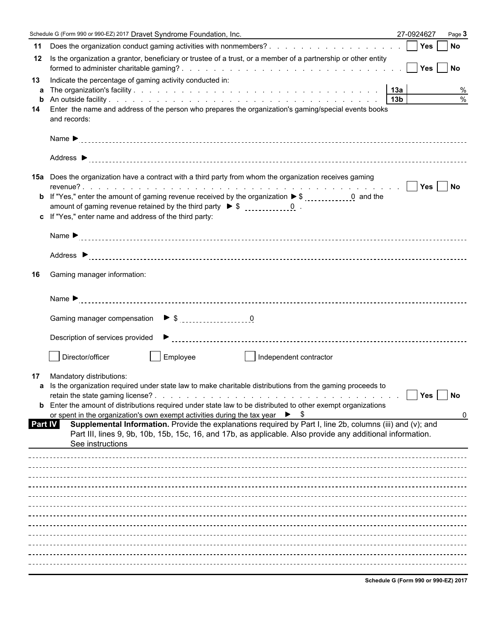|                      | Schedule G (Form 990 or 990-EZ) 2017 Dravet Syndrome Foundation, Inc.                                                                                                                                                                                                                                                                                                                                                                                                                                                                                                                                          | 27-0924627 | Page 3    |
|----------------------|----------------------------------------------------------------------------------------------------------------------------------------------------------------------------------------------------------------------------------------------------------------------------------------------------------------------------------------------------------------------------------------------------------------------------------------------------------------------------------------------------------------------------------------------------------------------------------------------------------------|------------|-----------|
| 11                   | Does the organization conduct gaming activities with nonmembers?     Yes                                                                                                                                                                                                                                                                                                                                                                                                                                                                                                                                       |            | No        |
| 12                   | Is the organization a grantor, beneficiary or trustee of a trust, or a member of a partnership or other entity                                                                                                                                                                                                                                                                                                                                                                                                                                                                                                 |            |           |
| 13<br>a<br>b<br>14   | Indicate the percentage of gaming activity conducted in:<br>Enter the name and address of the person who prepares the organization's gaming/special events books<br>and records:                                                                                                                                                                                                                                                                                                                                                                                                                               |            | %<br>$\%$ |
|                      |                                                                                                                                                                                                                                                                                                                                                                                                                                                                                                                                                                                                                |            |           |
|                      |                                                                                                                                                                                                                                                                                                                                                                                                                                                                                                                                                                                                                |            |           |
|                      | <b>15a</b> Does the organization have a contract with a third party from whom the organization receives gaming<br>c If "Yes," enter name and address of the third party:                                                                                                                                                                                                                                                                                                                                                                                                                                       |            |           |
|                      |                                                                                                                                                                                                                                                                                                                                                                                                                                                                                                                                                                                                                |            |           |
|                      |                                                                                                                                                                                                                                                                                                                                                                                                                                                                                                                                                                                                                |            |           |
| 16                   | Gaming manager information:                                                                                                                                                                                                                                                                                                                                                                                                                                                                                                                                                                                    |            |           |
|                      |                                                                                                                                                                                                                                                                                                                                                                                                                                                                                                                                                                                                                |            |           |
|                      |                                                                                                                                                                                                                                                                                                                                                                                                                                                                                                                                                                                                                |            |           |
|                      |                                                                                                                                                                                                                                                                                                                                                                                                                                                                                                                                                                                                                |            |           |
|                      | Director/officer<br>Employee<br>  Independent contractor                                                                                                                                                                                                                                                                                                                                                                                                                                                                                                                                                       |            |           |
| 17<br><b>Part IV</b> | Mandatory distributions:<br>a Is the organization required under state law to make charitable distributions from the gaming proceeds to<br><b>b</b> Enter the amount of distributions required under state law to be distributed to other exempt organizations<br>or spent in the organization's own exempt activities during the tax year $\triangleright$ \$<br>Supplemental Information. Provide the explanations required by Part I, line 2b, columns (iii) and (v); and<br>Part III, lines 9, 9b, 10b, 15b, 15c, 16, and 17b, as applicable. Also provide any additional information.<br>See instructions | Yes        | No<br>0   |
|                      |                                                                                                                                                                                                                                                                                                                                                                                                                                                                                                                                                                                                                |            |           |
|                      |                                                                                                                                                                                                                                                                                                                                                                                                                                                                                                                                                                                                                |            |           |
|                      |                                                                                                                                                                                                                                                                                                                                                                                                                                                                                                                                                                                                                |            |           |
|                      |                                                                                                                                                                                                                                                                                                                                                                                                                                                                                                                                                                                                                |            |           |
|                      |                                                                                                                                                                                                                                                                                                                                                                                                                                                                                                                                                                                                                |            |           |
|                      |                                                                                                                                                                                                                                                                                                                                                                                                                                                                                                                                                                                                                |            |           |
|                      |                                                                                                                                                                                                                                                                                                                                                                                                                                                                                                                                                                                                                |            |           |
|                      |                                                                                                                                                                                                                                                                                                                                                                                                                                                                                                                                                                                                                |            |           |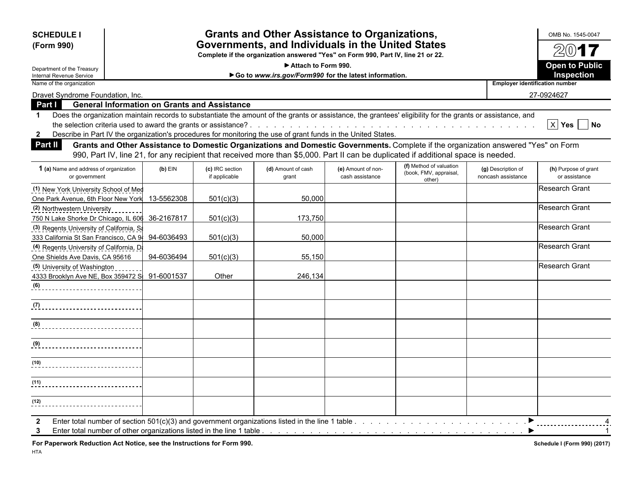| <b>SCHEDULE I</b><br>(Form 990)                                                                                                                                                                                                                                                                            |            |                                  | <b>Grants and Other Assistance to Organizations,</b><br>Governments, and Individuals in the United States<br>Complete if the organization answered "Yes" on Form 990, Part IV, line 21 or 22.                                                                             |                                       |                                                             |                                          | OMB No. 1545-0047<br>2017                     |
|------------------------------------------------------------------------------------------------------------------------------------------------------------------------------------------------------------------------------------------------------------------------------------------------------------|------------|----------------------------------|---------------------------------------------------------------------------------------------------------------------------------------------------------------------------------------------------------------------------------------------------------------------------|---------------------------------------|-------------------------------------------------------------|------------------------------------------|-----------------------------------------------|
|                                                                                                                                                                                                                                                                                                            |            |                                  | Attach to Form 990.                                                                                                                                                                                                                                                       |                                       |                                                             |                                          | <b>Open to Public</b>                         |
| Department of the Treasury<br>Internal Revenue Service                                                                                                                                                                                                                                                     |            |                                  | Go to www.irs.gov/Form990 for the latest information.                                                                                                                                                                                                                     |                                       |                                                             |                                          | Inspection                                    |
| Name of the organization                                                                                                                                                                                                                                                                                   |            |                                  |                                                                                                                                                                                                                                                                           |                                       |                                                             |                                          | <b>Employer identification number</b>         |
| Dravet Syndrome Foundation, Inc.                                                                                                                                                                                                                                                                           |            |                                  |                                                                                                                                                                                                                                                                           |                                       |                                                             |                                          | 27-0924627                                    |
| <b>General Information on Grants and Assistance</b><br>Part I                                                                                                                                                                                                                                              |            |                                  |                                                                                                                                                                                                                                                                           |                                       |                                                             |                                          |                                               |
| Does the organization maintain records to substantiate the amount of the grants or assistance, the grantees' eligibility for the grants or assistance, and<br>$\mathbf 1$<br>Describe in Part IV the organization's procedures for monitoring the use of grant funds in the United States.<br>$\mathbf{2}$ |            |                                  |                                                                                                                                                                                                                                                                           |                                       |                                                             |                                          | $\boxed{\times}$ Yes $\boxed{\phantom{1}}$ No |
| <b>Part II</b>                                                                                                                                                                                                                                                                                             |            |                                  | Grants and Other Assistance to Domestic Organizations and Domestic Governments. Complete if the organization answered "Yes" on Form<br>990, Part IV, line 21, for any recipient that received more than \$5,000. Part II can be duplicated if additional space is needed. |                                       |                                                             |                                          |                                               |
| 1 (a) Name and address of organization<br>or government                                                                                                                                                                                                                                                    | $(b)$ EIN  | (c) IRC section<br>if applicable | (d) Amount of cash<br>grant                                                                                                                                                                                                                                               | (e) Amount of non-<br>cash assistance | (f) Method of valuation<br>(book, FMV, appraisal,<br>other) | (g) Description of<br>noncash assistance | (h) Purpose of grant<br>or assistance         |
| (1) New York University School of Med                                                                                                                                                                                                                                                                      |            |                                  |                                                                                                                                                                                                                                                                           |                                       |                                                             |                                          | <b>Research Grant</b>                         |
| One Park Avenue, 6th Floor New York                                                                                                                                                                                                                                                                        | 13-5562308 | 501(c)(3)                        | 50,000                                                                                                                                                                                                                                                                    |                                       |                                                             |                                          |                                               |
| (2) Northwestern University                                                                                                                                                                                                                                                                                |            |                                  |                                                                                                                                                                                                                                                                           |                                       |                                                             |                                          | <b>Research Grant</b>                         |
| 750 N Lake Shorke Dr Chicago, IL 606                                                                                                                                                                                                                                                                       | 36-2167817 | 501(c)(3)                        | 173,750                                                                                                                                                                                                                                                                   |                                       |                                                             |                                          |                                               |
| (3) Regents University of California, Sa                                                                                                                                                                                                                                                                   |            |                                  |                                                                                                                                                                                                                                                                           |                                       |                                                             |                                          | <b>Research Grant</b>                         |
| 333 California St San Francisco, CA 9-                                                                                                                                                                                                                                                                     | 94-6036493 | 501(c)(3)                        | 50.000                                                                                                                                                                                                                                                                    |                                       |                                                             |                                          |                                               |
| (4) Regents University of California, D.                                                                                                                                                                                                                                                                   |            |                                  |                                                                                                                                                                                                                                                                           |                                       |                                                             |                                          | <b>Research Grant</b>                         |
| One Shields Ave Davis, CA 95616                                                                                                                                                                                                                                                                            | 94-6036494 | 501(c)(3)                        | 55,150                                                                                                                                                                                                                                                                    |                                       |                                                             |                                          |                                               |
| (5) University of Washington                                                                                                                                                                                                                                                                               |            |                                  |                                                                                                                                                                                                                                                                           |                                       |                                                             |                                          | <b>Research Grant</b>                         |
| 4333 Brooklyn Ave NE, Box 359472 S                                                                                                                                                                                                                                                                         | 91-6001537 | Other                            | 246.134                                                                                                                                                                                                                                                                   |                                       |                                                             |                                          |                                               |
| $\left( 6\right)$<br>_____________________________                                                                                                                                                                                                                                                         |            |                                  |                                                                                                                                                                                                                                                                           |                                       |                                                             |                                          |                                               |
| (7)<br>____________________________                                                                                                                                                                                                                                                                        |            |                                  |                                                                                                                                                                                                                                                                           |                                       |                                                             |                                          |                                               |
| (8)<br>______________________________                                                                                                                                                                                                                                                                      |            |                                  |                                                                                                                                                                                                                                                                           |                                       |                                                             |                                          |                                               |
| (9)<br>---------------------------                                                                                                                                                                                                                                                                         |            |                                  |                                                                                                                                                                                                                                                                           |                                       |                                                             |                                          |                                               |
| (10)                                                                                                                                                                                                                                                                                                       |            |                                  |                                                                                                                                                                                                                                                                           |                                       |                                                             |                                          |                                               |
| (11)                                                                                                                                                                                                                                                                                                       |            |                                  |                                                                                                                                                                                                                                                                           |                                       |                                                             |                                          |                                               |
| (12)                                                                                                                                                                                                                                                                                                       |            |                                  |                                                                                                                                                                                                                                                                           |                                       |                                                             |                                          |                                               |

For Paperwork Reduction Act Notice, see the Instructions for Form 990. *Schedule I (Form 990) (2017)* Schedule I (Form 990) (2017)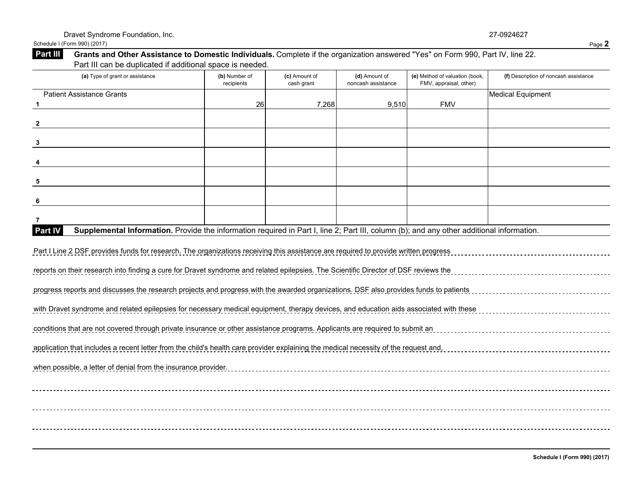|                 | Schedule I (Form 990) (2017)                                                                                                    | Page 2 |
|-----------------|---------------------------------------------------------------------------------------------------------------------------------|--------|
| <b>Part III</b> | Grants and Other Assistance to Domestic Individuals. Complete if the organization answered "Yes" on Form 990, Part IV, line 22. |        |
|                 | Part III can be duplicated if additional space is needed.                                                                       |        |

| (a) Type of grant or assistance                                                                                                                      | (b) Number of<br>recipients | (c) Amount of<br>cash grant | (d) Amount of<br>noncash assistance | (e) Method of valuation (book,<br>FMV, appraisal, other) | (f) Description of noncash assistance |
|------------------------------------------------------------------------------------------------------------------------------------------------------|-----------------------------|-----------------------------|-------------------------------------|----------------------------------------------------------|---------------------------------------|
| <b>Patient Assistance Grants</b>                                                                                                                     |                             |                             |                                     |                                                          | <b>Medical Equipment</b>              |
| 1                                                                                                                                                    | 26                          | 7,268                       | 9,510                               | <b>FMV</b>                                               |                                       |
| $\overline{2}$                                                                                                                                       |                             |                             |                                     |                                                          |                                       |
| $\mathbf{3}$                                                                                                                                         |                             |                             |                                     |                                                          |                                       |
|                                                                                                                                                      |                             |                             |                                     |                                                          |                                       |
| 5                                                                                                                                                    |                             |                             |                                     |                                                          |                                       |
| 6                                                                                                                                                    |                             |                             |                                     |                                                          |                                       |
| 7                                                                                                                                                    |                             |                             |                                     |                                                          |                                       |
| Supplemental Information. Provide the information required in Part I, line 2; Part III, column (b); and any other additional information.<br>Part IV |                             |                             |                                     |                                                          |                                       |
| Part I Line 2 DSF provides funds for research. The organizations receiving this assistance are required to provide written progress                  |                             |                             |                                     |                                                          |                                       |
| reports on their research into finding a cure for Dravet syndrome and related epilepsies. The Scientific Director of DSF reviews the                 |                             |                             |                                     |                                                          |                                       |
| progress reports and discusses the research projects and progress with the awarded organizations. DSF also provides funds to patients                |                             |                             |                                     |                                                          |                                       |
| with Dravet syndrome and related epilepsies for necessary medical equipment, therapy devices, and education aids associated with these               |                             |                             |                                     |                                                          |                                       |
| conditions that are not covered through private insurance or other assistance programs. Applicants are required to submit an                         |                             |                             |                                     |                                                          |                                       |
| application that includes a recent letter from the child's health care provider explaining the medical necessity of the request and,                 |                             |                             |                                     |                                                          |                                       |
| when possible, a letter of denial from the insurance provider.                                                                                       |                             |                             |                                     |                                                          |                                       |
|                                                                                                                                                      |                             |                             |                                     |                                                          |                                       |
|                                                                                                                                                      |                             |                             |                                     |                                                          |                                       |
|                                                                                                                                                      |                             |                             |                                     |                                                          |                                       |
|                                                                                                                                                      |                             |                             |                                     |                                                          |                                       |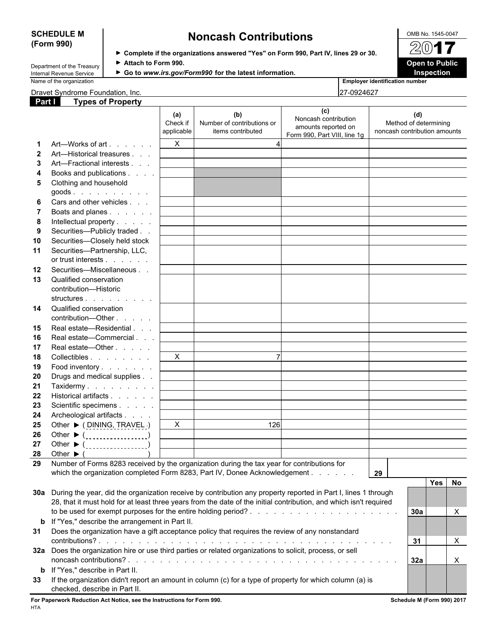# **SCHEDULE M** OMB No. 1545-0047 **(Form 990) Noncash Contributions**

**Complete if the organizations answered "Yes" on Form 990, Part IV, lines 29 or 30.**

**Department of the Treasury ▶ Attach to Form 990.**<br> **Attach to Form 990. Open to Public** Department of the Internal Revenue Service ▶ Go to www.irs.gov/Form990 for the latest information. **Inspection** Internal Revenue Service **Company Constructs** Go to *www.irs.gov/Form990* for the latest information.<br>Name of the organization



|  | Dravet Syndrome Foundation. Inc. |  | 27-0924627 |
|--|----------------------------------|--|------------|
|--|----------------------------------|--|------------|

**Employer identification number** 

| Part I | <b>Types of Property</b>                                                                                                                  |                               |                                                        |                                                                                    |                                                              |
|--------|-------------------------------------------------------------------------------------------------------------------------------------------|-------------------------------|--------------------------------------------------------|------------------------------------------------------------------------------------|--------------------------------------------------------------|
|        |                                                                                                                                           | (a)<br>Check if<br>applicable | (b)<br>Number of contributions or<br>items contributed | (c)<br>Noncash contribution<br>amounts reported on<br>Form 990, Part VIII, line 1g | (d)<br>Method of determining<br>noncash contribution amounts |
|        | Art—Works of art                                                                                                                          | $\mathsf{X}$                  |                                                        |                                                                                    |                                                              |
|        | Art-Historical treasures                                                                                                                  |                               |                                                        |                                                                                    |                                                              |
| 3      | Art-Fractional interests                                                                                                                  |                               |                                                        |                                                                                    |                                                              |
| 4      | Books and publications                                                                                                                    |                               |                                                        |                                                                                    |                                                              |
| 5      | Clothing and household                                                                                                                    |                               |                                                        |                                                                                    |                                                              |
|        | $goods.$                                                                                                                                  |                               |                                                        |                                                                                    |                                                              |
| 6      | Cars and other vehicles                                                                                                                   |                               |                                                        |                                                                                    |                                                              |
|        | Boats and planes                                                                                                                          |                               |                                                        |                                                                                    |                                                              |
| 8      | Intellectual property                                                                                                                     |                               |                                                        |                                                                                    |                                                              |
| 9      | Securities-Publicly traded                                                                                                                |                               |                                                        |                                                                                    |                                                              |
| 10     | Securities-Closely held stock                                                                                                             |                               |                                                        |                                                                                    |                                                              |
| 11     | Securities-Partnership, LLC,                                                                                                              |                               |                                                        |                                                                                    |                                                              |
|        | or trust interests                                                                                                                        |                               |                                                        |                                                                                    |                                                              |
| 12     | Securities-Miscellaneous                                                                                                                  |                               |                                                        |                                                                                    |                                                              |
| 13     | Qualified conservation<br>contribution-Historic                                                                                           |                               |                                                        |                                                                                    |                                                              |
|        | structures                                                                                                                                |                               |                                                        |                                                                                    |                                                              |
| 14     | Qualified conservation                                                                                                                    |                               |                                                        |                                                                                    |                                                              |
|        | contribution-Other                                                                                                                        |                               |                                                        |                                                                                    |                                                              |
| 15     | Real estate-Residential                                                                                                                   |                               |                                                        |                                                                                    |                                                              |
| 16     | Real estate-Commercial                                                                                                                    |                               |                                                        |                                                                                    |                                                              |
| 17     | Real estate-Other                                                                                                                         |                               |                                                        |                                                                                    |                                                              |
| 18     | Collectibles                                                                                                                              | $\mathsf{X}$                  |                                                        |                                                                                    |                                                              |
| 19     | Food inventory                                                                                                                            |                               |                                                        |                                                                                    |                                                              |
| 20     | Drugs and medical supplies                                                                                                                |                               |                                                        |                                                                                    |                                                              |
| 21     | Taxidermy                                                                                                                                 |                               |                                                        |                                                                                    |                                                              |
| 22     | Historical artifacts                                                                                                                      |                               |                                                        |                                                                                    |                                                              |
| 23     | Scientific specimens                                                                                                                      |                               |                                                        |                                                                                    |                                                              |
| 24     | Archeological artifacts                                                                                                                   |                               |                                                        |                                                                                    |                                                              |
| 25     | Other ▶ (DINING, TRAVEL)                                                                                                                  | $\mathsf{X}$                  | 126                                                    |                                                                                    |                                                              |
| 26     | Other $\blacktriangleright$ ( $\ldots$ ,,,,,,,,,,,,,,,,,,)                                                                                |                               |                                                        |                                                                                    |                                                              |
| 27     | Other $\blacktriangleright$ ( __________________)                                                                                         |                               |                                                        |                                                                                    |                                                              |
| 28     | Other $\blacktriangleright$ (                                                                                                             |                               |                                                        |                                                                                    |                                                              |
| 29     | Number of Forms 8283 received by the organization during the tax year for contributions for                                               |                               |                                                        |                                                                                    |                                                              |
|        | which the organization completed Form 8283, Part IV, Donee Acknowledgement                                                                |                               |                                                        |                                                                                    | 29                                                           |
|        |                                                                                                                                           |                               |                                                        |                                                                                    | Yes  <br>No                                                  |
|        | 30a During the year, did the organization receive by contribution any property reported in Part I, lines 1 through                        |                               |                                                        |                                                                                    |                                                              |
|        | 28, that it must hold for at least three years from the date of the initial contribution, and which isn't required                        |                               |                                                        |                                                                                    |                                                              |
|        |                                                                                                                                           |                               |                                                        |                                                                                    | 30a<br>X                                                     |
|        | If "Yes," describe the arrangement in Part II.                                                                                            |                               |                                                        |                                                                                    |                                                              |
| b      |                                                                                                                                           |                               |                                                        |                                                                                    |                                                              |
| 31     | Does the organization have a gift acceptance policy that requires the review of any nonstandard                                           |                               |                                                        |                                                                                    |                                                              |
|        |                                                                                                                                           |                               |                                                        |                                                                                    | $\mathsf{X}$<br>31                                           |
|        | 32a Does the organization hire or use third parties or related organizations to solicit, process, or sell                                 |                               |                                                        |                                                                                    |                                                              |
|        |                                                                                                                                           |                               |                                                        |                                                                                    | 32a<br>$\boldsymbol{\mathsf{X}}$                             |
|        | <b>b</b> If "Yes," describe in Part II.                                                                                                   |                               |                                                        |                                                                                    |                                                              |
| 33     | If the organization didn't report an amount in column (c) for a type of property for which column (a) is<br>checked, describe in Part II. |                               |                                                        |                                                                                    |                                                              |

**For Paperwork Reduction Act Notice, see the Instructions for Form 990. Schedule M (Form 990) 2017**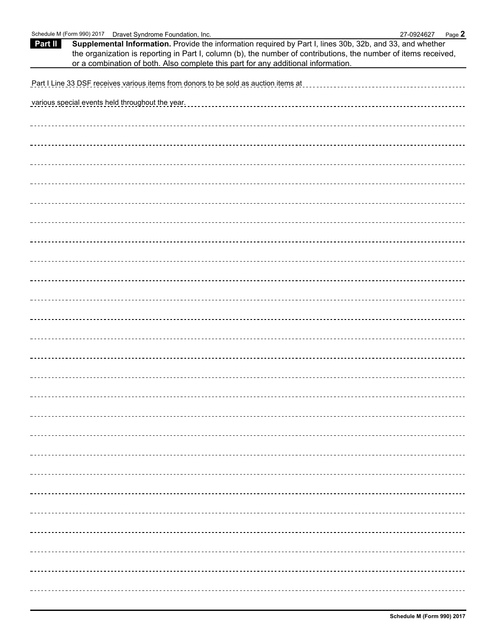| Schedule M (Form 990) 2017  Dravet Syndrome Foundation, Inc.                                                                                                                                                                                                                                                                 | 27-0924627 | Page 2 |
|------------------------------------------------------------------------------------------------------------------------------------------------------------------------------------------------------------------------------------------------------------------------------------------------------------------------------|------------|--------|
| Supplemental Information. Provide the information required by Part I, lines 30b, 32b, and 33, and whether<br>Part II<br>the organization is reporting in Part I, column (b), the number of contributions, the number of items received,<br>or a combination of both. Also complete this part for any additional information. |            |        |
| Part I Line 33 DSF receives various items from donors to be sold as auction items at                                                                                                                                                                                                                                         |            |        |
| various special events held throughout the year.                                                                                                                                                                                                                                                                             |            |        |
|                                                                                                                                                                                                                                                                                                                              |            |        |
|                                                                                                                                                                                                                                                                                                                              |            |        |
|                                                                                                                                                                                                                                                                                                                              |            |        |
|                                                                                                                                                                                                                                                                                                                              |            |        |
|                                                                                                                                                                                                                                                                                                                              |            |        |
|                                                                                                                                                                                                                                                                                                                              |            |        |
|                                                                                                                                                                                                                                                                                                                              |            |        |
|                                                                                                                                                                                                                                                                                                                              |            |        |
|                                                                                                                                                                                                                                                                                                                              |            |        |
|                                                                                                                                                                                                                                                                                                                              |            |        |
|                                                                                                                                                                                                                                                                                                                              |            |        |
|                                                                                                                                                                                                                                                                                                                              |            |        |
|                                                                                                                                                                                                                                                                                                                              |            |        |
|                                                                                                                                                                                                                                                                                                                              |            |        |
|                                                                                                                                                                                                                                                                                                                              |            |        |
|                                                                                                                                                                                                                                                                                                                              |            |        |
|                                                                                                                                                                                                                                                                                                                              |            |        |
|                                                                                                                                                                                                                                                                                                                              |            |        |
|                                                                                                                                                                                                                                                                                                                              |            |        |
|                                                                                                                                                                                                                                                                                                                              |            |        |
|                                                                                                                                                                                                                                                                                                                              |            |        |
|                                                                                                                                                                                                                                                                                                                              |            |        |
|                                                                                                                                                                                                                                                                                                                              |            |        |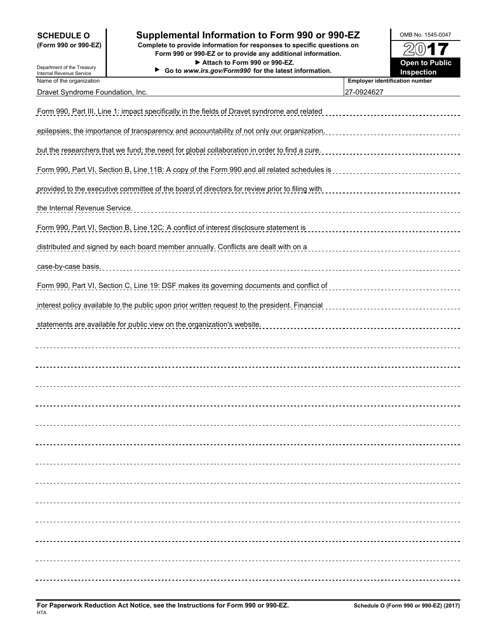## **SCHEDULE O**  $\vert$  Supplemental Information to Form 990 or 990-EZ  $\vert$  OMB No. 1545-0047

**(Form 990 or 990-EZ) Complete to provide information for responses to specific questions on Form 990 or 990-EZ or to provide any additional information. Attach to Form 990 or 990-EZ.**

കൈ

| Department of the Treasury                           | Form 990 or 990-EZ or to provide any additional information.<br>Attach to Form 990 or 990-EZ.<br>Go to www.irs.gov/Form990 for the latest information. | 74W 1 7<br><b>Open to Public</b><br>Inspection |
|------------------------------------------------------|--------------------------------------------------------------------------------------------------------------------------------------------------------|------------------------------------------------|
| Internal Revenue Service<br>Name of the organization |                                                                                                                                                        | <b>Employer identification number</b>          |
| Dravet Syndrome Foundation, Inc.                     |                                                                                                                                                        | 27-0924627                                     |
|                                                      | Form 990, Part III, Line 1: impact specifically in the fields of Dravet syndrome and related                                                           |                                                |
|                                                      | epilepsies; the importance of transparency and accountability of not only our organization,                                                            |                                                |
|                                                      | but the researchers that we fund; the need for global collaboration in order to find a cure.                                                           | ------------------------------------           |
|                                                      | Form 990, Part VI, Section B, Line 11B: A copy of the Form 990 and all related schedules is                                                            |                                                |
|                                                      | provided to the executive committee of the board of directors for review prior to filing with                                                          |                                                |
| the Internal Revenue Service.                        |                                                                                                                                                        |                                                |
|                                                      | Form 990, Part VI, Section B, Line 12C: A conflict of interest disclosure statement is                                                                 |                                                |
|                                                      | distributed and signed by each board member annually. Conflicts are dealt with on a                                                                    |                                                |
| case-by-case basis.                                  |                                                                                                                                                        |                                                |
|                                                      |                                                                                                                                                        |                                                |
|                                                      | interest policy available to the public upon prior written request to the president. Financial                                                         |                                                |
|                                                      | statements are available for public view on the organization's website.                                                                                |                                                |
|                                                      |                                                                                                                                                        |                                                |
|                                                      |                                                                                                                                                        |                                                |
|                                                      |                                                                                                                                                        |                                                |
|                                                      |                                                                                                                                                        |                                                |
|                                                      |                                                                                                                                                        |                                                |
|                                                      |                                                                                                                                                        |                                                |
|                                                      |                                                                                                                                                        |                                                |
|                                                      |                                                                                                                                                        |                                                |
|                                                      |                                                                                                                                                        |                                                |
|                                                      |                                                                                                                                                        |                                                |
|                                                      |                                                                                                                                                        |                                                |
|                                                      |                                                                                                                                                        |                                                |